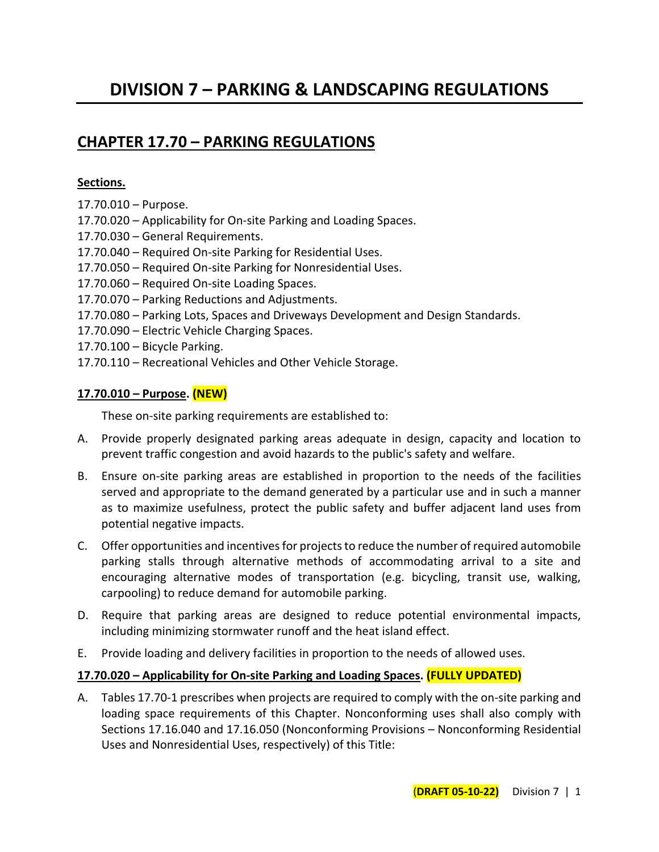# **DIVISION 7 – PARKING & LANDSCAPING REGULATIONS**

# **CHAPTER 17.70 – PARKING REGULATIONS**

#### **Sections.**

- 17.70.010 Purpose.
- 17.70.020 Applicability for On-site Parking and Loading Spaces.
- 17.70.030 General Requirements.
- 17.70.040 Required On-site Parking for Residential Uses.
- 17.70.050 Required On-site Parking for Nonresidential Uses.
- 17.70.060 Required On-site Loading Spaces.
- 17.70.070 Parking Reductions and Adjustments.
- 17.70.080 Parking Lots, Spaces and Driveways Development and Design Standards.
- 17.70.090 Electric Vehicle Charging Spaces.
- 17.70.100 Bicycle Parking.
- 17.70.110 Recreational Vehicles and Other Vehicle Storage.

#### **17.70.010 – Purpose. (NEW)**

These on-site parking requirements are established to:

- A. Provide properly designated parking areas adequate in design, capacity and location to prevent traffic congestion and avoid hazards to the public's safety and welfare.
- B. Ensure on-site parking areas are established in proportion to the needs of the facilities served and appropriate to the demand generated by a particular use and in such a manner as to maximize usefulness, protect the public safety and buffer adjacent land uses from potential negative impacts.
- C. Offer opportunities and incentives for projects to reduce the number of required automobile parking stalls through alternative methods of accommodating arrival to a site and encouraging alternative modes of transportation (e.g. bicycling, transit use, walking, carpooling) to reduce demand for automobile parking.
- D. Require that parking areas are designed to reduce potential environmental impacts, including minimizing stormwater runoff and the heat island effect.
- E. Provide loading and delivery facilities in proportion to the needs of allowed uses.

#### **17.70.020 – Applicability for On-site Parking and Loading Spaces. (FULLY UPDATED)**

A. Tables 17.70-1 prescribes when projects are required to comply with the on-site parking and loading space requirements of this Chapter. Nonconforming uses shall also comply with Sections 17.16.040 and 17.16.050 (Nonconforming Provisions – Nonconforming Residential Uses and Nonresidential Uses, respectively) of this Title: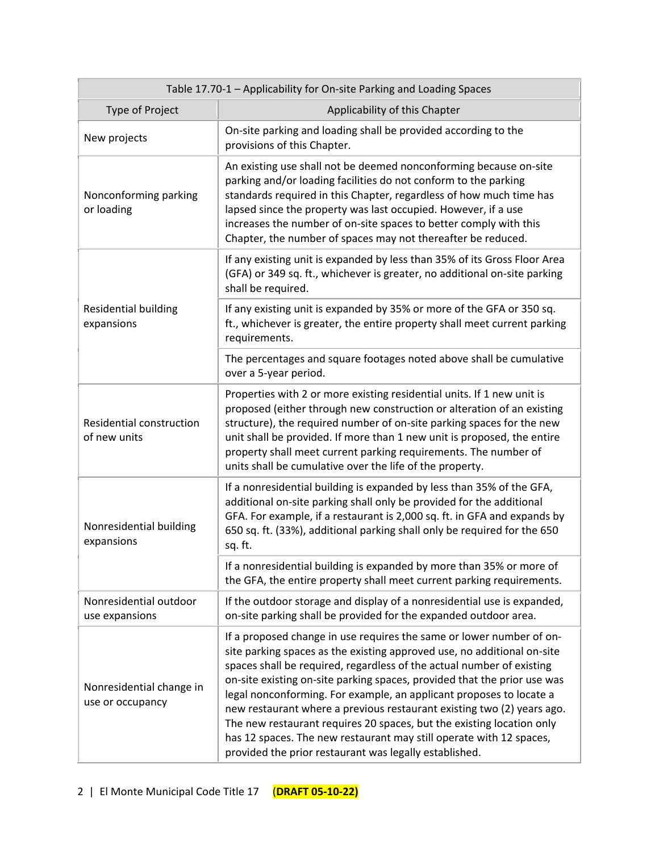| Table 17.70-1 - Applicability for On-site Parking and Loading Spaces |                                                                                                                                                                                                                                                                                                                                                                                                                                                                                                                                                                                                                                                                 |  |  |
|----------------------------------------------------------------------|-----------------------------------------------------------------------------------------------------------------------------------------------------------------------------------------------------------------------------------------------------------------------------------------------------------------------------------------------------------------------------------------------------------------------------------------------------------------------------------------------------------------------------------------------------------------------------------------------------------------------------------------------------------------|--|--|
| Type of Project                                                      | Applicability of this Chapter                                                                                                                                                                                                                                                                                                                                                                                                                                                                                                                                                                                                                                   |  |  |
| New projects                                                         | On-site parking and loading shall be provided according to the<br>provisions of this Chapter.                                                                                                                                                                                                                                                                                                                                                                                                                                                                                                                                                                   |  |  |
| Nonconforming parking<br>or loading                                  | An existing use shall not be deemed nonconforming because on-site<br>parking and/or loading facilities do not conform to the parking<br>standards required in this Chapter, regardless of how much time has<br>lapsed since the property was last occupied. However, if a use<br>increases the number of on-site spaces to better comply with this<br>Chapter, the number of spaces may not thereafter be reduced.                                                                                                                                                                                                                                              |  |  |
|                                                                      | If any existing unit is expanded by less than 35% of its Gross Floor Area<br>(GFA) or 349 sq. ft., whichever is greater, no additional on-site parking<br>shall be required.                                                                                                                                                                                                                                                                                                                                                                                                                                                                                    |  |  |
| <b>Residential building</b><br>expansions                            | If any existing unit is expanded by 35% or more of the GFA or 350 sq.<br>ft., whichever is greater, the entire property shall meet current parking<br>requirements.                                                                                                                                                                                                                                                                                                                                                                                                                                                                                             |  |  |
|                                                                      | The percentages and square footages noted above shall be cumulative<br>over a 5-year period.                                                                                                                                                                                                                                                                                                                                                                                                                                                                                                                                                                    |  |  |
| Residential construction<br>of new units                             | Properties with 2 or more existing residential units. If 1 new unit is<br>proposed (either through new construction or alteration of an existing<br>structure), the required number of on-site parking spaces for the new<br>unit shall be provided. If more than 1 new unit is proposed, the entire<br>property shall meet current parking requirements. The number of<br>units shall be cumulative over the life of the property.                                                                                                                                                                                                                             |  |  |
| Nonresidential building<br>expansions                                | If a nonresidential building is expanded by less than 35% of the GFA,<br>additional on-site parking shall only be provided for the additional<br>GFA. For example, if a restaurant is 2,000 sq. ft. in GFA and expands by<br>650 sq. ft. (33%), additional parking shall only be required for the 650<br>sq. ft.                                                                                                                                                                                                                                                                                                                                                |  |  |
|                                                                      | If a nonresidential building is expanded by more than 35% or more of<br>the GFA, the entire property shall meet current parking requirements.                                                                                                                                                                                                                                                                                                                                                                                                                                                                                                                   |  |  |
| Nonresidential outdoor<br>use expansions                             | If the outdoor storage and display of a nonresidential use is expanded,<br>on-site parking shall be provided for the expanded outdoor area.                                                                                                                                                                                                                                                                                                                                                                                                                                                                                                                     |  |  |
| Nonresidential change in<br>use or occupancy                         | If a proposed change in use requires the same or lower number of on-<br>site parking spaces as the existing approved use, no additional on-site<br>spaces shall be required, regardless of the actual number of existing<br>on-site existing on-site parking spaces, provided that the prior use was<br>legal nonconforming. For example, an applicant proposes to locate a<br>new restaurant where a previous restaurant existing two (2) years ago.<br>The new restaurant requires 20 spaces, but the existing location only<br>has 12 spaces. The new restaurant may still operate with 12 spaces,<br>provided the prior restaurant was legally established. |  |  |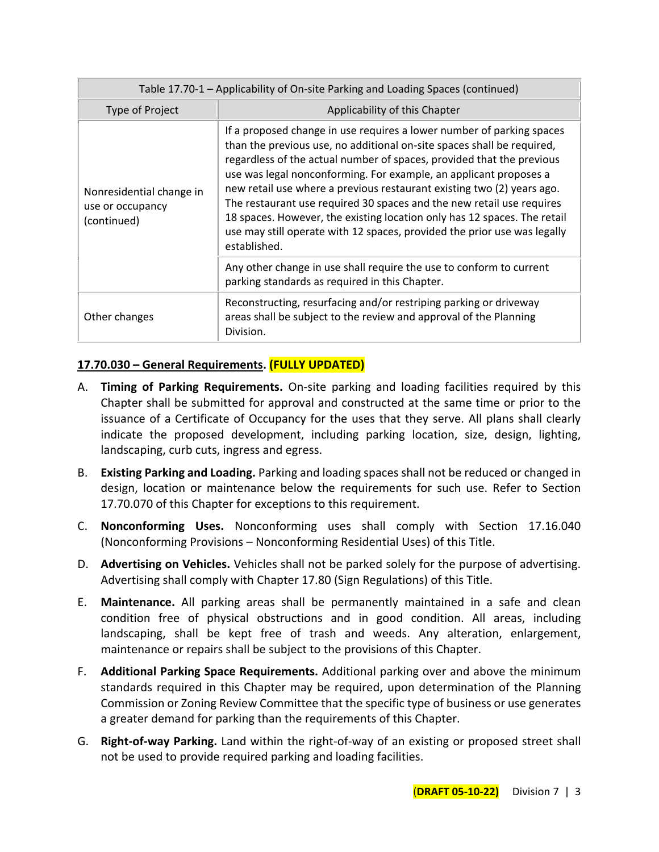| Table 17.70-1 - Applicability of On-site Parking and Loading Spaces (continued) |                                                                                                                                                                                                                                                                                                                                                                                                                                                                                                                                                                                                                          |  |
|---------------------------------------------------------------------------------|--------------------------------------------------------------------------------------------------------------------------------------------------------------------------------------------------------------------------------------------------------------------------------------------------------------------------------------------------------------------------------------------------------------------------------------------------------------------------------------------------------------------------------------------------------------------------------------------------------------------------|--|
| Type of Project                                                                 | Applicability of this Chapter                                                                                                                                                                                                                                                                                                                                                                                                                                                                                                                                                                                            |  |
| Nonresidential change in<br>use or occupancy<br>(continued)                     | If a proposed change in use requires a lower number of parking spaces<br>than the previous use, no additional on-site spaces shall be required,<br>regardless of the actual number of spaces, provided that the previous<br>use was legal nonconforming. For example, an applicant proposes a<br>new retail use where a previous restaurant existing two (2) years ago.<br>The restaurant use required 30 spaces and the new retail use requires<br>18 spaces. However, the existing location only has 12 spaces. The retail<br>use may still operate with 12 spaces, provided the prior use was legally<br>established. |  |
|                                                                                 | Any other change in use shall require the use to conform to current<br>parking standards as required in this Chapter.                                                                                                                                                                                                                                                                                                                                                                                                                                                                                                    |  |
| Other changes                                                                   | Reconstructing, resurfacing and/or restriping parking or driveway<br>areas shall be subject to the review and approval of the Planning<br>Division.                                                                                                                                                                                                                                                                                                                                                                                                                                                                      |  |

## **17.70.030 – General Requirements. (FULLY UPDATED)**

- A. **Timing of Parking Requirements.** On-site parking and loading facilities required by this Chapter shall be submitted for approval and constructed at the same time or prior to the issuance of a Certificate of Occupancy for the uses that they serve. All plans shall clearly indicate the proposed development, including parking location, size, design, lighting, landscaping, curb cuts, ingress and egress.
- B. **Existing Parking and Loading.** Parking and loading spaces shall not be reduced or changed in design, location or maintenance below the requirements for such use. Refer to Section 17.70.070 of this Chapter for exceptions to this requirement.
- C. **Nonconforming Uses.** Nonconforming uses shall comply with Section 17.16.040 (Nonconforming Provisions – Nonconforming Residential Uses) of this Title.
- D. **Advertising on Vehicles.** Vehicles shall not be parked solely for the purpose of advertising. Advertising shall comply with Chapter 17.80 (Sign Regulations) of this Title.
- E. **Maintenance.** All parking areas shall be permanently maintained in a safe and clean condition free of physical obstructions and in good condition. All areas, including landscaping, shall be kept free of trash and weeds. Any alteration, enlargement, maintenance or repairs shall be subject to the provisions of this Chapter.
- F. **Additional Parking Space Requirements.** Additional parking over and above the minimum standards required in this Chapter may be required, upon determination of the Planning Commission or Zoning Review Committee that the specific type of business or use generates a greater demand for parking than the requirements of this Chapter.
- G. **Right-of-way Parking.** Land within the right-of-way of an existing or proposed street shall not be used to provide required parking and loading facilities.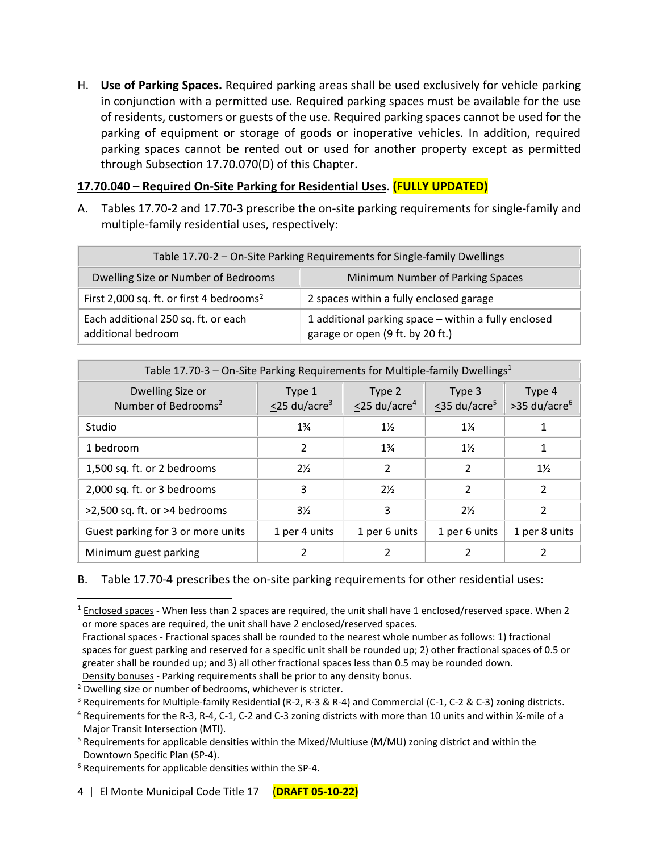H. **Use of Parking Spaces.** Required parking areas shall be used exclusively for vehicle parking in conjunction with a permitted use. Required parking spaces must be available for the use of residents, customers or guests of the use. Required parking spaces cannot be used for the parking of equipment or storage of goods or inoperative vehicles. In addition, required parking spaces cannot be rented out or used for another property except as permitted through Subsection 17.70.070(D) of this Chapter.

## **17.70.040 – Required On-Site Parking for Residential Uses. (FULLY UPDATED)**

A. Tables 17.70-2 and 17.70-3 prescribe the on-site parking requirements for single-family and multiple-family residential uses, respectively:

| Table 17.70-2 – On-Site Parking Requirements for Single-family Dwellings |                                                                                          |  |  |
|--------------------------------------------------------------------------|------------------------------------------------------------------------------------------|--|--|
| Dwelling Size or Number of Bedrooms                                      | Minimum Number of Parking Spaces                                                         |  |  |
| First 2,000 sq. ft. or first 4 bedrooms <sup>2</sup>                     | 2 spaces within a fully enclosed garage                                                  |  |  |
| Each additional 250 sq. ft. or each<br>additional bedroom                | 1 additional parking space - within a fully enclosed<br>garage or open (9 ft. by 20 ft.) |  |  |

| Table 17.70-3 - On-Site Parking Requirements for Multiple-family Dwellings <sup>1</sup> |                                          |                                          |                                          |                                      |
|-----------------------------------------------------------------------------------------|------------------------------------------|------------------------------------------|------------------------------------------|--------------------------------------|
| Dwelling Size or<br>Number of Bedrooms <sup>2</sup>                                     | Type 1<br>$\leq$ 25 du/acre <sup>3</sup> | Type 2<br>$\leq$ 25 du/acre <sup>4</sup> | Type 3<br>$\leq$ 35 du/acre <sup>5</sup> | Type 4<br>$>35$ du/acre <sup>6</sup> |
| Studio                                                                                  | $1\frac{3}{4}$                           | $1\frac{1}{2}$                           | $1\frac{1}{4}$                           |                                      |
| 1 bedroom                                                                               | 2                                        | $1\frac{3}{4}$                           | $1\frac{1}{2}$                           |                                      |
| 1,500 sq. ft. or 2 bedrooms                                                             | $2\frac{1}{2}$                           | 2                                        | 2                                        | $1\frac{1}{2}$                       |
| 2,000 sq. ft. or 3 bedrooms                                                             | 3                                        | $2\frac{1}{2}$                           | 2                                        | 2                                    |
| >2,500 sq. ft. or >4 bedrooms                                                           | $3\frac{1}{2}$                           | 3                                        | $2\frac{1}{2}$                           | 2                                    |
| Guest parking for 3 or more units                                                       | 1 per 4 units                            | 1 per 6 units                            | 1 per 6 units                            | 1 per 8 units                        |
| Minimum guest parking                                                                   |                                          |                                          |                                          |                                      |

## B. Table 17.70-4 prescribes the on-site parking requirements for other residential uses:

 $1$  Enclosed spaces - When less than 2 spaces are required, the unit shall have 1 enclosed/reserved space. When 2 or more spaces are required, the unit shall have 2 enclosed/reserved spaces.

Fractional spaces - Fractional spaces shall be rounded to the nearest whole number as follows: 1) fractional spaces for guest parking and reserved for a specific unit shall be rounded up; 2) other fractional spaces of 0.5 or greater shall be rounded up; and 3) all other fractional spaces less than 0.5 may be rounded down.

Density bonuses - Parking requirements shall be prior to any density bonus.

<sup>&</sup>lt;sup>2</sup> Dwelling size or number of bedrooms, whichever is stricter.

<sup>3</sup> Requirements for Multiple-family Residential (R-2, R-3 & R-4) and Commercial (C-1, C-2 & C-3) zoning districts.

<sup>4</sup> Requirements for the R-3, R-4, C-1, C-2 and C-3 zoning districts with more than 10 units and within ¼-mile of a Major Transit Intersection (MTI).

<sup>5</sup> Requirements for applicable densities within the Mixed/Multiuse (M/MU) zoning district and within the Downtown Specific Plan (SP-4).

<sup>6</sup> Requirements for applicable densities within the SP-4.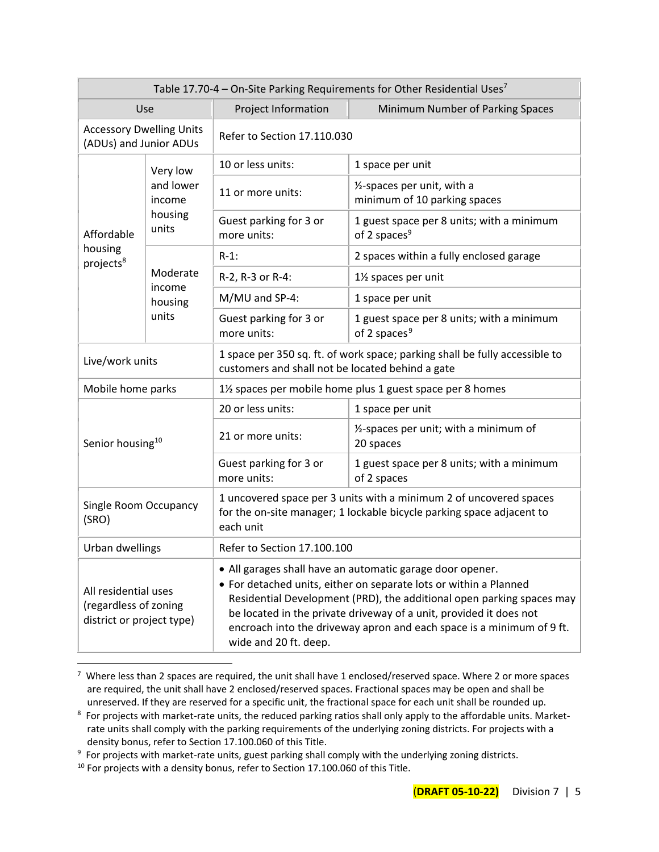| Table 17.70-4 – On-Site Parking Requirements for Other Residential Uses <sup>7</sup> |                    |                                                                                                                                                                                                                                                                                                                                                                                 |                                                                       |
|--------------------------------------------------------------------------------------|--------------------|---------------------------------------------------------------------------------------------------------------------------------------------------------------------------------------------------------------------------------------------------------------------------------------------------------------------------------------------------------------------------------|-----------------------------------------------------------------------|
|                                                                                      | Use                | Project Information<br>Minimum Number of Parking Spaces                                                                                                                                                                                                                                                                                                                         |                                                                       |
| <b>Accessory Dwelling Units</b><br>(ADUs) and Junior ADUs                            |                    | Refer to Section 17.110.030                                                                                                                                                                                                                                                                                                                                                     |                                                                       |
| Very low<br>and lower<br>income<br>housing<br>units<br>Affordable                    | 10 or less units:  | 1 space per unit                                                                                                                                                                                                                                                                                                                                                                |                                                                       |
|                                                                                      |                    | 11 or more units:                                                                                                                                                                                                                                                                                                                                                               | 1/2-spaces per unit, with a<br>minimum of 10 parking spaces           |
|                                                                                      |                    | Guest parking for 3 or<br>more units:                                                                                                                                                                                                                                                                                                                                           | 1 guest space per 8 units; with a minimum<br>of 2 spaces <sup>9</sup> |
| housing<br>projects <sup>8</sup>                                                     |                    | $R-1$ :                                                                                                                                                                                                                                                                                                                                                                         | 2 spaces within a fully enclosed garage                               |
|                                                                                      | Moderate<br>income | R-2, R-3 or R-4:                                                                                                                                                                                                                                                                                                                                                                | 11/2 spaces per unit                                                  |
|                                                                                      | housing            | M/MU and SP-4:                                                                                                                                                                                                                                                                                                                                                                  | 1 space per unit                                                      |
| units                                                                                |                    | Guest parking for 3 or<br>more units:                                                                                                                                                                                                                                                                                                                                           | 1 guest space per 8 units; with a minimum<br>of 2 spaces <sup>9</sup> |
| Live/work units                                                                      |                    | 1 space per 350 sq. ft. of work space; parking shall be fully accessible to<br>customers and shall not be located behind a gate                                                                                                                                                                                                                                                 |                                                                       |
| Mobile home parks                                                                    |                    | 1% spaces per mobile home plus 1 guest space per 8 homes                                                                                                                                                                                                                                                                                                                        |                                                                       |
| Senior housing <sup>10</sup>                                                         |                    | 20 or less units:                                                                                                                                                                                                                                                                                                                                                               | 1 space per unit                                                      |
|                                                                                      |                    | 21 or more units:                                                                                                                                                                                                                                                                                                                                                               | 1/2-spaces per unit; with a minimum of<br>20 spaces                   |
|                                                                                      |                    | Guest parking for 3 or<br>more units:                                                                                                                                                                                                                                                                                                                                           | 1 guest space per 8 units; with a minimum<br>of 2 spaces              |
| Single Room Occupancy<br>(SRO)                                                       |                    | 1 uncovered space per 3 units with a minimum 2 of uncovered spaces<br>for the on-site manager; 1 lockable bicycle parking space adjacent to<br>each unit                                                                                                                                                                                                                        |                                                                       |
| Urban dwellings                                                                      |                    | Refer to Section 17.100.100                                                                                                                                                                                                                                                                                                                                                     |                                                                       |
| All residential uses<br>(regardless of zoning<br>district or project type)           |                    | • All garages shall have an automatic garage door opener.<br>• For detached units, either on separate lots or within a Planned<br>Residential Development (PRD), the additional open parking spaces may<br>be located in the private driveway of a unit, provided it does not<br>encroach into the driveway apron and each space is a minimum of 9 ft.<br>wide and 20 ft. deep. |                                                                       |

 $7$  Where less than 2 spaces are required, the unit shall have 1 enclosed/reserved space. Where 2 or more spaces are required, the unit shall have 2 enclosed/reserved spaces. Fractional spaces may be open and shall be unreserved. If they are reserved for a specific unit, the fractional space for each unit shall be rounded up.

 $8$  For projects with market-rate units, the reduced parking ratios shall only apply to the affordable units. Marketrate units shall comply with the parking requirements of the underlying zoning districts. For projects with a density bonus, refer to Section 17.100.060 of this Title.

<sup>9</sup> For projects with market-rate units, guest parking shall comply with the underlying zoning districts.

<sup>&</sup>lt;sup>10</sup> For projects with a density bonus, refer to Section 17.100.060 of this Title.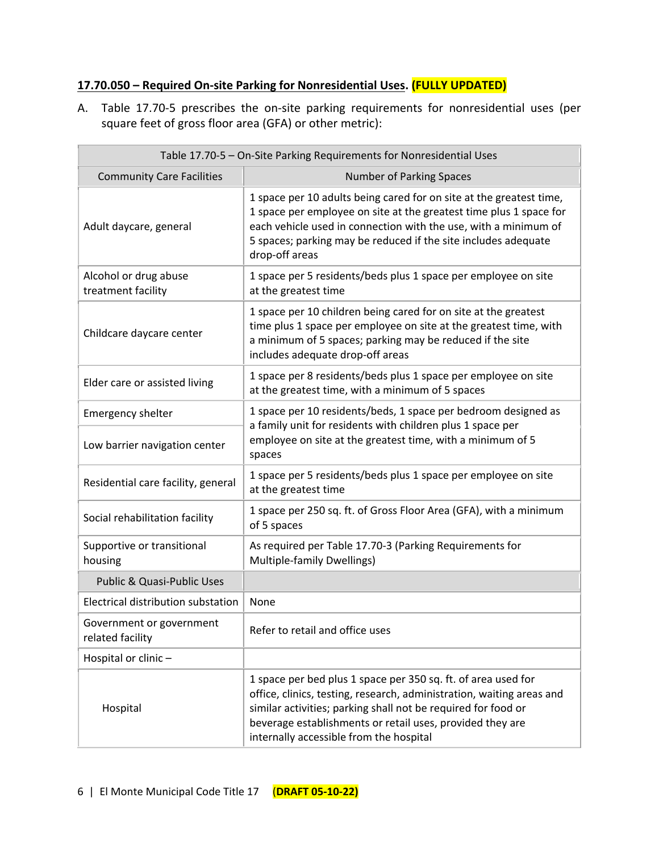## **17.70.050 – Required On-site Parking for Nonresidential Uses. (FULLY UPDATED)**

A. Table 17.70-5 prescribes the on-site parking requirements for nonresidential uses (per square feet of gross floor area (GFA) or other metric):

| Table 17.70-5 - On-Site Parking Requirements for Nonresidential Uses |                                                                                                                                                                                                                                                                                                                 |  |
|----------------------------------------------------------------------|-----------------------------------------------------------------------------------------------------------------------------------------------------------------------------------------------------------------------------------------------------------------------------------------------------------------|--|
| <b>Community Care Facilities</b>                                     | <b>Number of Parking Spaces</b>                                                                                                                                                                                                                                                                                 |  |
| Adult daycare, general                                               | 1 space per 10 adults being cared for on site at the greatest time,<br>1 space per employee on site at the greatest time plus 1 space for<br>each vehicle used in connection with the use, with a minimum of<br>5 spaces; parking may be reduced if the site includes adequate<br>drop-off areas                |  |
| Alcohol or drug abuse<br>treatment facility                          | 1 space per 5 residents/beds plus 1 space per employee on site<br>at the greatest time                                                                                                                                                                                                                          |  |
| Childcare daycare center                                             | 1 space per 10 children being cared for on site at the greatest<br>time plus 1 space per employee on site at the greatest time, with<br>a minimum of 5 spaces; parking may be reduced if the site<br>includes adequate drop-off areas                                                                           |  |
| Elder care or assisted living                                        | 1 space per 8 residents/beds plus 1 space per employee on site<br>at the greatest time, with a minimum of 5 spaces                                                                                                                                                                                              |  |
| <b>Emergency shelter</b>                                             | 1 space per 10 residents/beds, 1 space per bedroom designed as                                                                                                                                                                                                                                                  |  |
| Low barrier navigation center                                        | a family unit for residents with children plus 1 space per<br>employee on site at the greatest time, with a minimum of 5<br>spaces                                                                                                                                                                              |  |
| Residential care facility, general                                   | 1 space per 5 residents/beds plus 1 space per employee on site<br>at the greatest time                                                                                                                                                                                                                          |  |
| Social rehabilitation facility                                       | 1 space per 250 sq. ft. of Gross Floor Area (GFA), with a minimum<br>of 5 spaces                                                                                                                                                                                                                                |  |
| Supportive or transitional<br>housing                                | As required per Table 17.70-3 (Parking Requirements for<br>Multiple-family Dwellings)                                                                                                                                                                                                                           |  |
| Public & Quasi-Public Uses                                           |                                                                                                                                                                                                                                                                                                                 |  |
| Electrical distribution substation                                   | None                                                                                                                                                                                                                                                                                                            |  |
| Government or government<br>related facility                         | Refer to retail and office uses                                                                                                                                                                                                                                                                                 |  |
| Hospital or clinic -                                                 |                                                                                                                                                                                                                                                                                                                 |  |
| Hospital                                                             | 1 space per bed plus 1 space per 350 sq. ft. of area used for<br>office, clinics, testing, research, administration, waiting areas and<br>similar activities; parking shall not be required for food or<br>beverage establishments or retail uses, provided they are<br>internally accessible from the hospital |  |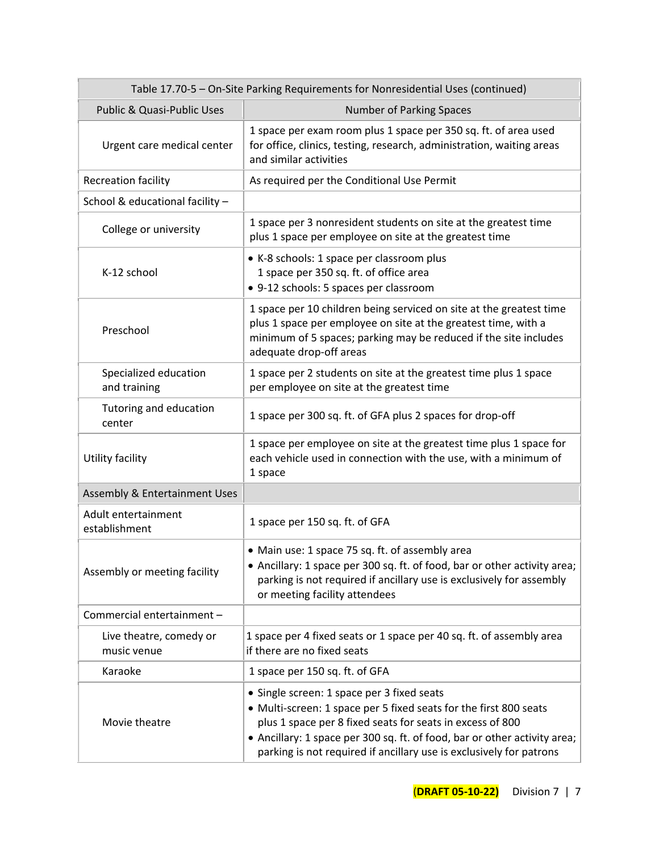| Table 17.70-5 - On-Site Parking Requirements for Nonresidential Uses (continued) |                                                                                                                                                                                                                                                                                                                                  |  |
|----------------------------------------------------------------------------------|----------------------------------------------------------------------------------------------------------------------------------------------------------------------------------------------------------------------------------------------------------------------------------------------------------------------------------|--|
| Public & Quasi-Public Uses                                                       | <b>Number of Parking Spaces</b>                                                                                                                                                                                                                                                                                                  |  |
| Urgent care medical center                                                       | 1 space per exam room plus 1 space per 350 sq. ft. of area used<br>for office, clinics, testing, research, administration, waiting areas<br>and similar activities                                                                                                                                                               |  |
| Recreation facility                                                              | As required per the Conditional Use Permit                                                                                                                                                                                                                                                                                       |  |
| School & educational facility -                                                  |                                                                                                                                                                                                                                                                                                                                  |  |
| College or university                                                            | 1 space per 3 nonresident students on site at the greatest time<br>plus 1 space per employee on site at the greatest time                                                                                                                                                                                                        |  |
| K-12 school                                                                      | • K-8 schools: 1 space per classroom plus<br>1 space per 350 sq. ft. of office area<br>• 9-12 schools: 5 spaces per classroom                                                                                                                                                                                                    |  |
| Preschool                                                                        | 1 space per 10 children being serviced on site at the greatest time<br>plus 1 space per employee on site at the greatest time, with a<br>minimum of 5 spaces; parking may be reduced if the site includes<br>adequate drop-off areas                                                                                             |  |
| Specialized education<br>and training                                            | 1 space per 2 students on site at the greatest time plus 1 space<br>per employee on site at the greatest time                                                                                                                                                                                                                    |  |
| Tutoring and education<br>center                                                 | 1 space per 300 sq. ft. of GFA plus 2 spaces for drop-off                                                                                                                                                                                                                                                                        |  |
| Utility facility                                                                 | 1 space per employee on site at the greatest time plus 1 space for<br>each vehicle used in connection with the use, with a minimum of<br>1 space                                                                                                                                                                                 |  |
| Assembly & Entertainment Uses                                                    |                                                                                                                                                                                                                                                                                                                                  |  |
| Adult entertainment<br>establishment                                             | 1 space per 150 sq. ft. of GFA                                                                                                                                                                                                                                                                                                   |  |
| Assembly or meeting facility                                                     | • Main use: 1 space 75 sq. ft. of assembly area<br>• Ancillary: 1 space per 300 sq. ft. of food, bar or other activity area;<br>parking is not required if ancillary use is exclusively for assembly<br>or meeting facility attendees                                                                                            |  |
| Commercial entertainment -                                                       |                                                                                                                                                                                                                                                                                                                                  |  |
| Live theatre, comedy or<br>music venue                                           | 1 space per 4 fixed seats or 1 space per 40 sq. ft. of assembly area<br>if there are no fixed seats                                                                                                                                                                                                                              |  |
| Karaoke                                                                          | 1 space per 150 sq. ft. of GFA                                                                                                                                                                                                                                                                                                   |  |
| Movie theatre                                                                    | • Single screen: 1 space per 3 fixed seats<br>• Multi-screen: 1 space per 5 fixed seats for the first 800 seats<br>plus 1 space per 8 fixed seats for seats in excess of 800<br>• Ancillary: 1 space per 300 sq. ft. of food, bar or other activity area;<br>parking is not required if ancillary use is exclusively for patrons |  |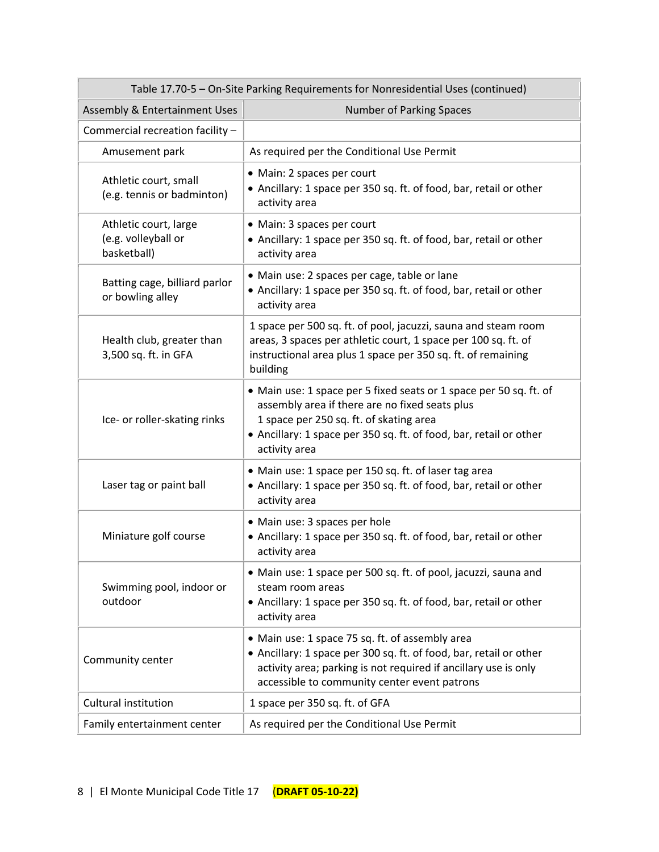| Table 17.70-5 - On-Site Parking Requirements for Nonresidential Uses (continued) |                                                                                                                                                                                                                                                        |  |  |
|----------------------------------------------------------------------------------|--------------------------------------------------------------------------------------------------------------------------------------------------------------------------------------------------------------------------------------------------------|--|--|
| Assembly & Entertainment Uses                                                    | <b>Number of Parking Spaces</b>                                                                                                                                                                                                                        |  |  |
| Commercial recreation facility -                                                 |                                                                                                                                                                                                                                                        |  |  |
| Amusement park                                                                   | As required per the Conditional Use Permit                                                                                                                                                                                                             |  |  |
| Athletic court, small<br>(e.g. tennis or badminton)                              | • Main: 2 spaces per court<br>• Ancillary: 1 space per 350 sq. ft. of food, bar, retail or other<br>activity area                                                                                                                                      |  |  |
| Athletic court, large<br>(e.g. volleyball or<br>basketball)                      | • Main: 3 spaces per court<br>• Ancillary: 1 space per 350 sq. ft. of food, bar, retail or other<br>activity area                                                                                                                                      |  |  |
| Batting cage, billiard parlor<br>or bowling alley                                | • Main use: 2 spaces per cage, table or lane<br>• Ancillary: 1 space per 350 sq. ft. of food, bar, retail or other<br>activity area                                                                                                                    |  |  |
| Health club, greater than<br>3,500 sq. ft. in GFA                                | 1 space per 500 sq. ft. of pool, jacuzzi, sauna and steam room<br>areas, 3 spaces per athletic court, 1 space per 100 sq. ft. of<br>instructional area plus 1 space per 350 sq. ft. of remaining<br>building                                           |  |  |
| Ice- or roller-skating rinks                                                     | • Main use: 1 space per 5 fixed seats or 1 space per 50 sq. ft. of<br>assembly area if there are no fixed seats plus<br>1 space per 250 sq. ft. of skating area<br>• Ancillary: 1 space per 350 sq. ft. of food, bar, retail or other<br>activity area |  |  |
| Laser tag or paint ball                                                          | • Main use: 1 space per 150 sq. ft. of laser tag area<br>• Ancillary: 1 space per 350 sq. ft. of food, bar, retail or other<br>activity area                                                                                                           |  |  |
| Miniature golf course                                                            | • Main use: 3 spaces per hole<br>• Ancillary: 1 space per 350 sq. ft. of food, bar, retail or other<br>activity area                                                                                                                                   |  |  |
| Swimming pool, indoor or<br>outdoor                                              | • Main use: 1 space per 500 sq. ft. of pool, jacuzzi, sauna and<br>steam room areas<br>• Ancillary: 1 space per 350 sq. ft. of food, bar, retail or other<br>activity area                                                                             |  |  |
| Community center                                                                 | • Main use: 1 space 75 sq. ft. of assembly area<br>• Ancillary: 1 space per 300 sq. ft. of food, bar, retail or other<br>activity area; parking is not required if ancillary use is only<br>accessible to community center event patrons               |  |  |
| <b>Cultural institution</b>                                                      | 1 space per 350 sq. ft. of GFA                                                                                                                                                                                                                         |  |  |
| Family entertainment center                                                      | As required per the Conditional Use Permit                                                                                                                                                                                                             |  |  |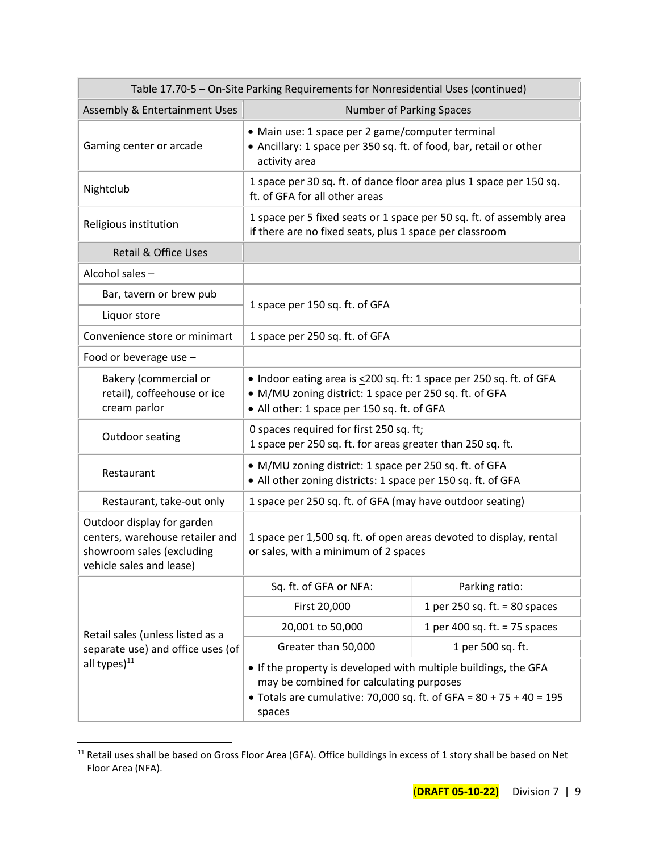| Table 17.70-5 - On-Site Parking Requirements for Nonresidential Uses (continued)                                       |                                                                                                                                                                                                |                                 |  |
|------------------------------------------------------------------------------------------------------------------------|------------------------------------------------------------------------------------------------------------------------------------------------------------------------------------------------|---------------------------------|--|
| Assembly & Entertainment Uses                                                                                          | <b>Number of Parking Spaces</b>                                                                                                                                                                |                                 |  |
| Gaming center or arcade                                                                                                | • Main use: 1 space per 2 game/computer terminal<br>• Ancillary: 1 space per 350 sq. ft. of food, bar, retail or other<br>activity area                                                        |                                 |  |
| Nightclub                                                                                                              | 1 space per 30 sq. ft. of dance floor area plus 1 space per 150 sq.<br>ft. of GFA for all other areas                                                                                          |                                 |  |
| Religious institution                                                                                                  | 1 space per 5 fixed seats or 1 space per 50 sq. ft. of assembly area<br>if there are no fixed seats, plus 1 space per classroom                                                                |                                 |  |
| <b>Retail &amp; Office Uses</b>                                                                                        |                                                                                                                                                                                                |                                 |  |
| Alcohol sales -                                                                                                        |                                                                                                                                                                                                |                                 |  |
| Bar, tavern or brew pub                                                                                                | 1 space per 150 sq. ft. of GFA                                                                                                                                                                 |                                 |  |
| Liquor store                                                                                                           |                                                                                                                                                                                                |                                 |  |
| Convenience store or minimart                                                                                          | 1 space per 250 sq. ft. of GFA                                                                                                                                                                 |                                 |  |
| Food or beverage use -                                                                                                 |                                                                                                                                                                                                |                                 |  |
| Bakery (commercial or<br>retail), coffeehouse or ice<br>cream parlor                                                   | • Indoor eating area is <200 sq. ft: 1 space per 250 sq. ft. of GFA<br>• M/MU zoning district: 1 space per 250 sq. ft. of GFA<br>• All other: 1 space per 150 sq. ft. of GFA                   |                                 |  |
| Outdoor seating                                                                                                        | 0 spaces required for first 250 sq. ft;<br>1 space per 250 sq. ft. for areas greater than 250 sq. ft.                                                                                          |                                 |  |
| Restaurant                                                                                                             | • M/MU zoning district: 1 space per 250 sq. ft. of GFA<br>• All other zoning districts: 1 space per 150 sq. ft. of GFA                                                                         |                                 |  |
| Restaurant, take-out only                                                                                              | 1 space per 250 sq. ft. of GFA (may have outdoor seating)                                                                                                                                      |                                 |  |
| Outdoor display for garden<br>centers, warehouse retailer and<br>showroom sales (excluding<br>vehicle sales and lease) | 1 space per 1,500 sq. ft. of open areas devoted to display, rental<br>or sales, with a minimum of 2 spaces                                                                                     |                                 |  |
|                                                                                                                        | Sq. ft. of GFA or NFA:                                                                                                                                                                         | Parking ratio:                  |  |
|                                                                                                                        | First 20,000                                                                                                                                                                                   | 1 per 250 sq. ft. $= 80$ spaces |  |
| Retail sales (unless listed as a                                                                                       | 20,001 to 50,000                                                                                                                                                                               | 1 per 400 sq. ft. = $75$ spaces |  |
| separate use) and office uses (of                                                                                      | Greater than 50,000                                                                                                                                                                            | 1 per 500 sq. ft.               |  |
| all types) $^{11}$                                                                                                     | • If the property is developed with multiple buildings, the GFA<br>may be combined for calculating purposes<br>• Totals are cumulative: 70,000 sq. ft. of GFA = $80 + 75 + 40 = 195$<br>spaces |                                 |  |

<sup>&</sup>lt;sup>11</sup> Retail uses shall be based on Gross Floor Area (GFA). Office buildings in excess of 1 story shall be based on Net Floor Area (NFA).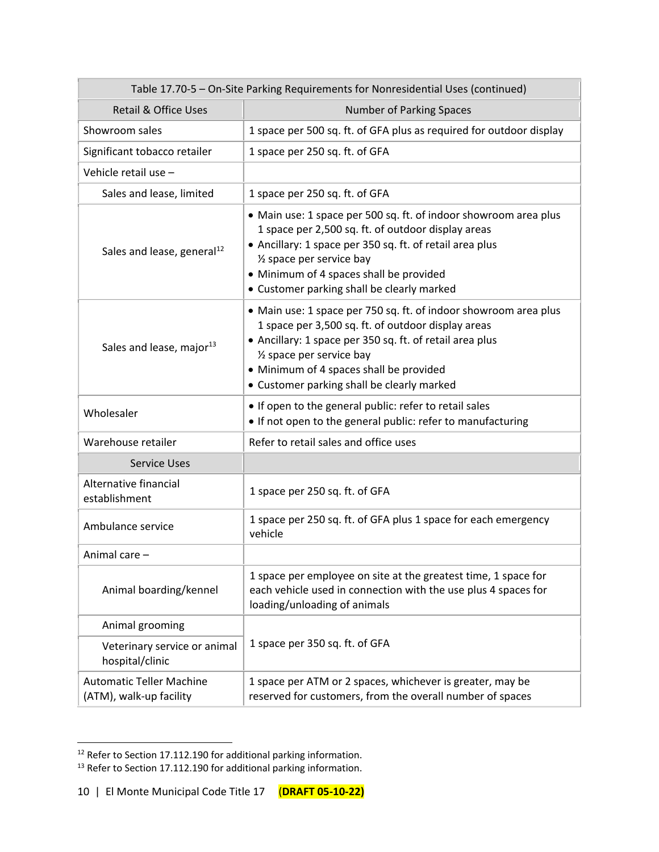| Table 17.70-5 - On-Site Parking Requirements for Nonresidential Uses (continued) |                                                                                                                                                                                                                                                                                                          |  |  |  |
|----------------------------------------------------------------------------------|----------------------------------------------------------------------------------------------------------------------------------------------------------------------------------------------------------------------------------------------------------------------------------------------------------|--|--|--|
| <b>Retail &amp; Office Uses</b>                                                  | <b>Number of Parking Spaces</b>                                                                                                                                                                                                                                                                          |  |  |  |
| Showroom sales                                                                   | 1 space per 500 sq. ft. of GFA plus as required for outdoor display                                                                                                                                                                                                                                      |  |  |  |
| Significant tobacco retailer                                                     | 1 space per 250 sq. ft. of GFA                                                                                                                                                                                                                                                                           |  |  |  |
| Vehicle retail use -                                                             |                                                                                                                                                                                                                                                                                                          |  |  |  |
| Sales and lease, limited                                                         | 1 space per 250 sq. ft. of GFA                                                                                                                                                                                                                                                                           |  |  |  |
| Sales and lease, general <sup>12</sup>                                           | • Main use: 1 space per 500 sq. ft. of indoor showroom area plus<br>1 space per 2,500 sq. ft. of outdoor display areas<br>• Ancillary: 1 space per 350 sq. ft. of retail area plus<br>1/2 space per service bay<br>• Minimum of 4 spaces shall be provided<br>• Customer parking shall be clearly marked |  |  |  |
| Sales and lease, major <sup>13</sup>                                             | • Main use: 1 space per 750 sq. ft. of indoor showroom area plus<br>1 space per 3,500 sq. ft. of outdoor display areas<br>• Ancillary: 1 space per 350 sq. ft. of retail area plus<br>1/2 space per service bay<br>• Minimum of 4 spaces shall be provided<br>• Customer parking shall be clearly marked |  |  |  |
| Wholesaler                                                                       | • If open to the general public: refer to retail sales<br>• If not open to the general public: refer to manufacturing                                                                                                                                                                                    |  |  |  |
| Warehouse retailer                                                               | Refer to retail sales and office uses                                                                                                                                                                                                                                                                    |  |  |  |
| <b>Service Uses</b>                                                              |                                                                                                                                                                                                                                                                                                          |  |  |  |
| Alternative financial<br>establishment                                           | 1 space per 250 sq. ft. of GFA                                                                                                                                                                                                                                                                           |  |  |  |
| Ambulance service                                                                | 1 space per 250 sq. ft. of GFA plus 1 space for each emergency<br>vehicle                                                                                                                                                                                                                                |  |  |  |
| Animal care -                                                                    |                                                                                                                                                                                                                                                                                                          |  |  |  |
| Animal boarding/kennel                                                           | 1 space per employee on site at the greatest time, 1 space for<br>each vehicle used in connection with the use plus 4 spaces for<br>loading/unloading of animals                                                                                                                                         |  |  |  |
| Animal grooming                                                                  |                                                                                                                                                                                                                                                                                                          |  |  |  |
| Veterinary service or animal<br>hospital/clinic                                  | 1 space per 350 sq. ft. of GFA                                                                                                                                                                                                                                                                           |  |  |  |
| <b>Automatic Teller Machine</b><br>(ATM), walk-up facility                       | 1 space per ATM or 2 spaces, whichever is greater, may be<br>reserved for customers, from the overall number of spaces                                                                                                                                                                                   |  |  |  |

 $12$  Refer to Section 17.112.190 for additional parking information.

 $^{13}$  Refer to Section 17.112.190 for additional parking information.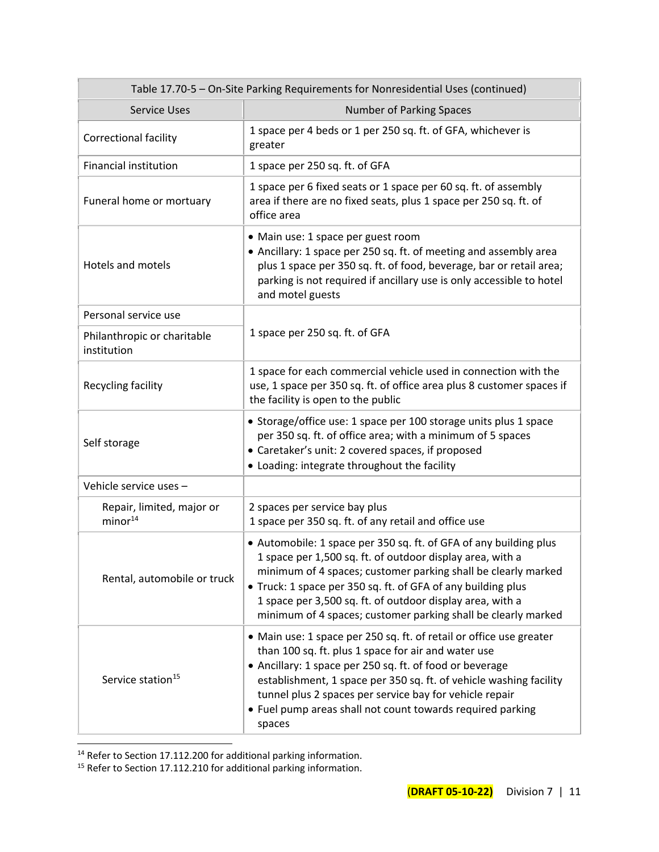| Table 17.70-5 - On-Site Parking Requirements for Nonresidential Uses (continued) |                                                                                                                                                                                                                                                                                                                                                                                                 |  |  |
|----------------------------------------------------------------------------------|-------------------------------------------------------------------------------------------------------------------------------------------------------------------------------------------------------------------------------------------------------------------------------------------------------------------------------------------------------------------------------------------------|--|--|
| <b>Service Uses</b>                                                              | <b>Number of Parking Spaces</b>                                                                                                                                                                                                                                                                                                                                                                 |  |  |
| Correctional facility                                                            | 1 space per 4 beds or 1 per 250 sq. ft. of GFA, whichever is<br>greater                                                                                                                                                                                                                                                                                                                         |  |  |
| <b>Financial institution</b>                                                     | 1 space per 250 sq. ft. of GFA                                                                                                                                                                                                                                                                                                                                                                  |  |  |
| Funeral home or mortuary                                                         | 1 space per 6 fixed seats or 1 space per 60 sq. ft. of assembly<br>area if there are no fixed seats, plus 1 space per 250 sq. ft. of<br>office area                                                                                                                                                                                                                                             |  |  |
| Hotels and motels                                                                | • Main use: 1 space per guest room<br>• Ancillary: 1 space per 250 sq. ft. of meeting and assembly area<br>plus 1 space per 350 sq. ft. of food, beverage, bar or retail area;<br>parking is not required if ancillary use is only accessible to hotel<br>and motel guests                                                                                                                      |  |  |
| Personal service use                                                             |                                                                                                                                                                                                                                                                                                                                                                                                 |  |  |
| Philanthropic or charitable<br>institution                                       | 1 space per 250 sq. ft. of GFA                                                                                                                                                                                                                                                                                                                                                                  |  |  |
| Recycling facility                                                               | 1 space for each commercial vehicle used in connection with the<br>use, 1 space per 350 sq. ft. of office area plus 8 customer spaces if<br>the facility is open to the public                                                                                                                                                                                                                  |  |  |
| Self storage                                                                     | • Storage/office use: 1 space per 100 storage units plus 1 space<br>per 350 sq. ft. of office area; with a minimum of 5 spaces<br>• Caretaker's unit: 2 covered spaces, if proposed<br>• Loading: integrate throughout the facility                                                                                                                                                             |  |  |
| Vehicle service uses -                                                           |                                                                                                                                                                                                                                                                                                                                                                                                 |  |  |
| Repair, limited, major or<br>minor <sup>14</sup>                                 | 2 spaces per service bay plus<br>1 space per 350 sq. ft. of any retail and office use                                                                                                                                                                                                                                                                                                           |  |  |
| Rental, automobile or truck                                                      | • Automobile: 1 space per 350 sq. ft. of GFA of any building plus<br>1 space per 1,500 sq. ft. of outdoor display area, with a<br>minimum of 4 spaces; customer parking shall be clearly marked<br>• Truck: 1 space per 350 sq. ft. of GFA of any building plus<br>1 space per 3,500 sq. ft. of outdoor display area, with a<br>minimum of 4 spaces; customer parking shall be clearly marked   |  |  |
| Service station <sup>15</sup>                                                    | • Main use: 1 space per 250 sq. ft. of retail or office use greater<br>than 100 sq. ft. plus 1 space for air and water use<br>• Ancillary: 1 space per 250 sq. ft. of food or beverage<br>establishment, 1 space per 350 sq. ft. of vehicle washing facility<br>tunnel plus 2 spaces per service bay for vehicle repair<br>• Fuel pump areas shall not count towards required parking<br>spaces |  |  |

 $14$  Refer to Section 17.112.200 for additional parking information.

 $<sup>15</sup>$  Refer to Section 17.112.210 for additional parking information.</sup>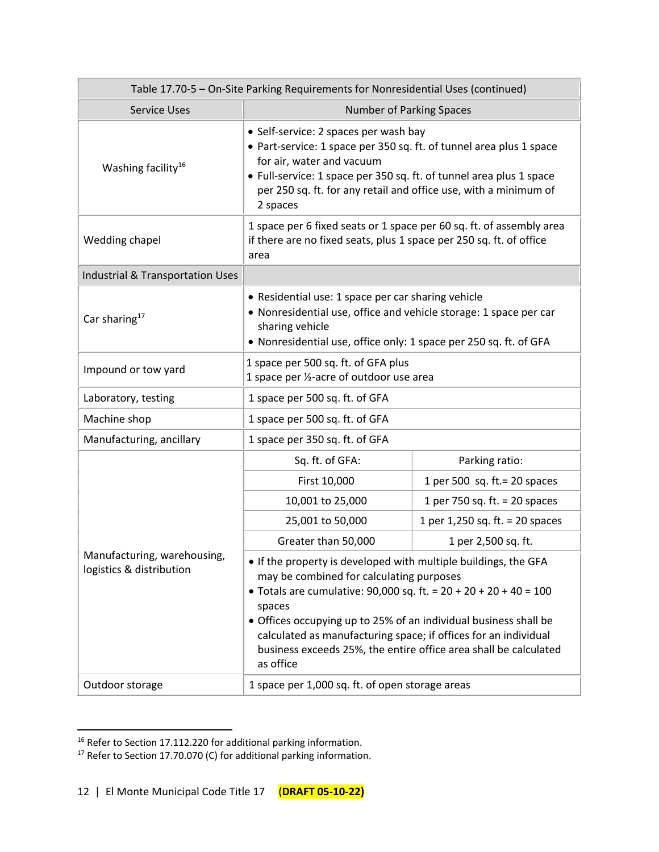| Table 17.70-5 - On-Site Parking Requirements for Nonresidential Uses (continued) |                                                                                                                                                                                                                                                                                                                                                                                                                      |                                 |  |
|----------------------------------------------------------------------------------|----------------------------------------------------------------------------------------------------------------------------------------------------------------------------------------------------------------------------------------------------------------------------------------------------------------------------------------------------------------------------------------------------------------------|---------------------------------|--|
| <b>Service Uses</b>                                                              | <b>Number of Parking Spaces</b>                                                                                                                                                                                                                                                                                                                                                                                      |                                 |  |
| Washing facility <sup>16</sup>                                                   | • Self-service: 2 spaces per wash bay<br>• Part-service: 1 space per 350 sq. ft. of tunnel area plus 1 space<br>for air, water and vacuum<br>• Full-service: 1 space per 350 sq. ft. of tunnel area plus 1 space<br>per 250 sq. ft. for any retail and office use, with a minimum of<br>2 spaces                                                                                                                     |                                 |  |
| Wedding chapel                                                                   | 1 space per 6 fixed seats or 1 space per 60 sq. ft. of assembly area<br>if there are no fixed seats, plus 1 space per 250 sq. ft. of office<br>area                                                                                                                                                                                                                                                                  |                                 |  |
| Industrial & Transportation Uses                                                 |                                                                                                                                                                                                                                                                                                                                                                                                                      |                                 |  |
| Car sharing <sup>17</sup>                                                        | • Residential use: 1 space per car sharing vehicle<br>• Nonresidential use, office and vehicle storage: 1 space per car<br>sharing vehicle<br>• Nonresidential use, office only: 1 space per 250 sq. ft. of GFA                                                                                                                                                                                                      |                                 |  |
| Impound or tow yard                                                              | 1 space per 500 sq. ft. of GFA plus<br>1 space per 1/2-acre of outdoor use area                                                                                                                                                                                                                                                                                                                                      |                                 |  |
| Laboratory, testing                                                              | 1 space per 500 sq. ft. of GFA                                                                                                                                                                                                                                                                                                                                                                                       |                                 |  |
| Machine shop                                                                     | 1 space per 500 sq. ft. of GFA                                                                                                                                                                                                                                                                                                                                                                                       |                                 |  |
| Manufacturing, ancillary                                                         | 1 space per 350 sq. ft. of GFA                                                                                                                                                                                                                                                                                                                                                                                       |                                 |  |
|                                                                                  | Sq. ft. of GFA:                                                                                                                                                                                                                                                                                                                                                                                                      | Parking ratio:                  |  |
|                                                                                  | First 10,000                                                                                                                                                                                                                                                                                                                                                                                                         | 1 per 500 sq. ft. = $20$ spaces |  |
|                                                                                  | 10,001 to 25,000                                                                                                                                                                                                                                                                                                                                                                                                     | 1 per 750 sq. ft. $= 20$ spaces |  |
|                                                                                  | 25,001 to 50,000                                                                                                                                                                                                                                                                                                                                                                                                     | 1 per 1,250 sq. ft. = 20 spaces |  |
|                                                                                  | Greater than 50,000                                                                                                                                                                                                                                                                                                                                                                                                  | 1 per 2,500 sq. ft.             |  |
| Manufacturing, warehousing,<br>logistics & distribution                          | . If the property is developed with multiple buildings, the GFA<br>may be combined for calculating purposes<br>• Totals are cumulative: 90,000 sq. ft. = $20 + 20 + 20 + 40 = 100$<br>spaces<br>• Offices occupying up to 25% of an individual business shall be<br>calculated as manufacturing space; if offices for an individual<br>business exceeds 25%, the entire office area shall be calculated<br>as office |                                 |  |
| Outdoor storage                                                                  | 1 space per 1,000 sq. ft. of open storage areas                                                                                                                                                                                                                                                                                                                                                                      |                                 |  |

 $^{16}$  Refer to Section 17.112.220 for additional parking information.

 $17$  Refer to Section 17.70.070 (C) for additional parking information.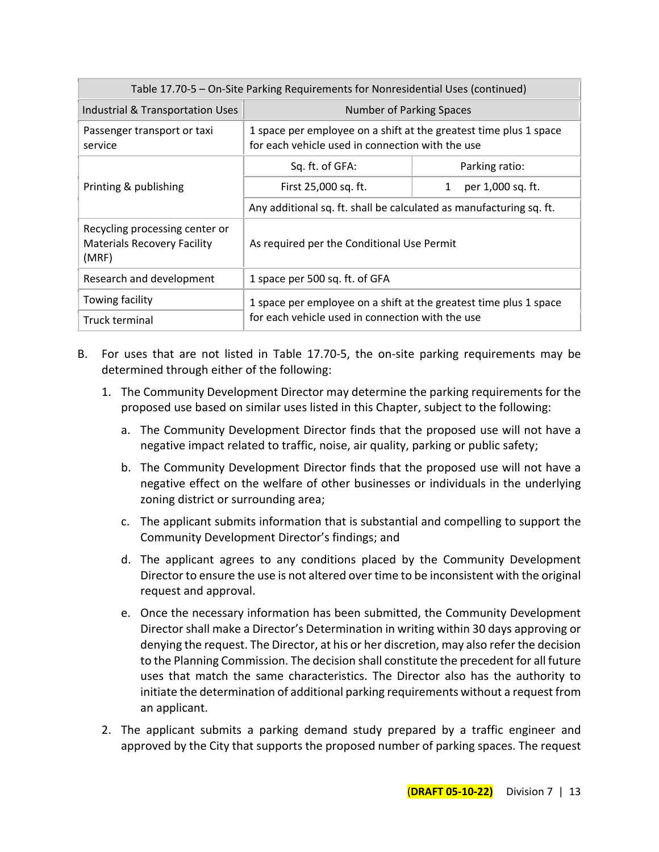| Table 17.70-5 - On-Site Parking Requirements for Nonresidential Uses (continued) |                                                                                                                       |                        |  |  |  |  |  |
|----------------------------------------------------------------------------------|-----------------------------------------------------------------------------------------------------------------------|------------------------|--|--|--|--|--|
| Industrial & Transportation Uses<br>Number of Parking Spaces                     |                                                                                                                       |                        |  |  |  |  |  |
| Passenger transport or taxi<br>service                                           | 1 space per employee on a shift at the greatest time plus 1 space<br>for each vehicle used in connection with the use |                        |  |  |  |  |  |
|                                                                                  | Sq. ft. of GFA:                                                                                                       | Parking ratio:         |  |  |  |  |  |
| Printing & publishing                                                            | First 25,000 sq. ft.                                                                                                  | per 1,000 sq. ft.<br>1 |  |  |  |  |  |
|                                                                                  | Any additional sq. ft. shall be calculated as manufacturing sq. ft.                                                   |                        |  |  |  |  |  |
| Recycling processing center or<br><b>Materials Recovery Facility</b><br>(MRF)    | As required per the Conditional Use Permit                                                                            |                        |  |  |  |  |  |
| Research and development                                                         | 1 space per 500 sq. ft. of GFA                                                                                        |                        |  |  |  |  |  |
| Towing facility                                                                  | 1 space per employee on a shift at the greatest time plus 1 space                                                     |                        |  |  |  |  |  |
| Truck terminal                                                                   | for each vehicle used in connection with the use                                                                      |                        |  |  |  |  |  |

- B. For uses that are not listed in Table 17.70-5, the on-site parking requirements may be determined through either of the following:
	- 1. The Community Development Director may determine the parking requirements for the proposed use based on similar uses listed in this Chapter, subject to the following:
		- a. The Community Development Director finds that the proposed use will not have a negative impact related to traffic, noise, air quality, parking or public safety;
		- b. The Community Development Director finds that the proposed use will not have a negative effect on the welfare of other businesses or individuals in the underlying zoning district or surrounding area;
		- c. The applicant submits information that is substantial and compelling to support the Community Development Director's findings; and
		- d. The applicant agrees to any conditions placed by the Community Development Director to ensure the use is not altered over time to be inconsistent with the original request and approval.
		- e. Once the necessary information has been submitted, the Community Development Director shall make a Director's Determination in writing within 30 days approving or denying the request. The Director, at his or her discretion, may also refer the decision to the Planning Commission. The decision shall constitute the precedent for all future uses that match the same characteristics. The Director also has the authority to initiate the determination of additional parking requirements without a request from an applicant.
	- 2. The applicant submits a parking demand study prepared by a traffic engineer and approved by the City that supports the proposed number of parking spaces. The request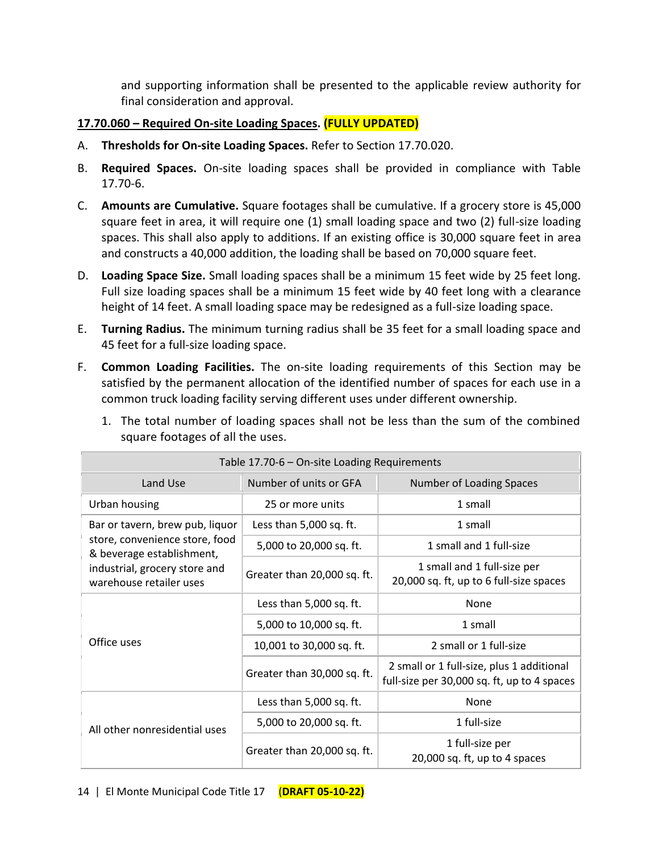and supporting information shall be presented to the applicable review authority for final consideration and approval.

## **17.70.060 – Required On-site Loading Spaces. (FULLY UPDATED)**

- A. **Thresholds for On-site Loading Spaces.** Refer to Section 17.70.020.
- B. **Required Spaces.** On-site loading spaces shall be provided in compliance with Table 17.70-6.
- C. **Amounts are Cumulative.** Square footages shall be cumulative. If a grocery store is 45,000 square feet in area, it will require one (1) small loading space and two (2) full-size loading spaces. This shall also apply to additions. If an existing office is 30,000 square feet in area and constructs a 40,000 addition, the loading shall be based on 70,000 square feet.
- D. **Loading Space Size.** Small loading spaces shall be a minimum 15 feet wide by 25 feet long. Full size loading spaces shall be a minimum 15 feet wide by 40 feet long with a clearance height of 14 feet. A small loading space may be redesigned as a full-size loading space.
- E. **Turning Radius.** The minimum turning radius shall be 35 feet for a small loading space and 45 feet for a full-size loading space.
- F. **Common Loading Facilities.** The on-site loading requirements of this Section may be satisfied by the permanent allocation of the identified number of spaces for each use in a common truck loading facility serving different uses under different ownership.

| Table 17.70-6 - On-site Loading Requirements                |                             |                                                                                          |  |  |  |  |  |
|-------------------------------------------------------------|-----------------------------|------------------------------------------------------------------------------------------|--|--|--|--|--|
| Land Use                                                    | Number of units or GFA      | Number of Loading Spaces                                                                 |  |  |  |  |  |
| Urban housing                                               | 25 or more units            | 1 small                                                                                  |  |  |  |  |  |
| Bar or tavern, brew pub, liquor                             | Less than 5,000 sq. ft.     | 1 small                                                                                  |  |  |  |  |  |
| store, convenience store, food<br>& beverage establishment, | 5,000 to 20,000 sq. ft.     | 1 small and 1 full-size                                                                  |  |  |  |  |  |
| industrial, grocery store and<br>warehouse retailer uses    | Greater than 20,000 sq. ft. | 1 small and 1 full-size per<br>20,000 sq. ft, up to 6 full-size spaces                   |  |  |  |  |  |
|                                                             | Less than 5,000 sq. ft.     | None                                                                                     |  |  |  |  |  |
|                                                             | 5,000 to 10,000 sq. ft.     | 1 small                                                                                  |  |  |  |  |  |
| Office uses                                                 | 10,001 to 30,000 sq. ft.    | 2 small or 1 full-size                                                                   |  |  |  |  |  |
|                                                             | Greater than 30,000 sq. ft. | 2 small or 1 full-size, plus 1 additional<br>full-size per 30,000 sq. ft, up to 4 spaces |  |  |  |  |  |
|                                                             | Less than 5,000 sq. ft.     | None                                                                                     |  |  |  |  |  |
| All other nonresidential uses                               | 5,000 to 20,000 sq. ft.     | 1 full-size                                                                              |  |  |  |  |  |
|                                                             | Greater than 20,000 sq. ft. | 1 full-size per<br>20,000 sq. ft, up to 4 spaces                                         |  |  |  |  |  |

1. The total number of loading spaces shall not be less than the sum of the combined square footages of all the uses.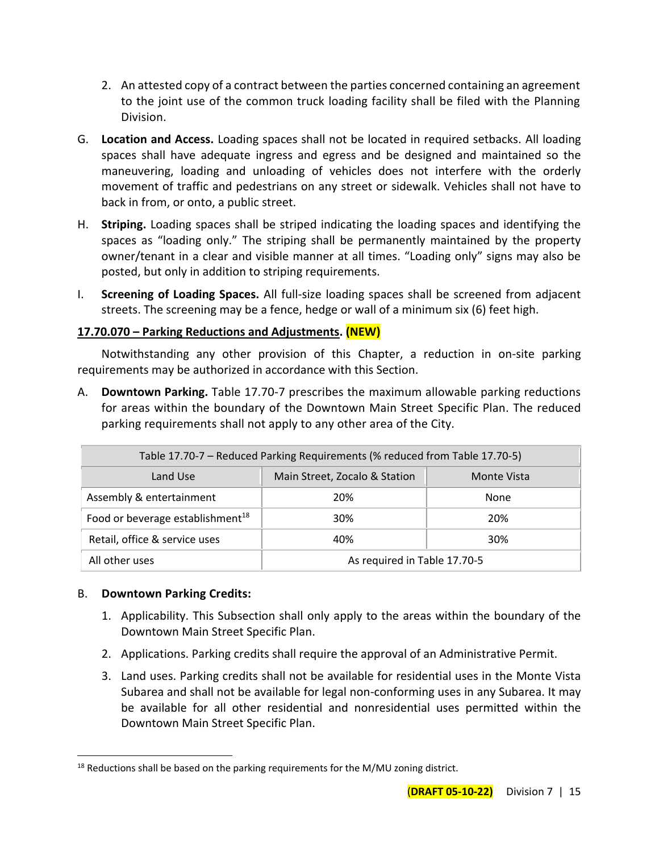- 2. An attested copy of a contract between the parties concerned containing an agreement to the joint use of the common truck loading facility shall be filed with the Planning Division.
- G. **Location and Access.** Loading spaces shall not be located in required setbacks. All loading spaces shall have adequate ingress and egress and be designed and maintained so the maneuvering, loading and unloading of vehicles does not interfere with the orderly movement of traffic and pedestrians on any street or sidewalk. Vehicles shall not have to back in from, or onto, a public street.
- H. **Striping.** Loading spaces shall be striped indicating the loading spaces and identifying the spaces as "loading only." The striping shall be permanently maintained by the property owner/tenant in a clear and visible manner at all times. "Loading only" signs may also be posted, but only in addition to striping requirements.
- I. **Screening of Loading Spaces.** All full-size loading spaces shall be screened from adjacent streets. The screening may be a fence, hedge or wall of a minimum six (6) feet high.

## **17.70.070 – Parking Reductions and Adjustments. (NEW)**

Notwithstanding any other provision of this Chapter, a reduction in on-site parking requirements may be authorized in accordance with this Section.

A. **Downtown Parking.** Table 17.70-7 prescribes the maximum allowable parking reductions for areas within the boundary of the Downtown Main Street Specific Plan. The reduced parking requirements shall not apply to any other area of the City.

| Table 17.70-7 - Reduced Parking Requirements (% reduced from Table 17.70-5) |                              |      |  |  |  |  |  |
|-----------------------------------------------------------------------------|------------------------------|------|--|--|--|--|--|
| Main Street, Zocalo & Station<br>Land Use<br>Monte Vista                    |                              |      |  |  |  |  |  |
| Assembly & entertainment                                                    | 20%                          | None |  |  |  |  |  |
| Food or beverage establishment <sup>18</sup>                                | 30%                          | 20%  |  |  |  |  |  |
| Retail, office & service uses                                               | 30%<br>40%                   |      |  |  |  |  |  |
| All other uses                                                              | As required in Table 17.70-5 |      |  |  |  |  |  |

## B. **Downtown Parking Credits:**

- 1. Applicability. This Subsection shall only apply to the areas within the boundary of the Downtown Main Street Specific Plan.
- 2. Applications. Parking credits shall require the approval of an Administrative Permit.
- 3. Land uses. Parking credits shall not be available for residential uses in the Monte Vista Subarea and shall not be available for legal non-conforming uses in any Subarea. It may be available for all other residential and nonresidential uses permitted within the Downtown Main Street Specific Plan.

 $18$  Reductions shall be based on the parking requirements for the M/MU zoning district.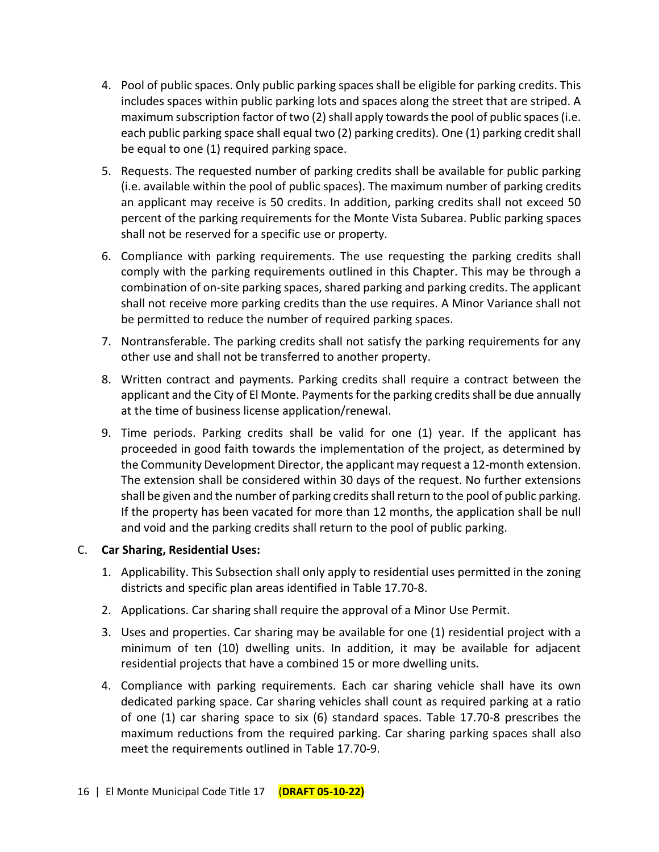- 4. Pool of public spaces. Only public parking spaces shall be eligible for parking credits. This includes spaces within public parking lots and spaces along the street that are striped. A maximum subscription factor of two (2) shall apply towards the pool of public spaces (i.e. each public parking space shall equal two (2) parking credits). One (1) parking credit shall be equal to one (1) required parking space.
- 5. Requests. The requested number of parking credits shall be available for public parking (i.e. available within the pool of public spaces). The maximum number of parking credits an applicant may receive is 50 credits. In addition, parking credits shall not exceed 50 percent of the parking requirements for the Monte Vista Subarea. Public parking spaces shall not be reserved for a specific use or property.
- 6. Compliance with parking requirements. The use requesting the parking credits shall comply with the parking requirements outlined in this Chapter. This may be through a combination of on-site parking spaces, shared parking and parking credits. The applicant shall not receive more parking credits than the use requires. A Minor Variance shall not be permitted to reduce the number of required parking spaces.
- 7. Nontransferable. The parking credits shall not satisfy the parking requirements for any other use and shall not be transferred to another property.
- 8. Written contract and payments. Parking credits shall require a contract between the applicant and the City of El Monte. Paymentsfor the parking credits shall be due annually at the time of business license application/renewal.
- 9. Time periods. Parking credits shall be valid for one (1) year. If the applicant has proceeded in good faith towards the implementation of the project, as determined by the Community Development Director, the applicant may request a 12-month extension. The extension shall be considered within 30 days of the request. No further extensions shall be given and the number of parking credits shall return to the pool of public parking. If the property has been vacated for more than 12 months, the application shall be null and void and the parking credits shall return to the pool of public parking.

## C. **Car Sharing, Residential Uses:**

- 1. Applicability. This Subsection shall only apply to residential uses permitted in the zoning districts and specific plan areas identified in Table 17.70-8.
- 2. Applications. Car sharing shall require the approval of a Minor Use Permit.
- 3. Uses and properties. Car sharing may be available for one (1) residential project with a minimum of ten (10) dwelling units. In addition, it may be available for adjacent residential projects that have a combined 15 or more dwelling units.
- 4. Compliance with parking requirements. Each car sharing vehicle shall have its own dedicated parking space. Car sharing vehicles shall count as required parking at a ratio of one (1) car sharing space to six (6) standard spaces. Table 17.70-8 prescribes the maximum reductions from the required parking. Car sharing parking spaces shall also meet the requirements outlined in Table 17.70-9.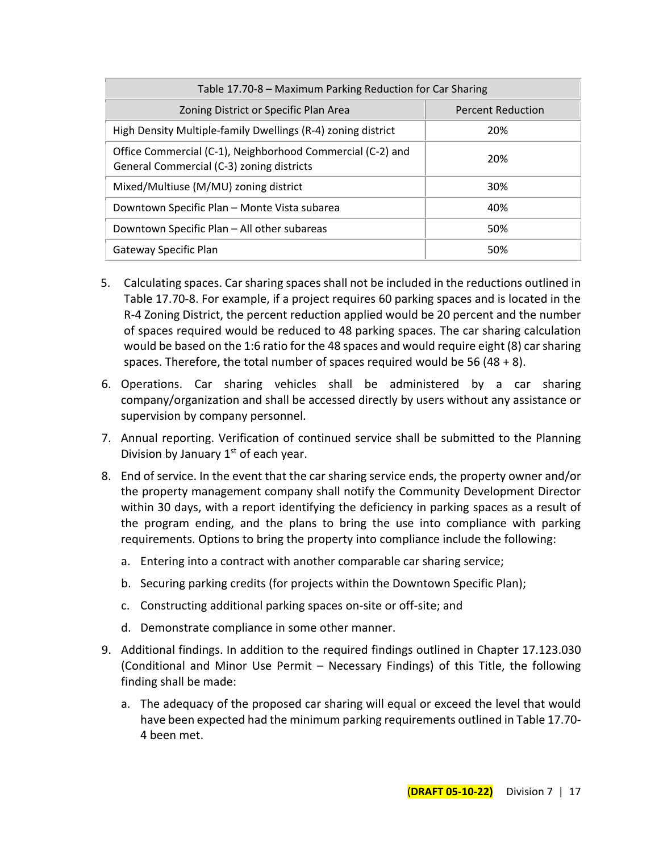| Table 17.70-8 - Maximum Parking Reduction for Car Sharing                                               |                          |  |  |  |  |  |
|---------------------------------------------------------------------------------------------------------|--------------------------|--|--|--|--|--|
| Zoning District or Specific Plan Area                                                                   | <b>Percent Reduction</b> |  |  |  |  |  |
| High Density Multiple-family Dwellings (R-4) zoning district                                            | 20%                      |  |  |  |  |  |
| Office Commercial (C-1), Neighborhood Commercial (C-2) and<br>General Commercial (C-3) zoning districts | 20%                      |  |  |  |  |  |
| Mixed/Multiuse (M/MU) zoning district                                                                   | 30%                      |  |  |  |  |  |
| Downtown Specific Plan - Monte Vista subarea                                                            | 40%                      |  |  |  |  |  |
| Downtown Specific Plan - All other subareas                                                             | 50%                      |  |  |  |  |  |
| Gateway Specific Plan                                                                                   | 50%                      |  |  |  |  |  |

- 5. Calculating spaces. Car sharing spaces shall not be included in the reductions outlined in Table 17.70-8. For example, if a project requires 60 parking spaces and is located in the R-4 Zoning District, the percent reduction applied would be 20 percent and the number of spaces required would be reduced to 48 parking spaces. The car sharing calculation would be based on the 1:6 ratio for the 48 spaces and would require eight (8) car sharing spaces. Therefore, the total number of spaces required would be 56 (48 + 8).
- 6. Operations. Car sharing vehicles shall be administered by a car sharing company/organization and shall be accessed directly by users without any assistance or supervision by company personnel.
- 7. Annual reporting. Verification of continued service shall be submitted to the Planning Division by January  $1<sup>st</sup>$  of each year.
- 8. End of service. In the event that the car sharing service ends, the property owner and/or the property management company shall notify the Community Development Director within 30 days, with a report identifying the deficiency in parking spaces as a result of the program ending, and the plans to bring the use into compliance with parking requirements. Options to bring the property into compliance include the following:
	- a. Entering into a contract with another comparable car sharing service;
	- b. Securing parking credits (for projects within the Downtown Specific Plan);
	- c. Constructing additional parking spaces on-site or off-site; and
	- d. Demonstrate compliance in some other manner.
- 9. Additional findings. In addition to the required findings outlined in Chapter 17.123.030 (Conditional and Minor Use Permit – Necessary Findings) of this Title, the following finding shall be made:
	- a. The adequacy of the proposed car sharing will equal or exceed the level that would have been expected had the minimum parking requirements outlined in Table 17.70- 4 been met.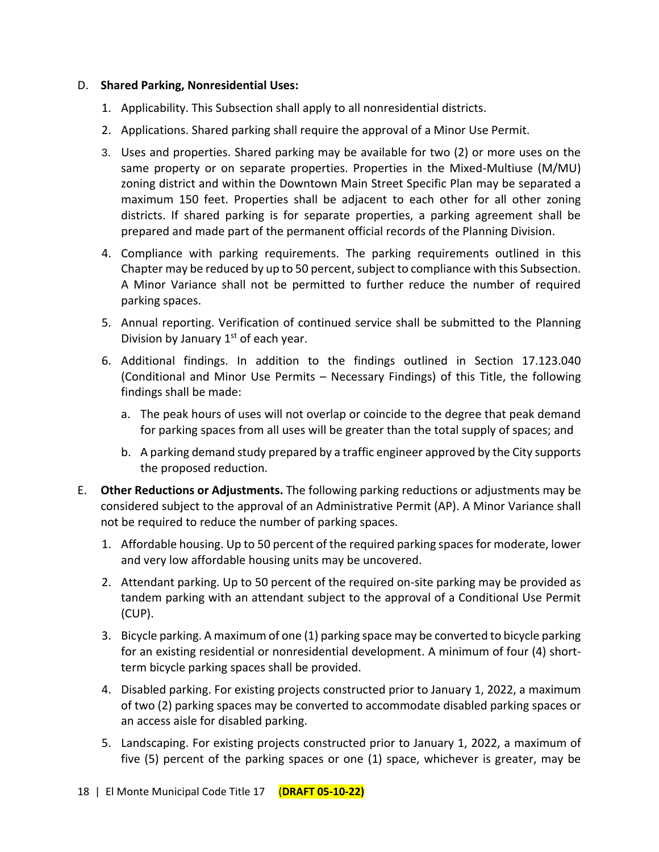#### D. **Shared Parking, Nonresidential Uses:**

- 1. Applicability. This Subsection shall apply to all nonresidential districts.
- 2. Applications. Shared parking shall require the approval of a Minor Use Permit.
- 3. Uses and properties. Shared parking may be available for two (2) or more uses on the same property or on separate properties. Properties in the Mixed-Multiuse (M/MU) zoning district and within the Downtown Main Street Specific Plan may be separated a maximum 150 feet. Properties shall be adjacent to each other for all other zoning districts. If shared parking is for separate properties, a parking agreement shall be prepared and made part of the permanent official records of the Planning Division.
- 4. Compliance with parking requirements. The parking requirements outlined in this Chapter may be reduced by up to 50 percent, subject to compliance with this Subsection. A Minor Variance shall not be permitted to further reduce the number of required parking spaces.
- 5. Annual reporting. Verification of continued service shall be submitted to the Planning Division by January  $1<sup>st</sup>$  of each year.
- 6. Additional findings. In addition to the findings outlined in Section 17.123.040 (Conditional and Minor Use Permits – Necessary Findings) of this Title, the following findings shall be made:
	- a. The peak hours of uses will not overlap or coincide to the degree that peak demand for parking spaces from all uses will be greater than the total supply of spaces; and
	- b. A parking demand study prepared by a traffic engineer approved by the City supports the proposed reduction.
- E. **Other Reductions or Adjustments.** The following parking reductions or adjustments may be considered subject to the approval of an Administrative Permit (AP). A Minor Variance shall not be required to reduce the number of parking spaces.
	- 1. Affordable housing. Up to 50 percent of the required parking spaces for moderate, lower and very low affordable housing units may be uncovered.
	- 2. Attendant parking. Up to 50 percent of the required on-site parking may be provided as tandem parking with an attendant subject to the approval of a Conditional Use Permit (CUP).
	- 3. Bicycle parking. A maximum of one (1) parking space may be converted to bicycle parking for an existing residential or nonresidential development. A minimum of four (4) shortterm bicycle parking spaces shall be provided.
	- 4. Disabled parking. For existing projects constructed prior to January 1, 2022, a maximum of two (2) parking spaces may be converted to accommodate disabled parking spaces or an access aisle for disabled parking.
	- 5. Landscaping. For existing projects constructed prior to January 1, 2022, a maximum of five (5) percent of the parking spaces or one (1) space, whichever is greater, may be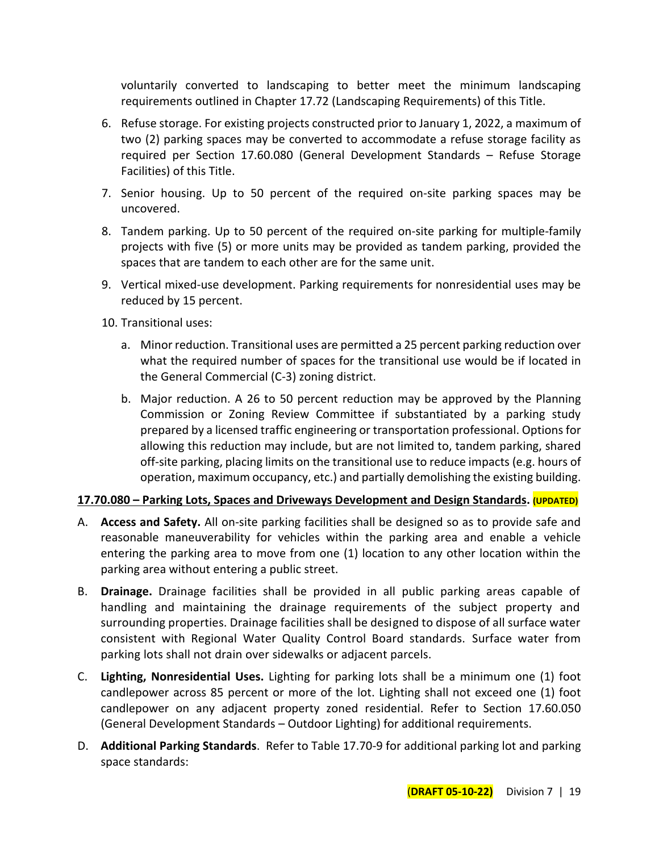voluntarily converted to landscaping to better meet the minimum landscaping requirements outlined in Chapter 17.72 (Landscaping Requirements) of this Title.

- 6. Refuse storage. For existing projects constructed prior to January 1, 2022, a maximum of two (2) parking spaces may be converted to accommodate a refuse storage facility as required per Section 17.60.080 (General Development Standards – Refuse Storage Facilities) of this Title.
- 7. Senior housing. Up to 50 percent of the required on-site parking spaces may be uncovered.
- 8. Tandem parking. Up to 50 percent of the required on-site parking for multiple-family projects with five (5) or more units may be provided as tandem parking, provided the spaces that are tandem to each other are for the same unit.
- 9. Vertical mixed-use development. Parking requirements for nonresidential uses may be reduced by 15 percent.
- 10. Transitional uses:
	- a. Minor reduction. Transitional uses are permitted a 25 percent parking reduction over what the required number of spaces for the transitional use would be if located in the General Commercial (C-3) zoning district.
	- b. Major reduction. A 26 to 50 percent reduction may be approved by the Planning Commission or Zoning Review Committee if substantiated by a parking study prepared by a licensed traffic engineering or transportation professional. Options for allowing this reduction may include, but are not limited to, tandem parking, shared off-site parking, placing limits on the transitional use to reduce impacts (e.g. hours of operation, maximum occupancy, etc.) and partially demolishing the existing building.

# **17.70.080 – Parking Lots, Spaces and Driveways Development and Design Standards. (UPDATED)**

- A. **Access and Safety.** All on-site parking facilities shall be designed so as to provide safe and reasonable maneuverability for vehicles within the parking area and enable a vehicle entering the parking area to move from one (1) location to any other location within the parking area without entering a public street.
- B. **Drainage.** Drainage facilities shall be provided in all public parking areas capable of handling and maintaining the drainage requirements of the subject property and surrounding properties. Drainage facilities shall be designed to dispose of all surface water consistent with Regional Water Quality Control Board standards. Surface water from parking lots shall not drain over sidewalks or adjacent parcels.
- C. **Lighting, Nonresidential Uses.** Lighting for parking lots shall be a minimum one (1) foot candlepower across 85 percent or more of the lot. Lighting shall not exceed one (1) foot candlepower on any adjacent property zoned residential. Refer to Section 17.60.050 (General Development Standards – Outdoor Lighting) for additional requirements.
- D. **Additional Parking Standards**. Refer to Table 17.70-9 for additional parking lot and parking space standards: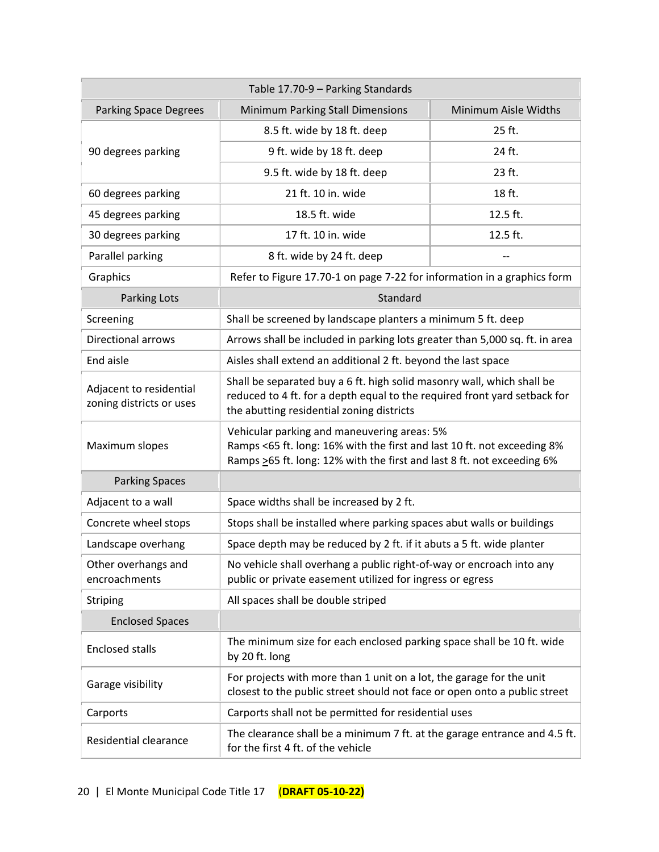| Table 17.70-9 - Parking Standards                   |                                                                                                                                                                                                  |                      |  |  |  |  |  |
|-----------------------------------------------------|--------------------------------------------------------------------------------------------------------------------------------------------------------------------------------------------------|----------------------|--|--|--|--|--|
| <b>Parking Space Degrees</b>                        | Minimum Parking Stall Dimensions                                                                                                                                                                 | Minimum Aisle Widths |  |  |  |  |  |
|                                                     | 8.5 ft. wide by 18 ft. deep                                                                                                                                                                      | 25 ft.               |  |  |  |  |  |
| 90 degrees parking                                  | 9 ft. wide by 18 ft. deep                                                                                                                                                                        | 24 ft.               |  |  |  |  |  |
|                                                     | 9.5 ft. wide by 18 ft. deep                                                                                                                                                                      | 23 ft.               |  |  |  |  |  |
| 60 degrees parking                                  | 21 ft. 10 in. wide                                                                                                                                                                               | 18 ft.               |  |  |  |  |  |
| 45 degrees parking                                  | 18.5 ft. wide                                                                                                                                                                                    | 12.5 ft.             |  |  |  |  |  |
| 30 degrees parking                                  | 17 ft. 10 in. wide                                                                                                                                                                               | 12.5 ft.             |  |  |  |  |  |
| Parallel parking                                    | 8 ft. wide by 24 ft. deep                                                                                                                                                                        |                      |  |  |  |  |  |
| Graphics                                            | Refer to Figure 17.70-1 on page 7-22 for information in a graphics form                                                                                                                          |                      |  |  |  |  |  |
| <b>Parking Lots</b>                                 | Standard                                                                                                                                                                                         |                      |  |  |  |  |  |
| Screening                                           | Shall be screened by landscape planters a minimum 5 ft. deep                                                                                                                                     |                      |  |  |  |  |  |
| <b>Directional arrows</b>                           | Arrows shall be included in parking lots greater than 5,000 sq. ft. in area                                                                                                                      |                      |  |  |  |  |  |
| End aisle                                           | Aisles shall extend an additional 2 ft. beyond the last space                                                                                                                                    |                      |  |  |  |  |  |
| Adjacent to residential<br>zoning districts or uses | Shall be separated buy a 6 ft. high solid masonry wall, which shall be<br>reduced to 4 ft. for a depth equal to the required front yard setback for<br>the abutting residential zoning districts |                      |  |  |  |  |  |
| Maximum slopes                                      | Vehicular parking and maneuvering areas: 5%<br>Ramps <65 ft. long: 16% with the first and last 10 ft. not exceeding 8%<br>Ramps >65 ft. long: 12% with the first and last 8 ft. not exceeding 6% |                      |  |  |  |  |  |
| <b>Parking Spaces</b>                               |                                                                                                                                                                                                  |                      |  |  |  |  |  |
| Adjacent to a wall                                  | Space widths shall be increased by 2 ft.                                                                                                                                                         |                      |  |  |  |  |  |
| Concrete wheel stops                                | Stops shall be installed where parking spaces abut walls or buildings                                                                                                                            |                      |  |  |  |  |  |
| Landscape overhang                                  | Space depth may be reduced by 2 ft. if it abuts a 5 ft. wide planter                                                                                                                             |                      |  |  |  |  |  |
| Other overhangs and<br>encroachments                | No vehicle shall overhang a public right-of-way or encroach into any<br>public or private easement utilized for ingress or egress                                                                |                      |  |  |  |  |  |
| <b>Striping</b>                                     | All spaces shall be double striped                                                                                                                                                               |                      |  |  |  |  |  |
| <b>Enclosed Spaces</b>                              |                                                                                                                                                                                                  |                      |  |  |  |  |  |
| <b>Enclosed stalls</b>                              | The minimum size for each enclosed parking space shall be 10 ft. wide<br>by 20 ft. long                                                                                                          |                      |  |  |  |  |  |
| Garage visibility                                   | For projects with more than 1 unit on a lot, the garage for the unit<br>closest to the public street should not face or open onto a public street                                                |                      |  |  |  |  |  |
| Carports                                            | Carports shall not be permitted for residential uses                                                                                                                                             |                      |  |  |  |  |  |
| Residential clearance                               | The clearance shall be a minimum 7 ft. at the garage entrance and 4.5 ft.<br>for the first 4 ft. of the vehicle                                                                                  |                      |  |  |  |  |  |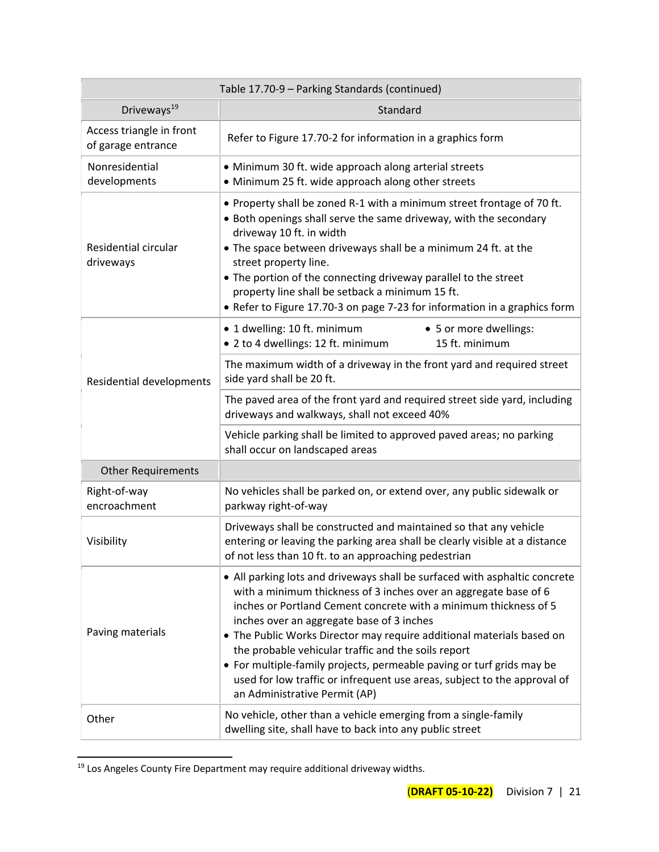| Table 17.70-9 - Parking Standards (continued)  |                                                                                                                                                                                                                                                                                                                                                                                                                                                                                                                                                                                       |  |  |  |  |  |
|------------------------------------------------|---------------------------------------------------------------------------------------------------------------------------------------------------------------------------------------------------------------------------------------------------------------------------------------------------------------------------------------------------------------------------------------------------------------------------------------------------------------------------------------------------------------------------------------------------------------------------------------|--|--|--|--|--|
| Driveways <sup>19</sup>                        | Standard                                                                                                                                                                                                                                                                                                                                                                                                                                                                                                                                                                              |  |  |  |  |  |
| Access triangle in front<br>of garage entrance | Refer to Figure 17.70-2 for information in a graphics form                                                                                                                                                                                                                                                                                                                                                                                                                                                                                                                            |  |  |  |  |  |
| Nonresidential<br>developments                 | • Minimum 30 ft. wide approach along arterial streets<br>• Minimum 25 ft. wide approach along other streets                                                                                                                                                                                                                                                                                                                                                                                                                                                                           |  |  |  |  |  |
| Residential circular<br>driveways              | • Property shall be zoned R-1 with a minimum street frontage of 70 ft.<br>• Both openings shall serve the same driveway, with the secondary<br>driveway 10 ft. in width<br>• The space between driveways shall be a minimum 24 ft. at the<br>street property line.<br>• The portion of the connecting driveway parallel to the street<br>property line shall be setback a minimum 15 ft.<br>• Refer to Figure 17.70-3 on page 7-23 for information in a graphics form                                                                                                                 |  |  |  |  |  |
|                                                | • 1 dwelling: 10 ft. minimum<br>• 5 or more dwellings:<br>• 2 to 4 dwellings: 12 ft. minimum<br>15 ft. minimum                                                                                                                                                                                                                                                                                                                                                                                                                                                                        |  |  |  |  |  |
| Residential developments                       | The maximum width of a driveway in the front yard and required street<br>side yard shall be 20 ft.                                                                                                                                                                                                                                                                                                                                                                                                                                                                                    |  |  |  |  |  |
|                                                | The paved area of the front yard and required street side yard, including<br>driveways and walkways, shall not exceed 40%                                                                                                                                                                                                                                                                                                                                                                                                                                                             |  |  |  |  |  |
|                                                | Vehicle parking shall be limited to approved paved areas; no parking<br>shall occur on landscaped areas                                                                                                                                                                                                                                                                                                                                                                                                                                                                               |  |  |  |  |  |
| <b>Other Requirements</b>                      |                                                                                                                                                                                                                                                                                                                                                                                                                                                                                                                                                                                       |  |  |  |  |  |
| Right-of-way<br>encroachment                   | No vehicles shall be parked on, or extend over, any public sidewalk or<br>parkway right-of-way                                                                                                                                                                                                                                                                                                                                                                                                                                                                                        |  |  |  |  |  |
| Visibility                                     | Driveways shall be constructed and maintained so that any vehicle<br>entering or leaving the parking area shall be clearly visible at a distance<br>of not less than 10 ft. to an approaching pedestrian                                                                                                                                                                                                                                                                                                                                                                              |  |  |  |  |  |
| Paving materials                               | • All parking lots and driveways shall be surfaced with asphaltic concrete<br>with a minimum thickness of 3 inches over an aggregate base of 6<br>inches or Portland Cement concrete with a minimum thickness of 5<br>inches over an aggregate base of 3 inches<br>• The Public Works Director may require additional materials based on<br>the probable vehicular traffic and the soils report<br>• For multiple-family projects, permeable paving or turf grids may be<br>used for low traffic or infrequent use areas, subject to the approval of<br>an Administrative Permit (AP) |  |  |  |  |  |
| Other                                          | No vehicle, other than a vehicle emerging from a single-family<br>dwelling site, shall have to back into any public street                                                                                                                                                                                                                                                                                                                                                                                                                                                            |  |  |  |  |  |

<sup>19</sup> Los Angeles County Fire Department may require additional driveway widths.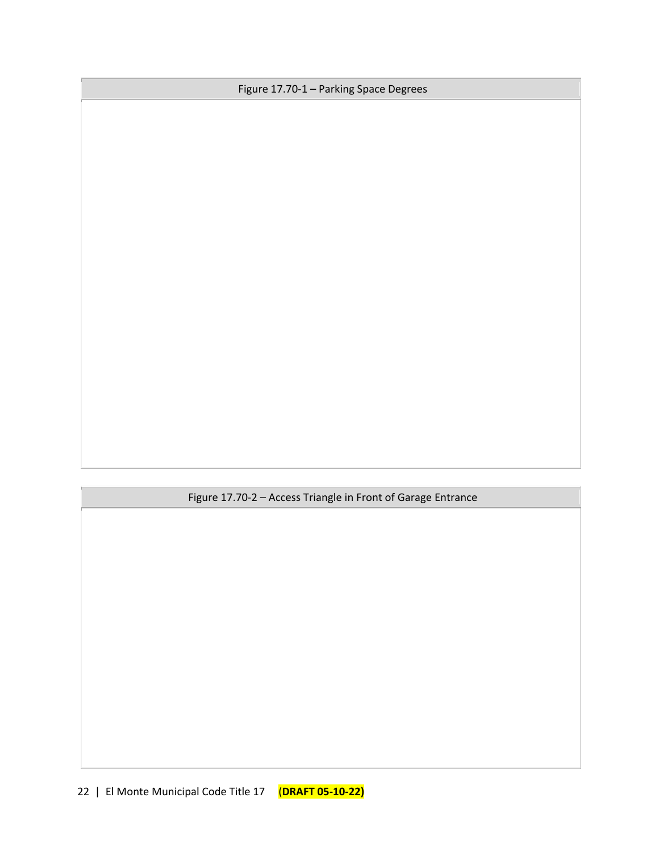Figure 17.70-1 – Parking Space Degrees

Figure 17.70-2 – Access Triangle in Front of Garage Entrance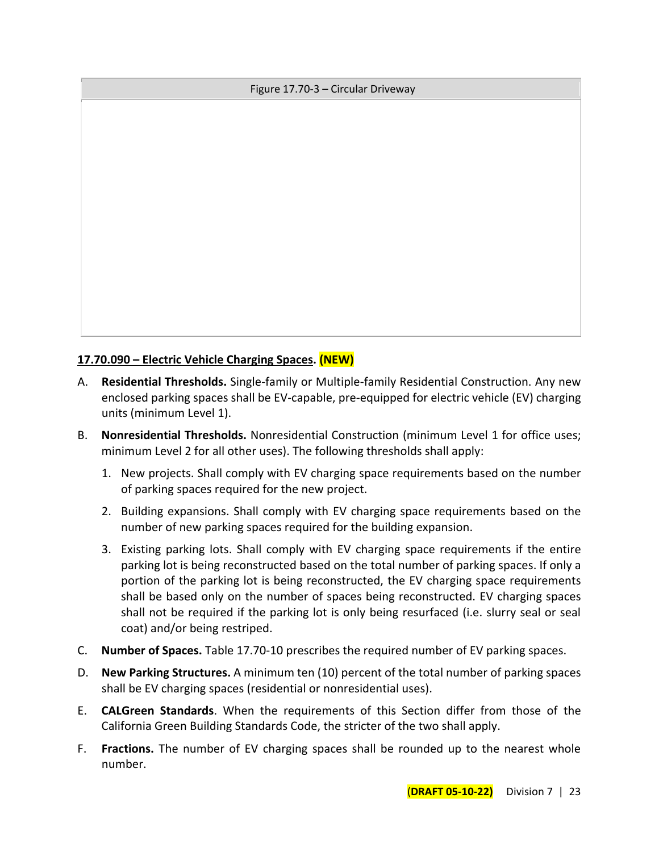#### Figure 17.70-3 – Circular Driveway

## **17.70.090 – Electric Vehicle Charging Spaces. (NEW)**

- A. **Residential Thresholds.** Single-family or Multiple-family Residential Construction. Any new enclosed parking spaces shall be EV-capable, pre-equipped for electric vehicle (EV) charging units (minimum Level 1).
- B. **Nonresidential Thresholds.** Nonresidential Construction (minimum Level 1 for office uses; minimum Level 2 for all other uses). The following thresholds shall apply:
	- 1. New projects. Shall comply with EV charging space requirements based on the number of parking spaces required for the new project.
	- 2. Building expansions. Shall comply with EV charging space requirements based on the number of new parking spaces required for the building expansion.
	- 3. Existing parking lots. Shall comply with EV charging space requirements if the entire parking lot is being reconstructed based on the total number of parking spaces. If only a portion of the parking lot is being reconstructed, the EV charging space requirements shall be based only on the number of spaces being reconstructed. EV charging spaces shall not be required if the parking lot is only being resurfaced (i.e. slurry seal or seal coat) and/or being restriped.
- C. **Number of Spaces.** Table 17.70-10 prescribes the required number of EV parking spaces.
- D. **New Parking Structures.** A minimum ten (10) percent of the total number of parking spaces shall be EV charging spaces (residential or nonresidential uses).
- E. **CALGreen Standards**. When the requirements of this Section differ from those of the California Green Building Standards Code, the stricter of the two shall apply.
- F. **Fractions.** The number of EV charging spaces shall be rounded up to the nearest whole number.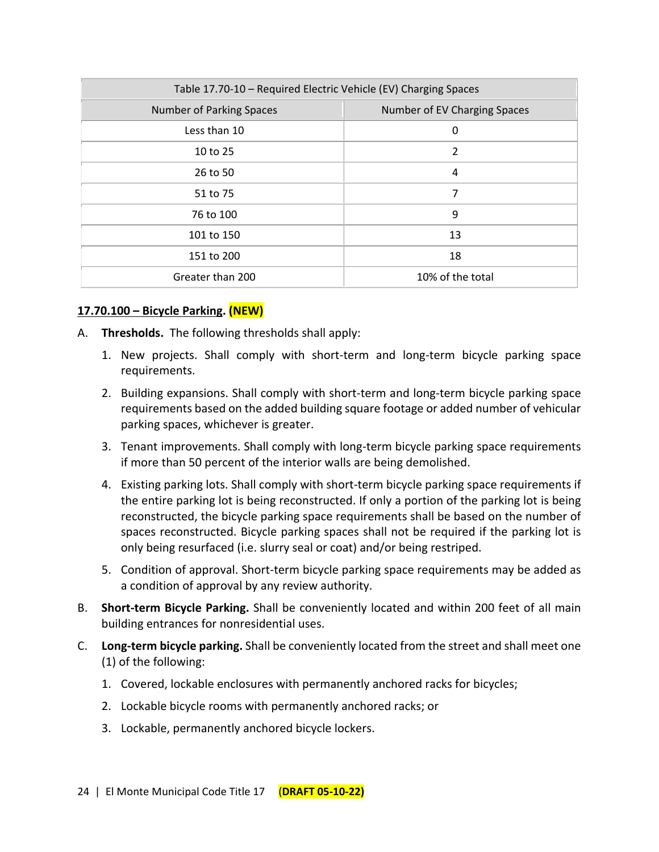| Table 17.70-10 - Required Electric Vehicle (EV) Charging Spaces |                              |  |  |  |  |  |
|-----------------------------------------------------------------|------------------------------|--|--|--|--|--|
| Number of Parking Spaces                                        | Number of EV Charging Spaces |  |  |  |  |  |
| Less than 10                                                    | 0                            |  |  |  |  |  |
| 10 to 25                                                        | 2                            |  |  |  |  |  |
| 26 to 50                                                        | 4                            |  |  |  |  |  |
| 51 to 75                                                        | 7                            |  |  |  |  |  |
| 76 to 100                                                       | 9                            |  |  |  |  |  |
| 101 to 150                                                      | 13                           |  |  |  |  |  |
| 151 to 200                                                      | 18                           |  |  |  |  |  |
| Greater than 200                                                | 10% of the total             |  |  |  |  |  |

#### **17.70.100 – Bicycle Parking. (NEW)**

- A. **Thresholds.** The following thresholds shall apply:
	- 1. New projects. Shall comply with short-term and long-term bicycle parking space requirements.
	- 2. Building expansions. Shall comply with short-term and long-term bicycle parking space requirements based on the added building square footage or added number of vehicular parking spaces, whichever is greater.
	- 3. Tenant improvements. Shall comply with long-term bicycle parking space requirements if more than 50 percent of the interior walls are being demolished.
	- 4. Existing parking lots. Shall comply with short-term bicycle parking space requirements if the entire parking lot is being reconstructed. If only a portion of the parking lot is being reconstructed, the bicycle parking space requirements shall be based on the number of spaces reconstructed. Bicycle parking spaces shall not be required if the parking lot is only being resurfaced (i.e. slurry seal or coat) and/or being restriped.
	- 5. Condition of approval. Short-term bicycle parking space requirements may be added as a condition of approval by any review authority.
- B. **Short-term Bicycle Parking.** Shall be conveniently located and within 200 feet of all main building entrances for nonresidential uses.
- C. **Long-term bicycle parking.** Shall be conveniently located from the street and shall meet one (1) of the following:
	- 1. Covered, lockable enclosures with permanently anchored racks for bicycles;
	- 2. Lockable bicycle rooms with permanently anchored racks; or
	- 3. Lockable, permanently anchored bicycle lockers.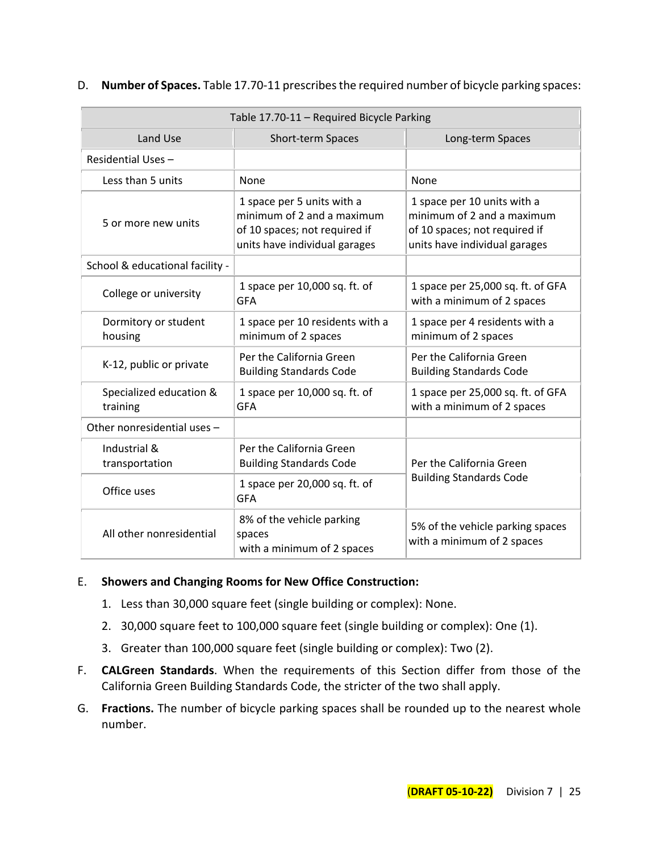| Table 17.70-11 - Required Bicycle Parking                                                     |                                                                                                                            |                                                                                                                             |  |  |  |  |  |
|-----------------------------------------------------------------------------------------------|----------------------------------------------------------------------------------------------------------------------------|-----------------------------------------------------------------------------------------------------------------------------|--|--|--|--|--|
| Land Use                                                                                      | Short-term Spaces                                                                                                          | Long-term Spaces                                                                                                            |  |  |  |  |  |
| Residential Uses -                                                                            |                                                                                                                            |                                                                                                                             |  |  |  |  |  |
| Less than 5 units                                                                             | None                                                                                                                       | None                                                                                                                        |  |  |  |  |  |
| 5 or more new units                                                                           | 1 space per 5 units with a<br>minimum of 2 and a maximum<br>of 10 spaces; not required if<br>units have individual garages | 1 space per 10 units with a<br>minimum of 2 and a maximum<br>of 10 spaces; not required if<br>units have individual garages |  |  |  |  |  |
| School & educational facility -                                                               |                                                                                                                            |                                                                                                                             |  |  |  |  |  |
| College or university                                                                         | 1 space per 10,000 sq. ft. of<br><b>GFA</b>                                                                                | 1 space per 25,000 sq. ft. of GFA<br>with a minimum of 2 spaces                                                             |  |  |  |  |  |
| Dormitory or student<br>housing                                                               | 1 space per 10 residents with a<br>minimum of 2 spaces                                                                     | 1 space per 4 residents with a<br>minimum of 2 spaces                                                                       |  |  |  |  |  |
| K-12, public or private                                                                       | Per the California Green<br><b>Building Standards Code</b>                                                                 | Per the California Green<br><b>Building Standards Code</b>                                                                  |  |  |  |  |  |
| Specialized education &<br>training                                                           | 1 space per 10,000 sq. ft. of<br><b>GFA</b>                                                                                | 1 space per 25,000 sq. ft. of GFA<br>with a minimum of 2 spaces                                                             |  |  |  |  |  |
| Other nonresidential uses -                                                                   |                                                                                                                            |                                                                                                                             |  |  |  |  |  |
| Industrial &<br>transportation                                                                | Per the California Green<br><b>Building Standards Code</b>                                                                 | Per the California Green                                                                                                    |  |  |  |  |  |
| Office uses                                                                                   | 1 space per 20,000 sq. ft. of<br><b>GFA</b>                                                                                | <b>Building Standards Code</b>                                                                                              |  |  |  |  |  |
| 8% of the vehicle parking<br>All other nonresidential<br>spaces<br>with a minimum of 2 spaces |                                                                                                                            | 5% of the vehicle parking spaces<br>with a minimum of 2 spaces                                                              |  |  |  |  |  |

#### D. **Number of Spaces.** Table 17.70-11 prescribes the required number of bicycle parking spaces:

#### E. **Showers and Changing Rooms for New Office Construction:**

- 1. Less than 30,000 square feet (single building or complex): None.
- 2. 30,000 square feet to 100,000 square feet (single building or complex): One (1).
- 3. Greater than 100,000 square feet (single building or complex): Two (2).
- F. **CALGreen Standards**. When the requirements of this Section differ from those of the California Green Building Standards Code, the stricter of the two shall apply.
- G. **Fractions.** The number of bicycle parking spaces shall be rounded up to the nearest whole number.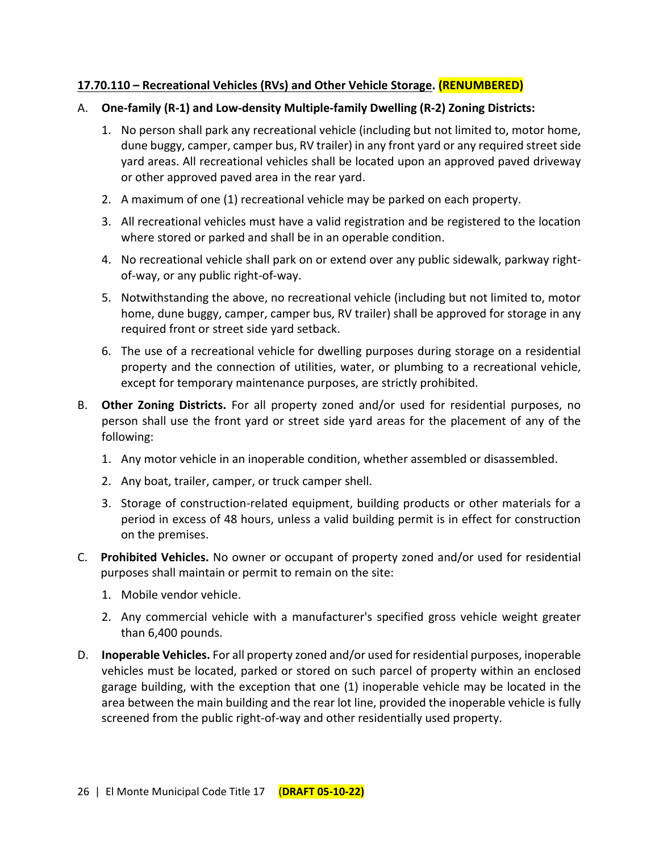## **17.70.110 – Recreational Vehicles (RVs) and Other Vehicle Storage. (RENUMBERED)**

## A. **One-family (R-1) and Low-density Multiple-family Dwelling (R-2) Zoning Districts:**

- 1. No person shall park any recreational vehicle (including but not limited to, motor home, dune buggy, camper, camper bus, RV trailer) in any front yard or any required street side yard areas. All recreational vehicles shall be located upon an approved paved driveway or other approved paved area in the rear yard.
- 2. A maximum of one (1) recreational vehicle may be parked on each property.
- 3. All recreational vehicles must have a valid registration and be registered to the location where stored or parked and shall be in an operable condition.
- 4. No recreational vehicle shall park on or extend over any public sidewalk, parkway rightof-way, or any public right-of-way.
- 5. Notwithstanding the above, no recreational vehicle (including but not limited to, motor home, dune buggy, camper, camper bus, RV trailer) shall be approved for storage in any required front or street side yard setback.
- 6. The use of a recreational vehicle for dwelling purposes during storage on a residential property and the connection of utilities, water, or plumbing to a recreational vehicle, except for temporary maintenance purposes, are strictly prohibited.
- B. **Other Zoning Districts.** For all property zoned and/or used for residential purposes, no person shall use the front yard or street side yard areas for the placement of any of the following:
	- 1. Any motor vehicle in an inoperable condition, whether assembled or disassembled.
	- 2. Any boat, trailer, camper, or truck camper shell.
	- 3. Storage of construction-related equipment, building products or other materials for a period in excess of 48 hours, unless a valid building permit is in effect for construction on the premises.
- C. **Prohibited Vehicles.** No owner or occupant of property zoned and/or used for residential purposes shall maintain or permit to remain on the site:
	- 1. Mobile vendor vehicle.
	- 2. Any commercial vehicle with a manufacturer's specified gross vehicle weight greater than 6,400 pounds.
- D. **Inoperable Vehicles.** For all property zoned and/or used for residential purposes, inoperable vehicles must be located, parked or stored on such parcel of property within an enclosed garage building, with the exception that one (1) inoperable vehicle may be located in the area between the main building and the rear lot line, provided the inoperable vehicle is fully screened from the public right-of-way and other residentially used property.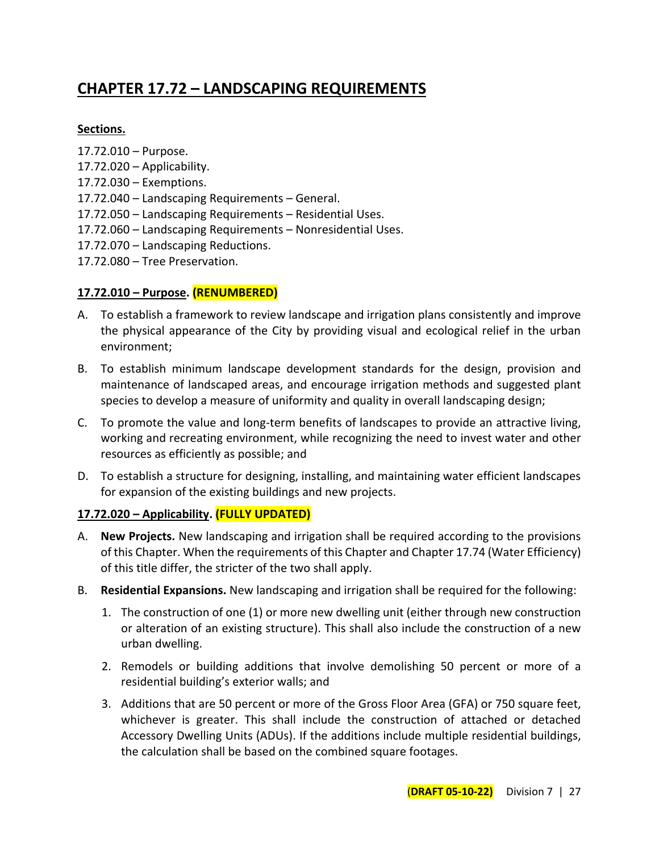# **CHAPTER 17.72 – LANDSCAPING REQUIREMENTS**

#### **Sections.**

- 17.72.010 Purpose.
- 17.72.020 Applicability.
- 17.72.030 Exemptions.
- 17.72.040 Landscaping Requirements General.
- 17.72.050 Landscaping Requirements Residential Uses.
- 17.72.060 Landscaping Requirements Nonresidential Uses.
- 17.72.070 Landscaping Reductions.
- 17.72.080 Tree Preservation.

#### **17.72.010 – Purpose. (RENUMBERED)**

- A. To establish a framework to review landscape and irrigation plans consistently and improve the physical appearance of the City by providing visual and ecological relief in the urban environment;
- B. To establish minimum landscape development standards for the design, provision and maintenance of landscaped areas, and encourage irrigation methods and suggested plant species to develop a measure of uniformity and quality in overall landscaping design;
- C. To promote the value and long-term benefits of landscapes to provide an attractive living, working and recreating environment, while recognizing the need to invest water and other resources as efficiently as possible; and
- D. To establish a structure for designing, installing, and maintaining water efficient landscapes for expansion of the existing buildings and new projects.

## **17.72.020 – Applicability. (FULLY UPDATED)**

- A. **New Projects.** New landscaping and irrigation shall be required according to the provisions of this Chapter. When the requirements of this Chapter and Chapter 17.74 (Water Efficiency) of this title differ, the stricter of the two shall apply.
- B. **Residential Expansions.** New landscaping and irrigation shall be required for the following:
	- 1. The construction of one (1) or more new dwelling unit (either through new construction or alteration of an existing structure). This shall also include the construction of a new urban dwelling.
	- 2. Remodels or building additions that involve demolishing 50 percent or more of a residential building's exterior walls; and
	- 3. Additions that are 50 percent or more of the Gross Floor Area (GFA) or 750 square feet, whichever is greater. This shall include the construction of attached or detached Accessory Dwelling Units (ADUs). If the additions include multiple residential buildings, the calculation shall be based on the combined square footages.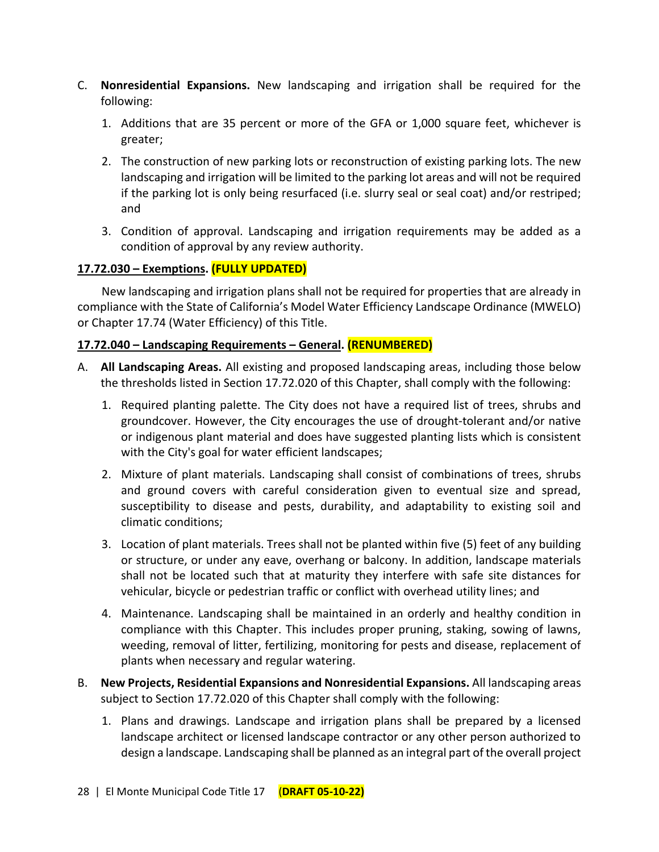- C. **Nonresidential Expansions.** New landscaping and irrigation shall be required for the following:
	- 1. Additions that are 35 percent or more of the GFA or 1,000 square feet, whichever is greater;
	- 2. The construction of new parking lots or reconstruction of existing parking lots. The new landscaping and irrigation will be limited to the parking lot areas and will not be required if the parking lot is only being resurfaced (i.e. slurry seal or seal coat) and/or restriped; and
	- 3. Condition of approval. Landscaping and irrigation requirements may be added as a condition of approval by any review authority.

## **17.72.030 – Exemptions. (FULLY UPDATED)**

New landscaping and irrigation plans shall not be required for properties that are already in compliance with the State of California's Model Water Efficiency Landscape Ordinance (MWELO) or Chapter 17.74 (Water Efficiency) of this Title.

## **17.72.040 – Landscaping Requirements – General. (RENUMBERED)**

- A. **All Landscaping Areas.** All existing and proposed landscaping areas, including those below the thresholds listed in Section 17.72.020 of this Chapter, shall comply with the following:
	- 1. Required planting palette. The City does not have a required list of trees, shrubs and groundcover. However, the City encourages the use of drought-tolerant and/or native or indigenous plant material and does have suggested planting lists which is consistent with the City's goal for water efficient landscapes;
	- 2. Mixture of plant materials. Landscaping shall consist of combinations of trees, shrubs and ground covers with careful consideration given to eventual size and spread, susceptibility to disease and pests, durability, and adaptability to existing soil and climatic conditions;
	- 3. Location of plant materials. Trees shall not be planted within five (5) feet of any building or structure, or under any eave, overhang or balcony. In addition, landscape materials shall not be located such that at maturity they interfere with safe site distances for vehicular, bicycle or pedestrian traffic or conflict with overhead utility lines; and
	- 4. Maintenance. Landscaping shall be maintained in an orderly and healthy condition in compliance with this Chapter. This includes proper pruning, staking, sowing of lawns, weeding, removal of litter, fertilizing, monitoring for pests and disease, replacement of plants when necessary and regular watering.
- B. **New Projects, Residential Expansions and Nonresidential Expansions.** All landscaping areas subject to Section 17.72.020 of this Chapter shall comply with the following:
	- 1. Plans and drawings. Landscape and irrigation plans shall be prepared by a licensed landscape architect or licensed landscape contractor or any other person authorized to design a landscape. Landscaping shall be planned as an integral part of the overall project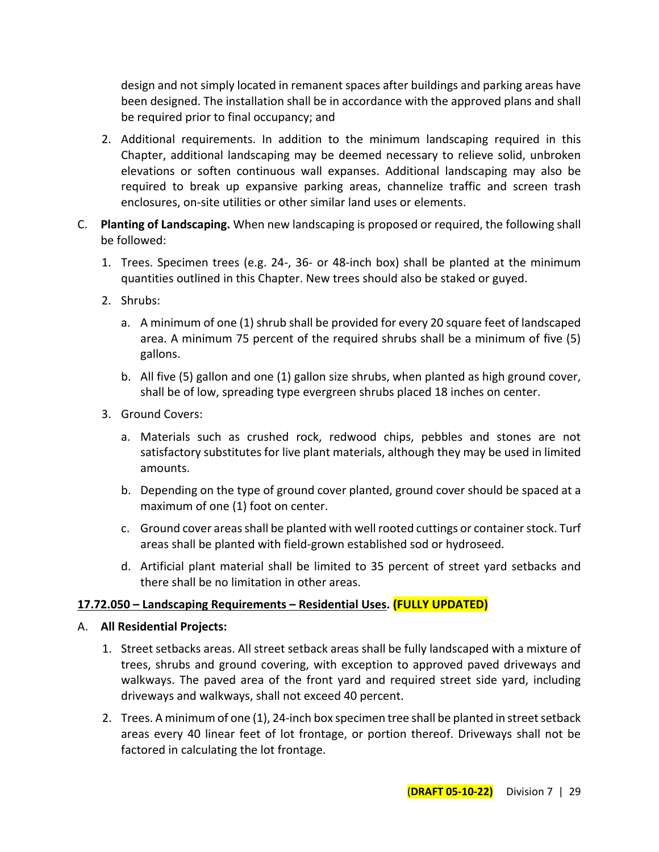design and not simply located in remanent spaces after buildings and parking areas have been designed. The installation shall be in accordance with the approved plans and shall be required prior to final occupancy; and

- 2. Additional requirements. In addition to the minimum landscaping required in this Chapter, additional landscaping may be deemed necessary to relieve solid, unbroken elevations or soften continuous wall expanses. Additional landscaping may also be required to break up expansive parking areas, channelize traffic and screen trash enclosures, on-site utilities or other similar land uses or elements.
- C. **Planting of Landscaping.** When new landscaping is proposed or required, the following shall be followed:
	- 1. Trees. Specimen trees (e.g. 24-, 36- or 48-inch box) shall be planted at the minimum quantities outlined in this Chapter. New trees should also be staked or guyed.
	- 2. Shrubs:
		- a. A minimum of one (1) shrub shall be provided for every 20 square feet of landscaped area. A minimum 75 percent of the required shrubs shall be a minimum of five (5) gallons.
		- b. All five (5) gallon and one (1) gallon size shrubs, when planted as high ground cover, shall be of low, spreading type evergreen shrubs placed 18 inches on center.
	- 3. Ground Covers:
		- a. Materials such as crushed rock, redwood chips, pebbles and stones are not satisfactory substitutes for live plant materials, although they may be used in limited amounts.
		- b. Depending on the type of ground cover planted, ground cover should be spaced at a maximum of one (1) foot on center.
		- c. Ground cover areas shall be planted with well rooted cuttings or container stock. Turf areas shall be planted with field-grown established sod or hydroseed.
		- d. Artificial plant material shall be limited to 35 percent of street yard setbacks and there shall be no limitation in other areas.

## **17.72.050 – Landscaping Requirements – Residential Uses. (FULLY UPDATED)**

- A. **All Residential Projects:**
	- 1. Street setbacks areas. All street setback areas shall be fully landscaped with a mixture of trees, shrubs and ground covering, with exception to approved paved driveways and walkways. The paved area of the front yard and required street side yard, including driveways and walkways, shall not exceed 40 percent.
	- 2. Trees. A minimum of one (1), 24-inch box specimen tree shall be planted in street setback areas every 40 linear feet of lot frontage, or portion thereof. Driveways shall not be factored in calculating the lot frontage.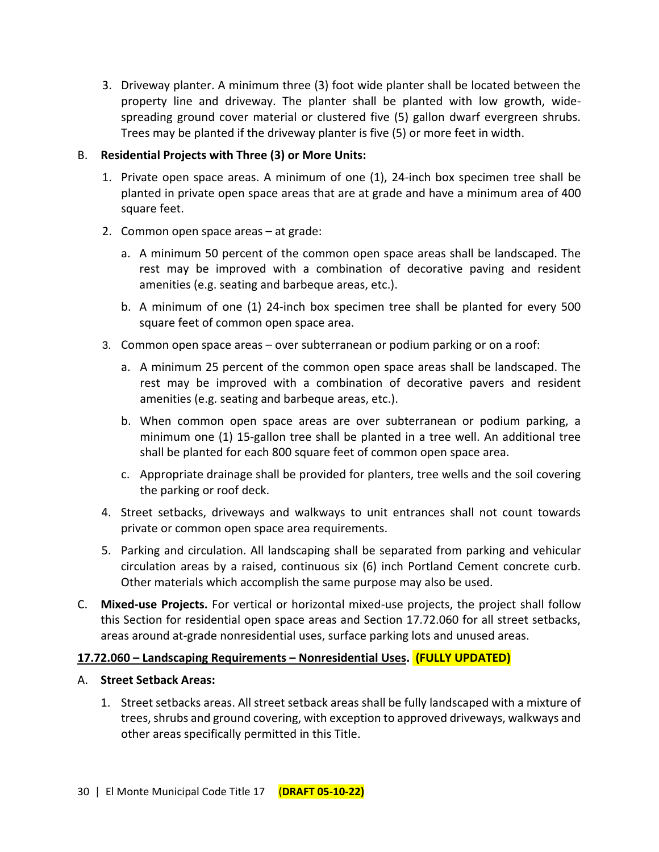3. Driveway planter. A minimum three (3) foot wide planter shall be located between the property line and driveway. The planter shall be planted with low growth, widespreading ground cover material or clustered five (5) gallon dwarf evergreen shrubs. Trees may be planted if the driveway planter is five (5) or more feet in width.

## B. **Residential Projects with Three (3) or More Units:**

- 1. Private open space areas. A minimum of one (1), 24-inch box specimen tree shall be planted in private open space areas that are at grade and have a minimum area of 400 square feet.
- 2. Common open space areas at grade:
	- a. A minimum 50 percent of the common open space areas shall be landscaped. The rest may be improved with a combination of decorative paving and resident amenities (e.g. seating and barbeque areas, etc.).
	- b. A minimum of one (1) 24-inch box specimen tree shall be planted for every 500 square feet of common open space area.
- 3. Common open space areas over subterranean or podium parking or on a roof:
	- a. A minimum 25 percent of the common open space areas shall be landscaped. The rest may be improved with a combination of decorative pavers and resident amenities (e.g. seating and barbeque areas, etc.).
	- b. When common open space areas are over subterranean or podium parking, a minimum one (1) 15-gallon tree shall be planted in a tree well. An additional tree shall be planted for each 800 square feet of common open space area.
	- c. Appropriate drainage shall be provided for planters, tree wells and the soil covering the parking or roof deck.
- 4. Street setbacks, driveways and walkways to unit entrances shall not count towards private or common open space area requirements.
- 5. Parking and circulation. All landscaping shall be separated from parking and vehicular circulation areas by a raised, continuous six (6) inch Portland Cement concrete curb. Other materials which accomplish the same purpose may also be used.
- C. **Mixed-use Projects.** For vertical or horizontal mixed-use projects, the project shall follow this Section for residential open space areas and Section 17.72.060 for all street setbacks, areas around at-grade nonresidential uses, surface parking lots and unused areas.

#### **17.72.060 – Landscaping Requirements – Nonresidential Uses. (FULLY UPDATED)**

#### A. **Street Setback Areas:**

1. Street setbacks areas. All street setback areas shall be fully landscaped with a mixture of trees, shrubs and ground covering, with exception to approved driveways, walkways and other areas specifically permitted in this Title.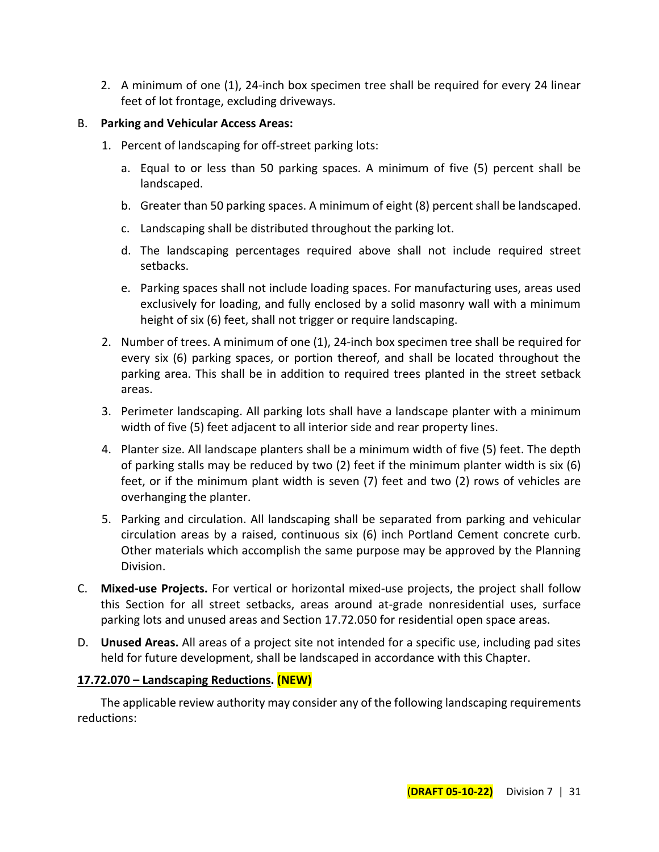2. A minimum of one (1), 24-inch box specimen tree shall be required for every 24 linear feet of lot frontage, excluding driveways.

## B. **Parking and Vehicular Access Areas:**

- 1. Percent of landscaping for off-street parking lots:
	- a. Equal to or less than 50 parking spaces. A minimum of five (5) percent shall be landscaped.
	- b. Greater than 50 parking spaces. A minimum of eight (8) percent shall be landscaped.
	- c. Landscaping shall be distributed throughout the parking lot.
	- d. The landscaping percentages required above shall not include required street setbacks.
	- e. Parking spaces shall not include loading spaces. For manufacturing uses, areas used exclusively for loading, and fully enclosed by a solid masonry wall with a minimum height of six (6) feet, shall not trigger or require landscaping.
- 2. Number of trees. A minimum of one (1), 24-inch box specimen tree shall be required for every six (6) parking spaces, or portion thereof, and shall be located throughout the parking area. This shall be in addition to required trees planted in the street setback areas.
- 3. Perimeter landscaping. All parking lots shall have a landscape planter with a minimum width of five (5) feet adjacent to all interior side and rear property lines.
- 4. Planter size. All landscape planters shall be a minimum width of five (5) feet. The depth of parking stalls may be reduced by two (2) feet if the minimum planter width is six (6) feet, or if the minimum plant width is seven (7) feet and two (2) rows of vehicles are overhanging the planter.
- 5. Parking and circulation. All landscaping shall be separated from parking and vehicular circulation areas by a raised, continuous six (6) inch Portland Cement concrete curb. Other materials which accomplish the same purpose may be approved by the Planning Division.
- C. **Mixed-use Projects.** For vertical or horizontal mixed-use projects, the project shall follow this Section for all street setbacks, areas around at-grade nonresidential uses, surface parking lots and unused areas and Section 17.72.050 for residential open space areas.
- D. **Unused Areas.** All areas of a project site not intended for a specific use, including pad sites held for future development, shall be landscaped in accordance with this Chapter.

## **17.72.070 – Landscaping Reductions. (NEW)**

The applicable review authority may consider any of the following landscaping requirements reductions: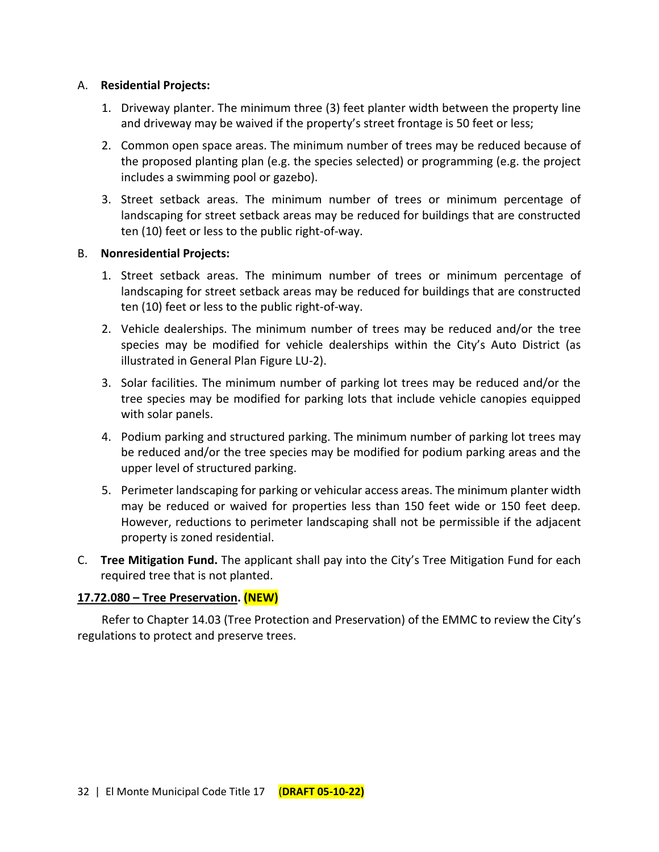#### A. **Residential Projects:**

- 1. Driveway planter. The minimum three (3) feet planter width between the property line and driveway may be waived if the property's street frontage is 50 feet or less;
- 2. Common open space areas. The minimum number of trees may be reduced because of the proposed planting plan (e.g. the species selected) or programming (e.g. the project includes a swimming pool or gazebo).
- 3. Street setback areas. The minimum number of trees or minimum percentage of landscaping for street setback areas may be reduced for buildings that are constructed ten (10) feet or less to the public right-of-way.

#### B. **Nonresidential Projects:**

- 1. Street setback areas. The minimum number of trees or minimum percentage of landscaping for street setback areas may be reduced for buildings that are constructed ten (10) feet or less to the public right-of-way.
- 2. Vehicle dealerships. The minimum number of trees may be reduced and/or the tree species may be modified for vehicle dealerships within the City's Auto District (as illustrated in General Plan Figure LU-2).
- 3. Solar facilities. The minimum number of parking lot trees may be reduced and/or the tree species may be modified for parking lots that include vehicle canopies equipped with solar panels.
- 4. Podium parking and structured parking. The minimum number of parking lot trees may be reduced and/or the tree species may be modified for podium parking areas and the upper level of structured parking.
- 5. Perimeter landscaping for parking or vehicular access areas. The minimum planter width may be reduced or waived for properties less than 150 feet wide or 150 feet deep. However, reductions to perimeter landscaping shall not be permissible if the adjacent property is zoned residential.
- C. **Tree Mitigation Fund.** The applicant shall pay into the City's Tree Mitigation Fund for each required tree that is not planted.

#### **17.72.080 – Tree Preservation. (NEW)**

Refer to Chapter 14.03 (Tree Protection and Preservation) of the EMMC to review the City's regulations to protect and preserve trees.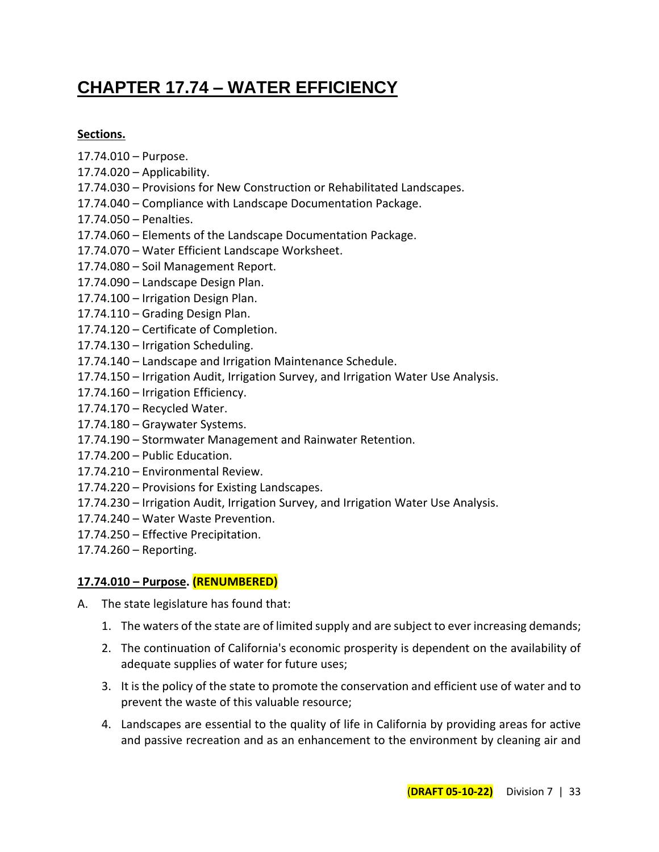# **CHAPTER 17.74 – WATER EFFICIENCY**

## **Sections.**

- 17.74.010 Purpose.
- 17.74.020 Applicability.
- 17.74.030 Provisions for New Construction or Rehabilitated Landscapes.
- 17.74.040 Compliance with Landscape Documentation Package.
- 17.74.050 Penalties.
- 17.74.060 Elements of the Landscape Documentation Package.
- 17.74.070 Water Efficient Landscape Worksheet.
- 17.74.080 Soil Management Report.
- 17.74.090 Landscape Design Plan.
- 17.74.100 Irrigation Design Plan.
- 17.74.110 Grading Design Plan.
- 17.74.120 Certificate of Completion.
- 17.74.130 Irrigation Scheduling.
- 17.74.140 Landscape and Irrigation Maintenance Schedule.
- 17.74.150 Irrigation Audit, Irrigation Survey, and Irrigation Water Use Analysis.
- 17.74.160 Irrigation Efficiency.
- 17.74.170 Recycled Water.
- 17.74.180 Graywater Systems.
- 17.74.190 Stormwater Management and Rainwater Retention.
- 17.74.200 Public Education.
- 17.74.210 Environmental Review.
- 17.74.220 Provisions for Existing Landscapes.
- 17.74.230 Irrigation Audit, Irrigation Survey, and Irrigation Water Use Analysis.
- 17.74.240 Water Waste Prevention.
- 17.74.250 Effective Precipitation.
- 17.74.260 Reporting.

## **17.74.010 – Purpose. (RENUMBERED)**

- A. The state legislature has found that:
	- 1. The waters of the state are of limited supply and are subject to ever increasing demands;
	- 2. The continuation of California's economic prosperity is dependent on the availability of adequate supplies of water for future uses;
	- 3. It is the policy of the state to promote the conservation and efficient use of water and to prevent the waste of this valuable resource;
	- 4. Landscapes are essential to the quality of life in California by providing areas for active and passive recreation and as an enhancement to the environment by cleaning air and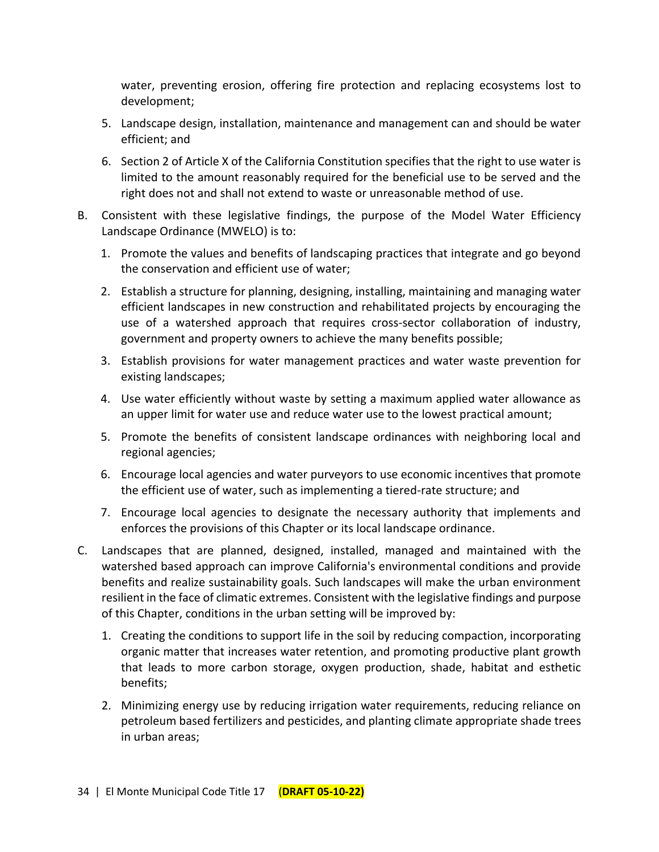water, preventing erosion, offering fire protection and replacing ecosystems lost to development;

- 5. Landscape design, installation, maintenance and management can and should be water efficient; and
- 6. Section 2 of Article X of the California Constitution specifies that the right to use water is limited to the amount reasonably required for the beneficial use to be served and the right does not and shall not extend to waste or unreasonable method of use.
- B. Consistent with these legislative findings, the purpose of the Model Water Efficiency Landscape Ordinance (MWELO) is to:
	- 1. Promote the values and benefits of landscaping practices that integrate and go beyond the conservation and efficient use of water;
	- 2. Establish a structure for planning, designing, installing, maintaining and managing water efficient landscapes in new construction and rehabilitated projects by encouraging the use of a watershed approach that requires cross-sector collaboration of industry, government and property owners to achieve the many benefits possible;
	- 3. Establish provisions for water management practices and water waste prevention for existing landscapes;
	- 4. Use water efficiently without waste by setting a maximum applied water allowance as an upper limit for water use and reduce water use to the lowest practical amount;
	- 5. Promote the benefits of consistent landscape ordinances with neighboring local and regional agencies;
	- 6. Encourage local agencies and water purveyors to use economic incentives that promote the efficient use of water, such as implementing a tiered-rate structure; and
	- 7. Encourage local agencies to designate the necessary authority that implements and enforces the provisions of this Chapter or its local landscape ordinance.
- C. Landscapes that are planned, designed, installed, managed and maintained with the watershed based approach can improve California's environmental conditions and provide benefits and realize sustainability goals. Such landscapes will make the urban environment resilient in the face of climatic extremes. Consistent with the legislative findings and purpose of this Chapter, conditions in the urban setting will be improved by:
	- 1. Creating the conditions to support life in the soil by reducing compaction, incorporating organic matter that increases water retention, and promoting productive plant growth that leads to more carbon storage, oxygen production, shade, habitat and esthetic benefits;
	- 2. Minimizing energy use by reducing irrigation water requirements, reducing reliance on petroleum based fertilizers and pesticides, and planting climate appropriate shade trees in urban areas;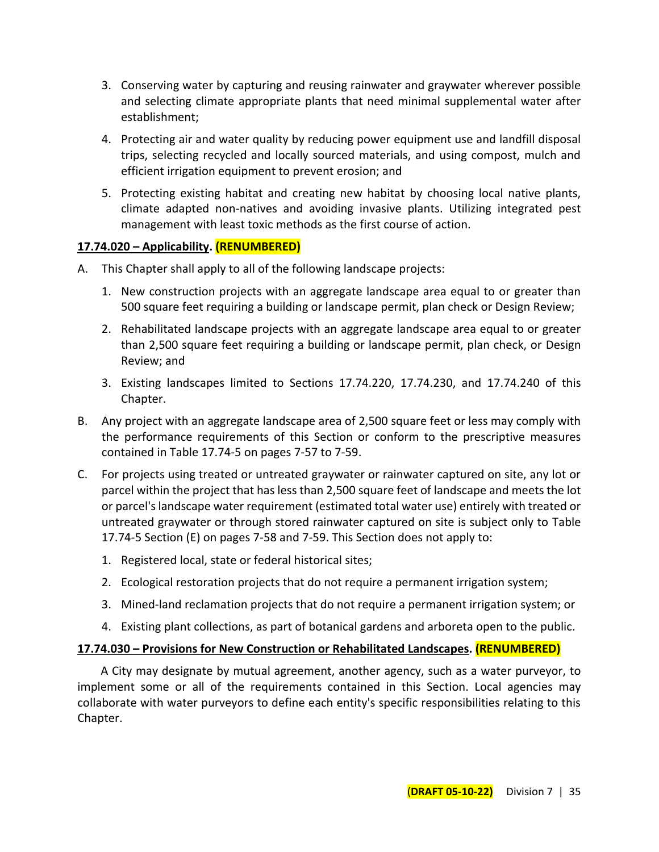- 3. Conserving water by capturing and reusing rainwater and graywater wherever possible and selecting climate appropriate plants that need minimal supplemental water after establishment;
- 4. Protecting air and water quality by reducing power equipment use and landfill disposal trips, selecting recycled and locally sourced materials, and using compost, mulch and efficient irrigation equipment to prevent erosion; and
- 5. Protecting existing habitat and creating new habitat by choosing local native plants, climate adapted non-natives and avoiding invasive plants. Utilizing integrated pest management with least toxic methods as the first course of action.

## **17.74.020 – Applicability. (RENUMBERED)**

- A. This Chapter shall apply to all of the following landscape projects:
	- 1. New construction projects with an aggregate landscape area equal to or greater than 500 square feet requiring a building or landscape permit, plan check or Design Review;
	- 2. Rehabilitated landscape projects with an aggregate landscape area equal to or greater than 2,500 square feet requiring a building or landscape permit, plan check, or Design Review; and
	- 3. Existing landscapes limited to Sections 17.74.220, 17.74.230, and 17.74.240 of this Chapter.
- B. Any project with an aggregate landscape area of 2,500 square feet or less may comply with the performance requirements of this Section or conform to the prescriptive measures contained in Table 17.74-5 on pages 7-57 to 7-59.
- C. For projects using treated or untreated graywater or rainwater captured on site, any lot or parcel within the project that has less than 2,500 square feet of landscape and meets the lot or parcel's landscape water requirement (estimated total water use) entirely with treated or untreated graywater or through stored rainwater captured on site is subject only to Table 17.74-5 Section (E) on pages 7-58 and 7-59. This Section does not apply to:
	- 1. Registered local, state or federal historical sites;
	- 2. Ecological restoration projects that do not require a permanent irrigation system;
	- 3. Mined-land reclamation projects that do not require a permanent irrigation system; or
	- 4. Existing plant collections, as part of botanical gardens and arboreta open to the public.

# **17.74.030 – Provisions for New Construction or Rehabilitated Landscapes. (RENUMBERED)**

A City may designate by mutual agreement, another agency, such as a water purveyor, to implement some or all of the requirements contained in this Section. Local agencies may collaborate with water purveyors to define each entity's specific responsibilities relating to this Chapter.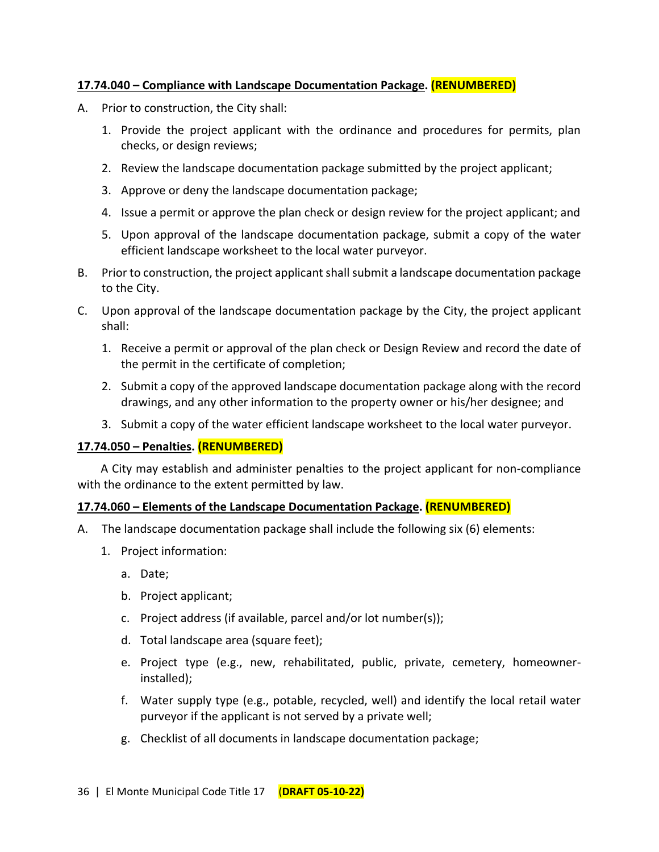## **17.74.040 – Compliance with Landscape Documentation Package. (RENUMBERED)**

- A. Prior to construction, the City shall:
	- 1. Provide the project applicant with the ordinance and procedures for permits, plan checks, or design reviews;
	- 2. Review the landscape documentation package submitted by the project applicant;
	- 3. Approve or deny the landscape documentation package;
	- 4. Issue a permit or approve the plan check or design review for the project applicant; and
	- 5. Upon approval of the landscape documentation package, submit a copy of the water efficient landscape worksheet to the local water purveyor.
- B. Prior to construction, the project applicant shall submit a landscape documentation package to the City.
- C. Upon approval of the landscape documentation package by the City, the project applicant shall:
	- 1. Receive a permit or approval of the plan check or Design Review and record the date of the permit in the certificate of completion;
	- 2. Submit a copy of the approved landscape documentation package along with the record drawings, and any other information to the property owner or his/her designee; and
	- 3. Submit a copy of the water efficient landscape worksheet to the local water purveyor.

#### **17.74.050 – Penalties. (RENUMBERED)**

A City may establish and administer penalties to the project applicant for non-compliance with the ordinance to the extent permitted by law.

#### **17.74.060 – Elements of the Landscape Documentation Package. (RENUMBERED)**

- A. The landscape documentation package shall include the following six (6) elements:
	- 1. Project information:
		- a. Date;
		- b. Project applicant;
		- c. Project address (if available, parcel and/or lot number(s));
		- d. Total landscape area (square feet);
		- e. Project type (e.g., new, rehabilitated, public, private, cemetery, homeownerinstalled);
		- f. Water supply type (e.g., potable, recycled, well) and identify the local retail water purveyor if the applicant is not served by a private well;
		- g. Checklist of all documents in landscape documentation package;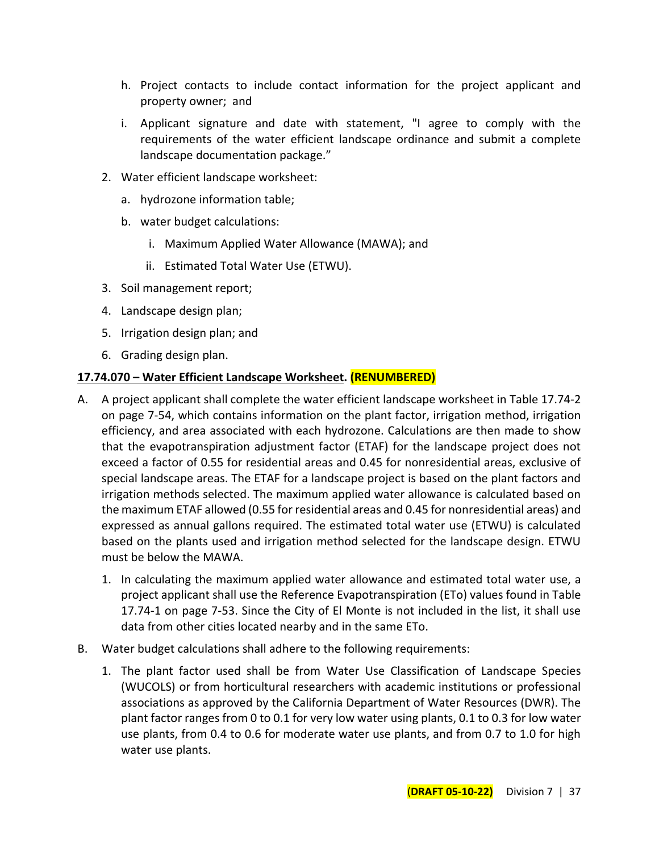- h. Project contacts to include contact information for the project applicant and property owner; and
- i. Applicant signature and date with statement, "I agree to comply with the requirements of the water efficient landscape ordinance and submit a complete landscape documentation package."
- 2. Water efficient landscape worksheet:
	- a. hydrozone information table;
	- b. water budget calculations:
		- i. Maximum Applied Water Allowance (MAWA); and
		- ii. Estimated Total Water Use (ETWU).
- 3. Soil management report;
- 4. Landscape design plan;
- 5. Irrigation design plan; and
- 6. Grading design plan.

#### **17.74.070 – Water Efficient Landscape Worksheet. (RENUMBERED)**

- A. A project applicant shall complete the water efficient landscape worksheet in Table 17.74-2 on page 7-54, which contains information on the plant factor, irrigation method, irrigation efficiency, and area associated with each hydrozone. Calculations are then made to show that the evapotranspiration adjustment factor (ETAF) for the landscape project does not exceed a factor of 0.55 for residential areas and 0.45 for nonresidential areas, exclusive of special landscape areas. The ETAF for a landscape project is based on the plant factors and irrigation methods selected. The maximum applied water allowance is calculated based on the maximum ETAF allowed (0.55 for residential areas and 0.45 for nonresidential areas) and expressed as annual gallons required. The estimated total water use (ETWU) is calculated based on the plants used and irrigation method selected for the landscape design. ETWU must be below the MAWA.
	- 1. In calculating the maximum applied water allowance and estimated total water use, a project applicant shall use the Reference Evapotranspiration (ETo) values found in Table 17.74-1 on page 7-53. Since the City of El Monte is not included in the list, it shall use data from other cities located nearby and in the same ETo.
- B. Water budget calculations shall adhere to the following requirements:
	- 1. The plant factor used shall be from Water Use Classification of Landscape Species (WUCOLS) or from horticultural researchers with academic institutions or professional associations as approved by the California Department of Water Resources (DWR). The plant factor ranges from 0 to 0.1 for very low water using plants, 0.1 to 0.3 for low water use plants, from 0.4 to 0.6 for moderate water use plants, and from 0.7 to 1.0 for high water use plants.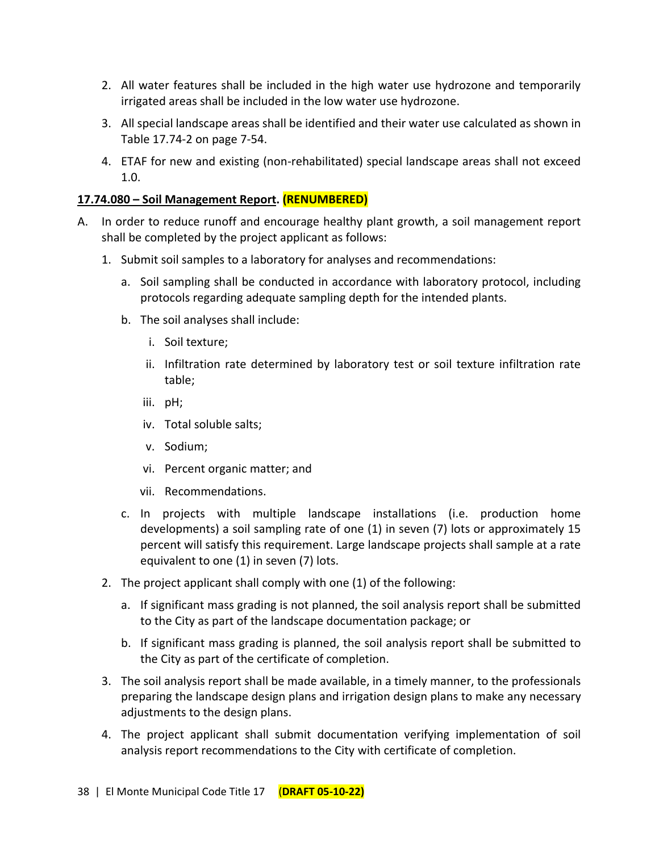- 2. All water features shall be included in the high water use hydrozone and temporarily irrigated areas shall be included in the low water use hydrozone.
- 3. All special landscape areas shall be identified and their water use calculated as shown in Table 17.74-2 on page 7-54.
- 4. ETAF for new and existing (non-rehabilitated) special landscape areas shall not exceed 1.0.

## **17.74.080 – Soil Management Report. (RENUMBERED)**

- A. In order to reduce runoff and encourage healthy plant growth, a soil management report shall be completed by the project applicant as follows:
	- 1. Submit soil samples to a laboratory for analyses and recommendations:
		- a. Soil sampling shall be conducted in accordance with laboratory protocol, including protocols regarding adequate sampling depth for the intended plants.
		- b. The soil analyses shall include:
			- i. Soil texture;
			- ii. Infiltration rate determined by laboratory test or soil texture infiltration rate table;
			- iii. pH;
			- iv. Total soluble salts;
			- v. Sodium;
			- vi. Percent organic matter; and
			- vii. Recommendations.
		- c. In projects with multiple landscape installations (i.e. production home developments) a soil sampling rate of one (1) in seven (7) lots or approximately 15 percent will satisfy this requirement. Large landscape projects shall sample at a rate equivalent to one (1) in seven (7) lots.
	- 2. The project applicant shall comply with one (1) of the following:
		- a. If significant mass grading is not planned, the soil analysis report shall be submitted to the City as part of the landscape documentation package; or
		- b. If significant mass grading is planned, the soil analysis report shall be submitted to the City as part of the certificate of completion.
	- 3. The soil analysis report shall be made available, in a timely manner, to the professionals preparing the landscape design plans and irrigation design plans to make any necessary adjustments to the design plans.
	- 4. The project applicant shall submit documentation verifying implementation of soil analysis report recommendations to the City with certificate of completion.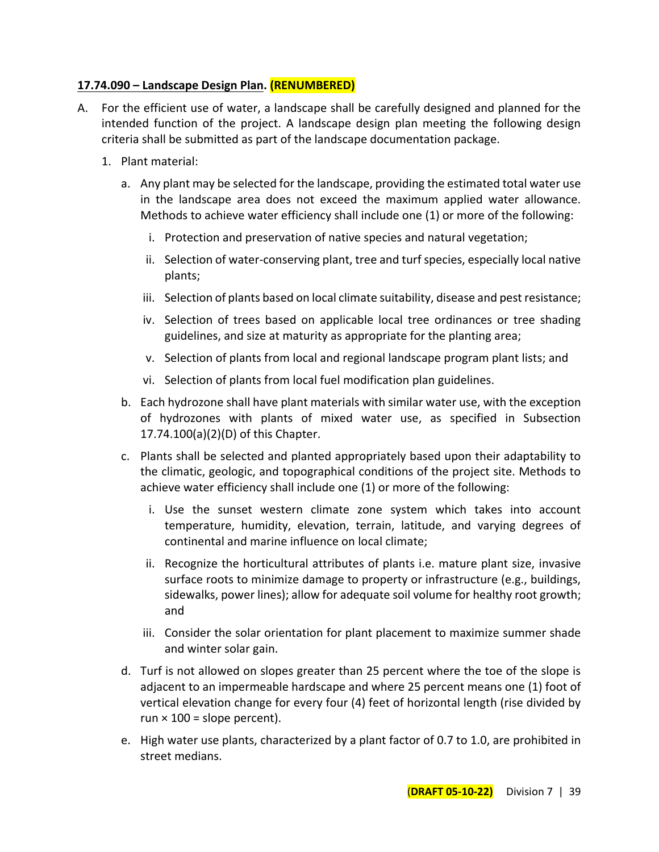## **17.74.090 – Landscape Design Plan. (RENUMBERED)**

- A. For the efficient use of water, a landscape shall be carefully designed and planned for the intended function of the project. A landscape design plan meeting the following design criteria shall be submitted as part of the landscape documentation package.
	- 1. Plant material:
		- a. Any plant may be selected for the landscape, providing the estimated total water use in the landscape area does not exceed the maximum applied water allowance. Methods to achieve water efficiency shall include one (1) or more of the following:
			- i. Protection and preservation of native species and natural vegetation;
			- ii. Selection of water-conserving plant, tree and turf species, especially local native plants;
			- iii. Selection of plants based on local climate suitability, disease and pest resistance;
			- iv. Selection of trees based on applicable local tree ordinances or tree shading guidelines, and size at maturity as appropriate for the planting area;
			- v. Selection of plants from local and regional landscape program plant lists; and
			- vi. Selection of plants from local fuel modification plan guidelines.
		- b. Each hydrozone shall have plant materials with similar water use, with the exception of hydrozones with plants of mixed water use, as specified in Subsection 17.74.100(a)(2)(D) of this Chapter.
		- c. Plants shall be selected and planted appropriately based upon their adaptability to the climatic, geologic, and topographical conditions of the project site. Methods to achieve water efficiency shall include one (1) or more of the following:
			- i. Use the sunset western climate zone system which takes into account temperature, humidity, elevation, terrain, latitude, and varying degrees of continental and marine influence on local climate;
			- ii. Recognize the horticultural attributes of plants i.e. mature plant size, invasive surface roots to minimize damage to property or infrastructure (e.g., buildings, sidewalks, power lines); allow for adequate soil volume for healthy root growth; and
			- iii. Consider the solar orientation for plant placement to maximize summer shade and winter solar gain.
		- d. Turf is not allowed on slopes greater than 25 percent where the toe of the slope is adjacent to an impermeable hardscape and where 25 percent means one (1) foot of vertical elevation change for every four (4) feet of horizontal length (rise divided by run  $\times$  100 = slope percent).
		- e. High water use plants, characterized by a plant factor of 0.7 to 1.0, are prohibited in street medians.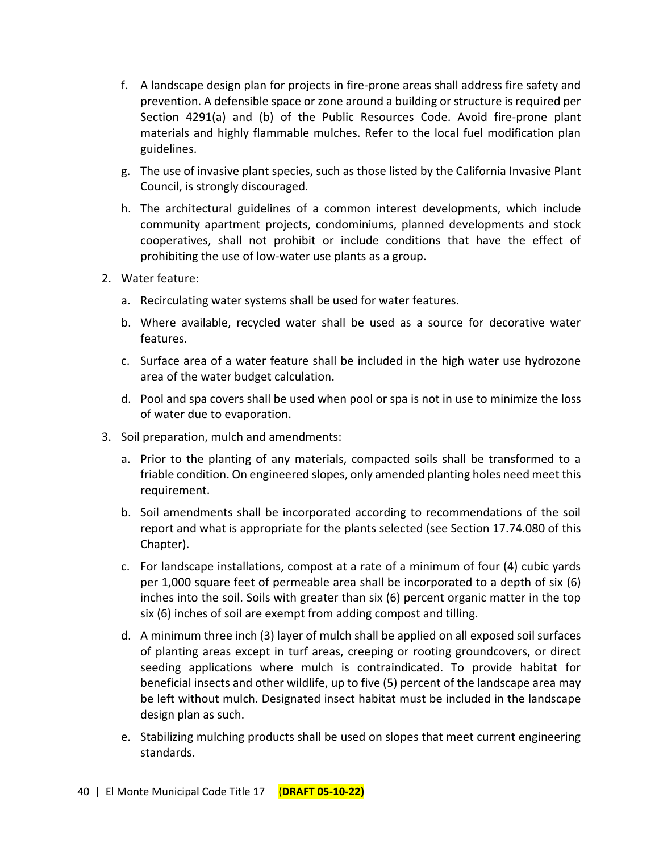- f. A landscape design plan for projects in fire-prone areas shall address fire safety and prevention. A defensible space or zone around a building or structure is required per Section 4291(a) and (b) of the Public Resources Code. Avoid fire-prone plant materials and highly flammable mulches. Refer to the local fuel modification plan guidelines.
- g. The use of invasive plant species, such as those listed by the California Invasive Plant Council, is strongly discouraged.
- h. The architectural guidelines of a common interest developments, which include community apartment projects, condominiums, planned developments and stock cooperatives, shall not prohibit or include conditions that have the effect of prohibiting the use of low-water use plants as a group.
- 2. Water feature:
	- a. Recirculating water systems shall be used for water features.
	- b. Where available, recycled water shall be used as a source for decorative water features.
	- c. Surface area of a water feature shall be included in the high water use hydrozone area of the water budget calculation.
	- d. Pool and spa covers shall be used when pool or spa is not in use to minimize the loss of water due to evaporation.
- 3. Soil preparation, mulch and amendments:
	- a. Prior to the planting of any materials, compacted soils shall be transformed to a friable condition. On engineered slopes, only amended planting holes need meet this requirement.
	- b. Soil amendments shall be incorporated according to recommendations of the soil report and what is appropriate for the plants selected (see Section 17.74.080 of this Chapter).
	- c. For landscape installations, compost at a rate of a minimum of four (4) cubic yards per 1,000 square feet of permeable area shall be incorporated to a depth of six (6) inches into the soil. Soils with greater than six (6) percent organic matter in the top six (6) inches of soil are exempt from adding compost and tilling.
	- d. A minimum three inch (3) layer of mulch shall be applied on all exposed soil surfaces of planting areas except in turf areas, creeping or rooting groundcovers, or direct seeding applications where mulch is contraindicated. To provide habitat for beneficial insects and other wildlife, up to five (5) percent of the landscape area may be left without mulch. Designated insect habitat must be included in the landscape design plan as such.
	- e. Stabilizing mulching products shall be used on slopes that meet current engineering standards.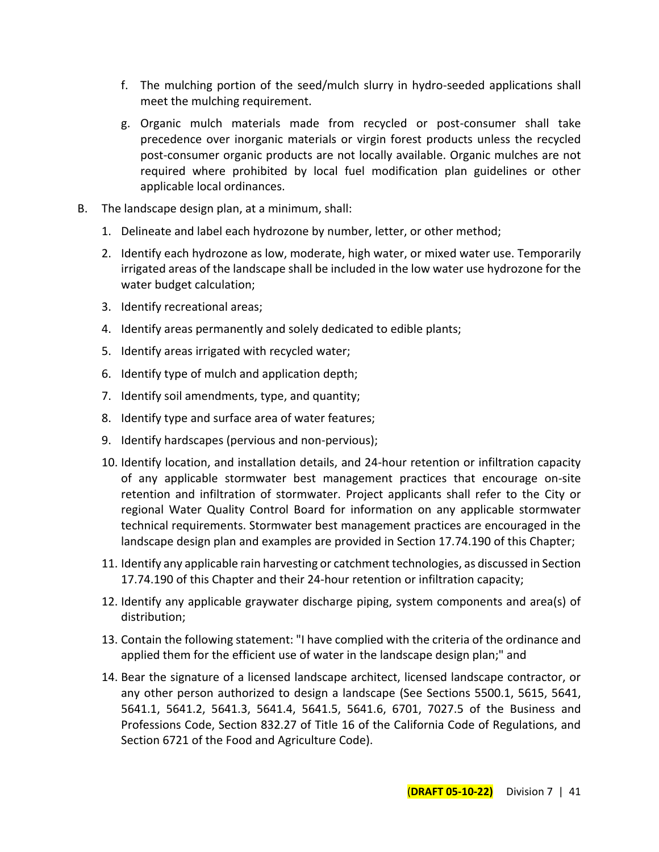- f. The mulching portion of the seed/mulch slurry in hydro-seeded applications shall meet the mulching requirement.
- g. Organic mulch materials made from recycled or post-consumer shall take precedence over inorganic materials or virgin forest products unless the recycled post-consumer organic products are not locally available. Organic mulches are not required where prohibited by local fuel modification plan guidelines or other applicable local ordinances.
- B. The landscape design plan, at a minimum, shall:
	- 1. Delineate and label each hydrozone by number, letter, or other method;
	- 2. Identify each hydrozone as low, moderate, high water, or mixed water use. Temporarily irrigated areas of the landscape shall be included in the low water use hydrozone for the water budget calculation;
	- 3. Identify recreational areas;
	- 4. Identify areas permanently and solely dedicated to edible plants;
	- 5. Identify areas irrigated with recycled water;
	- 6. Identify type of mulch and application depth;
	- 7. Identify soil amendments, type, and quantity;
	- 8. Identify type and surface area of water features;
	- 9. Identify hardscapes (pervious and non-pervious);
	- 10. Identify location, and installation details, and 24-hour retention or infiltration capacity of any applicable stormwater best management practices that encourage on-site retention and infiltration of stormwater. Project applicants shall refer to the City or regional Water Quality Control Board for information on any applicable stormwater technical requirements. Stormwater best management practices are encouraged in the landscape design plan and examples are provided in Section 17.74.190 of this Chapter;
	- 11. Identify any applicable rain harvesting or catchment technologies, as discussed in Section 17.74.190 of this Chapter and their 24-hour retention or infiltration capacity;
	- 12. Identify any applicable graywater discharge piping, system components and area(s) of distribution;
	- 13. Contain the following statement: "I have complied with the criteria of the ordinance and applied them for the efficient use of water in the landscape design plan;" and
	- 14. Bear the signature of a licensed landscape architect, licensed landscape contractor, or any other person authorized to design a landscape (See Sections 5500.1, 5615, 5641, 5641.1, 5641.2, 5641.3, 5641.4, 5641.5, 5641.6, 6701, 7027.5 of the Business and Professions Code, Section 832.27 of Title 16 of the California Code of Regulations, and Section 6721 of the Food and Agriculture Code).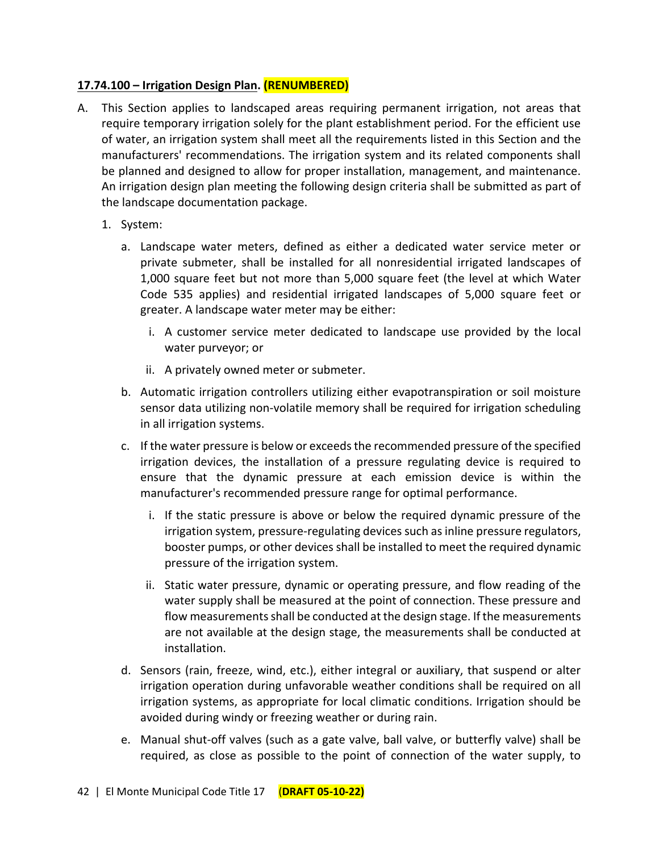## **17.74.100 – Irrigation Design Plan. (RENUMBERED)**

- A. This Section applies to landscaped areas requiring permanent irrigation, not areas that require temporary irrigation solely for the plant establishment period. For the efficient use of water, an irrigation system shall meet all the requirements listed in this Section and the manufacturers' recommendations. The irrigation system and its related components shall be planned and designed to allow for proper installation, management, and maintenance. An irrigation design plan meeting the following design criteria shall be submitted as part of the landscape documentation package.
	- 1. System:
		- a. Landscape water meters, defined as either a dedicated water service meter or private submeter, shall be installed for all nonresidential irrigated landscapes of 1,000 square feet but not more than 5,000 square feet (the level at which Water Code 535 applies) and residential irrigated landscapes of 5,000 square feet or greater. A landscape water meter may be either:
			- i. A customer service meter dedicated to landscape use provided by the local water purveyor; or
			- ii. A privately owned meter or submeter.
		- b. Automatic irrigation controllers utilizing either evapotranspiration or soil moisture sensor data utilizing non-volatile memory shall be required for irrigation scheduling in all irrigation systems.
		- c. If the water pressure is below or exceeds the recommended pressure of the specified irrigation devices, the installation of a pressure regulating device is required to ensure that the dynamic pressure at each emission device is within the manufacturer's recommended pressure range for optimal performance.
			- i. If the static pressure is above or below the required dynamic pressure of the irrigation system, pressure-regulating devices such as inline pressure regulators, booster pumps, or other devices shall be installed to meet the required dynamic pressure of the irrigation system.
			- ii. Static water pressure, dynamic or operating pressure, and flow reading of the water supply shall be measured at the point of connection. These pressure and flow measurements shall be conducted at the design stage. If the measurements are not available at the design stage, the measurements shall be conducted at installation.
		- d. Sensors (rain, freeze, wind, etc.), either integral or auxiliary, that suspend or alter irrigation operation during unfavorable weather conditions shall be required on all irrigation systems, as appropriate for local climatic conditions. Irrigation should be avoided during windy or freezing weather or during rain.
		- e. Manual shut-off valves (such as a gate valve, ball valve, or butterfly valve) shall be required, as close as possible to the point of connection of the water supply, to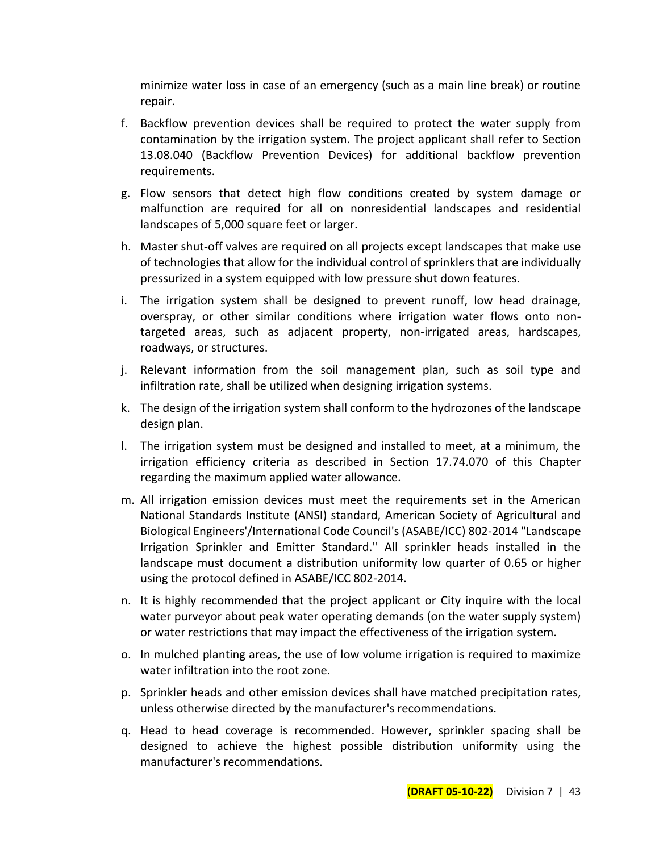minimize water loss in case of an emergency (such as a main line break) or routine repair.

- f. Backflow prevention devices shall be required to protect the water supply from contamination by the irrigation system. The project applicant shall refer to Section 13.08.040 (Backflow Prevention Devices) for additional backflow prevention requirements.
- g. Flow sensors that detect high flow conditions created by system damage or malfunction are required for all on nonresidential landscapes and residential landscapes of 5,000 square feet or larger.
- h. Master shut-off valves are required on all projects except landscapes that make use of technologies that allow for the individual control of sprinklers that are individually pressurized in a system equipped with low pressure shut down features.
- i. The irrigation system shall be designed to prevent runoff, low head drainage, overspray, or other similar conditions where irrigation water flows onto nontargeted areas, such as adjacent property, non-irrigated areas, hardscapes, roadways, or structures.
- j. Relevant information from the soil management plan, such as soil type and infiltration rate, shall be utilized when designing irrigation systems.
- k. The design of the irrigation system shall conform to the hydrozones of the landscape design plan.
- l. The irrigation system must be designed and installed to meet, at a minimum, the irrigation efficiency criteria as described in Section 17.74.070 of this Chapter regarding the maximum applied water allowance.
- m. All irrigation emission devices must meet the requirements set in the American National Standards Institute (ANSI) standard, American Society of Agricultural and Biological Engineers'/International Code Council's (ASABE/ICC) 802-2014 "Landscape Irrigation Sprinkler and Emitter Standard." All sprinkler heads installed in the landscape must document a distribution uniformity low quarter of 0.65 or higher using the protocol defined in ASABE/ICC 802-2014.
- n. It is highly recommended that the project applicant or City inquire with the local water purveyor about peak water operating demands (on the water supply system) or water restrictions that may impact the effectiveness of the irrigation system.
- o. In mulched planting areas, the use of low volume irrigation is required to maximize water infiltration into the root zone.
- p. Sprinkler heads and other emission devices shall have matched precipitation rates, unless otherwise directed by the manufacturer's recommendations.
- q. Head to head coverage is recommended. However, sprinkler spacing shall be designed to achieve the highest possible distribution uniformity using the manufacturer's recommendations.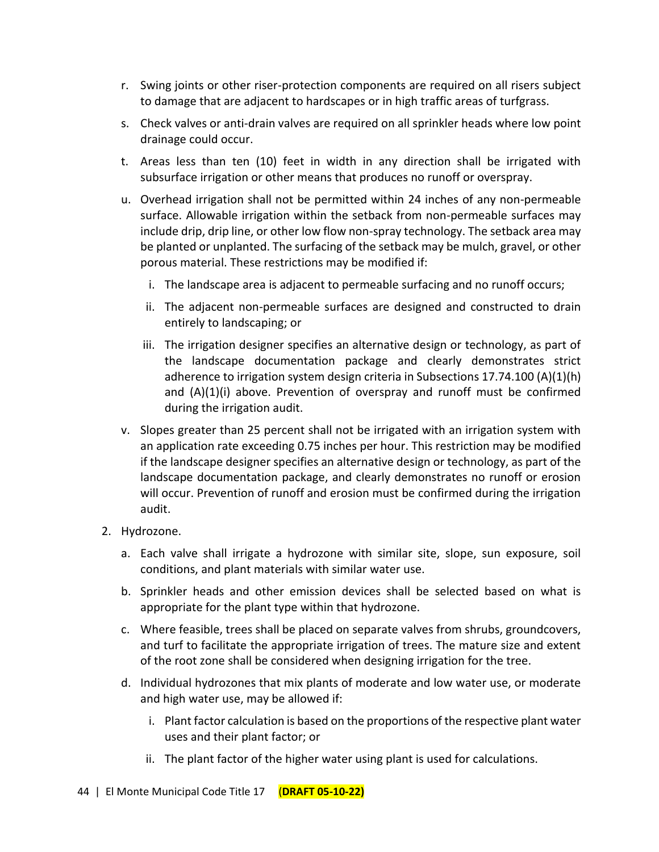- r. Swing joints or other riser-protection components are required on all risers subject to damage that are adjacent to hardscapes or in high traffic areas of turfgrass.
- s. Check valves or anti-drain valves are required on all sprinkler heads where low point drainage could occur.
- t. Areas less than ten (10) feet in width in any direction shall be irrigated with subsurface irrigation or other means that produces no runoff or overspray.
- u. Overhead irrigation shall not be permitted within 24 inches of any non-permeable surface. Allowable irrigation within the setback from non-permeable surfaces may include drip, drip line, or other low flow non-spray technology. The setback area may be planted or unplanted. The surfacing of the setback may be mulch, gravel, or other porous material. These restrictions may be modified if:
	- i. The landscape area is adjacent to permeable surfacing and no runoff occurs;
	- ii. The adjacent non-permeable surfaces are designed and constructed to drain entirely to landscaping; or
	- iii. The irrigation designer specifies an alternative design or technology, as part of the landscape documentation package and clearly demonstrates strict adherence to irrigation system design criteria in Subsections 17.74.100 (A)(1)(h) and  $(A)(1)(i)$  above. Prevention of overspray and runoff must be confirmed during the irrigation audit.
- v. Slopes greater than 25 percent shall not be irrigated with an irrigation system with an application rate exceeding 0.75 inches per hour. This restriction may be modified if the landscape designer specifies an alternative design or technology, as part of the landscape documentation package, and clearly demonstrates no runoff or erosion will occur. Prevention of runoff and erosion must be confirmed during the irrigation audit.
- 2. Hydrozone.
	- a. Each valve shall irrigate a hydrozone with similar site, slope, sun exposure, soil conditions, and plant materials with similar water use.
	- b. Sprinkler heads and other emission devices shall be selected based on what is appropriate for the plant type within that hydrozone.
	- c. Where feasible, trees shall be placed on separate valves from shrubs, groundcovers, and turf to facilitate the appropriate irrigation of trees. The mature size and extent of the root zone shall be considered when designing irrigation for the tree.
	- d. Individual hydrozones that mix plants of moderate and low water use, or moderate and high water use, may be allowed if:
		- i. Plant factor calculation is based on the proportions of the respective plant water uses and their plant factor; or
		- ii. The plant factor of the higher water using plant is used for calculations.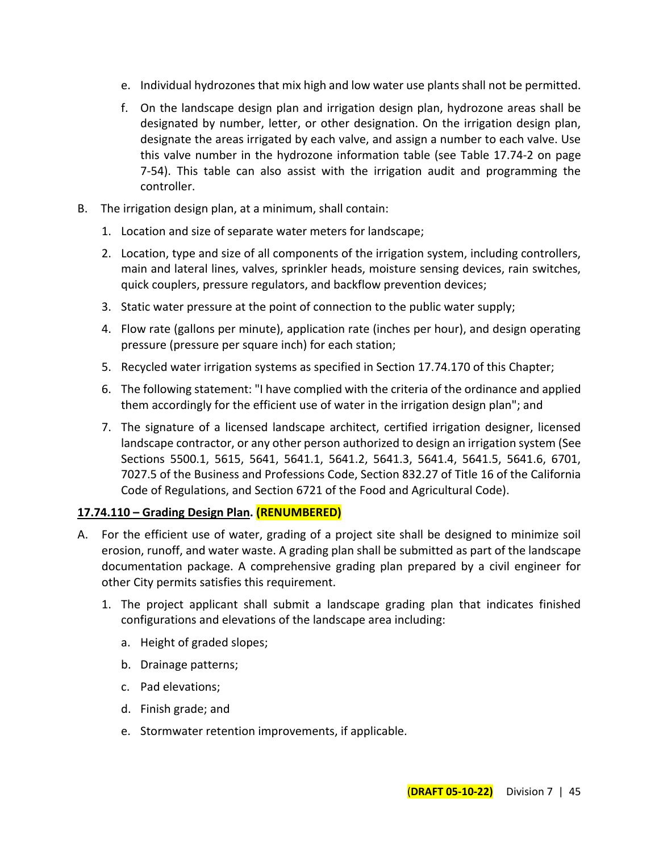- e. Individual hydrozones that mix high and low water use plants shall not be permitted.
- f. On the landscape design plan and irrigation design plan, hydrozone areas shall be designated by number, letter, or other designation. On the irrigation design plan, designate the areas irrigated by each valve, and assign a number to each valve. Use this valve number in the hydrozone information table (see Table 17.74-2 on page 7-54). This table can also assist with the irrigation audit and programming the controller.
- B. The irrigation design plan, at a minimum, shall contain:
	- 1. Location and size of separate water meters for landscape;
	- 2. Location, type and size of all components of the irrigation system, including controllers, main and lateral lines, valves, sprinkler heads, moisture sensing devices, rain switches, quick couplers, pressure regulators, and backflow prevention devices;
	- 3. Static water pressure at the point of connection to the public water supply;
	- 4. Flow rate (gallons per minute), application rate (inches per hour), and design operating pressure (pressure per square inch) for each station;
	- 5. Recycled water irrigation systems as specified in Section 17.74.170 of this Chapter;
	- 6. The following statement: "I have complied with the criteria of the ordinance and applied them accordingly for the efficient use of water in the irrigation design plan"; and
	- 7. The signature of a licensed landscape architect, certified irrigation designer, licensed landscape contractor, or any other person authorized to design an irrigation system (See Sections 5500.1, 5615, 5641, 5641.1, 5641.2, 5641.3, 5641.4, 5641.5, 5641.6, 6701, 7027.5 of the Business and Professions Code, Section 832.27 of Title 16 of the California Code of Regulations, and Section 6721 of the Food and Agricultural Code).

## **17.74.110 – Grading Design Plan. (RENUMBERED)**

- A. For the efficient use of water, grading of a project site shall be designed to minimize soil erosion, runoff, and water waste. A grading plan shall be submitted as part of the landscape documentation package. A comprehensive grading plan prepared by a civil engineer for other City permits satisfies this requirement.
	- 1. The project applicant shall submit a landscape grading plan that indicates finished configurations and elevations of the landscape area including:
		- a. Height of graded slopes;
		- b. Drainage patterns;
		- c. Pad elevations;
		- d. Finish grade; and
		- e. Stormwater retention improvements, if applicable.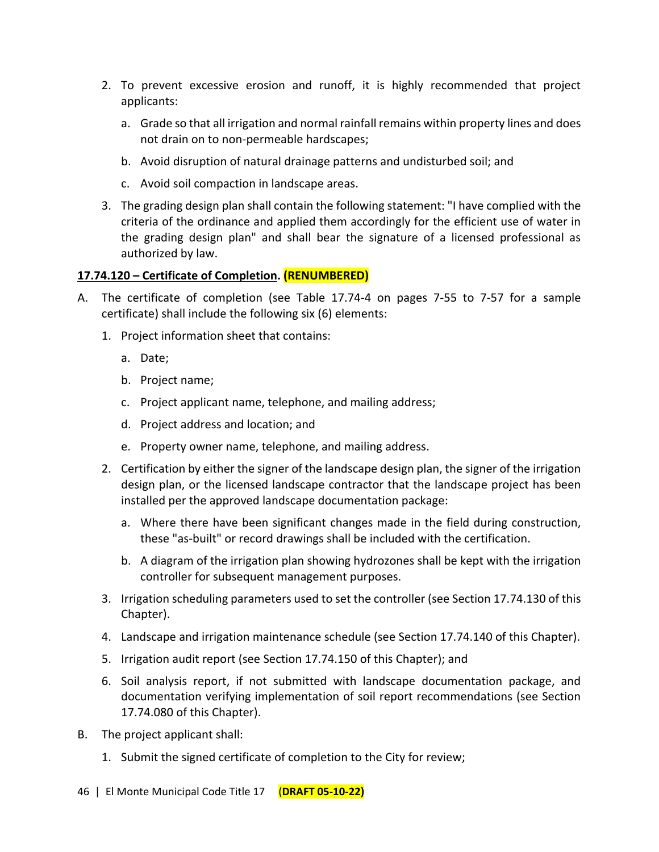- 2. To prevent excessive erosion and runoff, it is highly recommended that project applicants:
	- a. Grade so that all irrigation and normal rainfall remains within property lines and does not drain on to non-permeable hardscapes;
	- b. Avoid disruption of natural drainage patterns and undisturbed soil; and
	- c. Avoid soil compaction in landscape areas.
- 3. The grading design plan shall contain the following statement: "I have complied with the criteria of the ordinance and applied them accordingly for the efficient use of water in the grading design plan" and shall bear the signature of a licensed professional as authorized by law.

## **17.74.120 – Certificate of Completion. (RENUMBERED)**

- A. The certificate of completion (see Table 17.74-4 on pages 7-55 to 7-57 for a sample certificate) shall include the following six (6) elements:
	- 1. Project information sheet that contains:
		- a. Date;
		- b. Project name;
		- c. Project applicant name, telephone, and mailing address;
		- d. Project address and location; and
		- e. Property owner name, telephone, and mailing address.
	- 2. Certification by either the signer of the landscape design plan, the signer of the irrigation design plan, or the licensed landscape contractor that the landscape project has been installed per the approved landscape documentation package:
		- a. Where there have been significant changes made in the field during construction, these "as-built" or record drawings shall be included with the certification.
		- b. A diagram of the irrigation plan showing hydrozones shall be kept with the irrigation controller for subsequent management purposes.
	- 3. Irrigation scheduling parameters used to set the controller (see Section 17.74.130 of this Chapter).
	- 4. Landscape and irrigation maintenance schedule (see Section 17.74.140 of this Chapter).
	- 5. Irrigation audit report (see Section 17.74.150 of this Chapter); and
	- 6. Soil analysis report, if not submitted with landscape documentation package, and documentation verifying implementation of soil report recommendations (see Section 17.74.080 of this Chapter).
- B. The project applicant shall:
	- 1. Submit the signed certificate of completion to the City for review;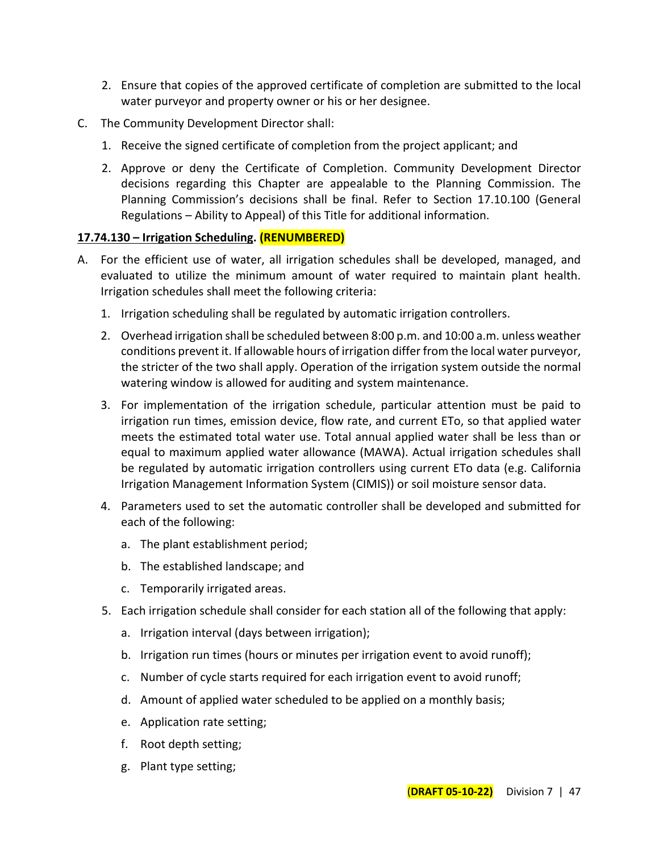- 2. Ensure that copies of the approved certificate of completion are submitted to the local water purveyor and property owner or his or her designee.
- C. The Community Development Director shall:
	- 1. Receive the signed certificate of completion from the project applicant; and
	- 2. Approve or deny the Certificate of Completion. Community Development Director decisions regarding this Chapter are appealable to the Planning Commission. The Planning Commission's decisions shall be final. Refer to Section 17.10.100 (General Regulations – Ability to Appeal) of this Title for additional information.

#### **17.74.130 – Irrigation Scheduling. (RENUMBERED)**

- A. For the efficient use of water, all irrigation schedules shall be developed, managed, and evaluated to utilize the minimum amount of water required to maintain plant health. Irrigation schedules shall meet the following criteria:
	- 1. Irrigation scheduling shall be regulated by automatic irrigation controllers.
	- 2. Overhead irrigation shall be scheduled between 8:00 p.m. and 10:00 a.m. unless weather conditions prevent it. If allowable hours of irrigation differ from the local water purveyor, the stricter of the two shall apply. Operation of the irrigation system outside the normal watering window is allowed for auditing and system maintenance.
	- 3. For implementation of the irrigation schedule, particular attention must be paid to irrigation run times, emission device, flow rate, and current ETo, so that applied water meets the estimated total water use. Total annual applied water shall be less than or equal to maximum applied water allowance (MAWA). Actual irrigation schedules shall be regulated by automatic irrigation controllers using current ETo data (e.g. California Irrigation Management Information System (CIMIS)) or soil moisture sensor data.
	- 4. Parameters used to set the automatic controller shall be developed and submitted for each of the following:
		- a. The plant establishment period;
		- b. The established landscape; and
		- c. Temporarily irrigated areas.
	- 5. Each irrigation schedule shall consider for each station all of the following that apply:
		- a. Irrigation interval (days between irrigation);
		- b. Irrigation run times (hours or minutes per irrigation event to avoid runoff);
		- c. Number of cycle starts required for each irrigation event to avoid runoff;
		- d. Amount of applied water scheduled to be applied on a monthly basis;
		- e. Application rate setting;
		- f. Root depth setting;
		- g. Plant type setting;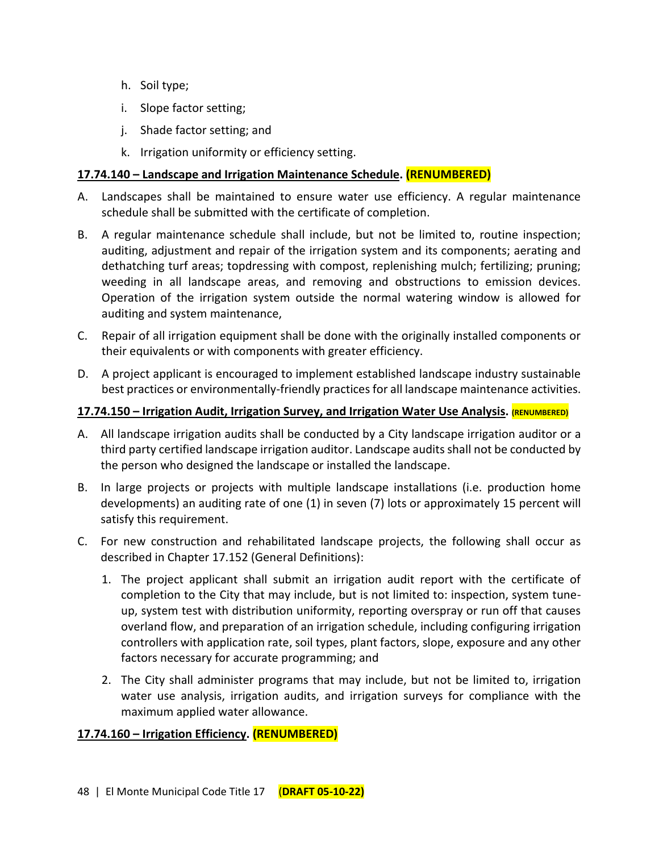- h. Soil type;
- i. Slope factor setting;
- j. Shade factor setting; and
- k. Irrigation uniformity or efficiency setting.

## **17.74.140 – Landscape and Irrigation Maintenance Schedule. (RENUMBERED)**

- A. Landscapes shall be maintained to ensure water use efficiency. A regular maintenance schedule shall be submitted with the certificate of completion.
- B. A regular maintenance schedule shall include, but not be limited to, routine inspection; auditing, adjustment and repair of the irrigation system and its components; aerating and dethatching turf areas; topdressing with compost, replenishing mulch; fertilizing; pruning; weeding in all landscape areas, and removing and obstructions to emission devices. Operation of the irrigation system outside the normal watering window is allowed for auditing and system maintenance,
- C. Repair of all irrigation equipment shall be done with the originally installed components or their equivalents or with components with greater efficiency.
- D. A project applicant is encouraged to implement established landscape industry sustainable best practices or environmentally-friendly practices for all landscape maintenance activities.

#### **17.74.150 – Irrigation Audit, Irrigation Survey, and Irrigation Water Use Analysis. (RENUMBERED)**

- A. All landscape irrigation audits shall be conducted by a City landscape irrigation auditor or a third party certified landscape irrigation auditor. Landscape audits shall not be conducted by the person who designed the landscape or installed the landscape.
- B. In large projects or projects with multiple landscape installations (i.e. production home developments) an auditing rate of one (1) in seven (7) lots or approximately 15 percent will satisfy this requirement.
- C. For new construction and rehabilitated landscape projects, the following shall occur as described in Chapter 17.152 (General Definitions):
	- 1. The project applicant shall submit an irrigation audit report with the certificate of completion to the City that may include, but is not limited to: inspection, system tuneup, system test with distribution uniformity, reporting overspray or run off that causes overland flow, and preparation of an irrigation schedule, including configuring irrigation controllers with application rate, soil types, plant factors, slope, exposure and any other factors necessary for accurate programming; and
	- 2. The City shall administer programs that may include, but not be limited to, irrigation water use analysis, irrigation audits, and irrigation surveys for compliance with the maximum applied water allowance.

#### **17.74.160 – Irrigation Efficiency. (RENUMBERED)**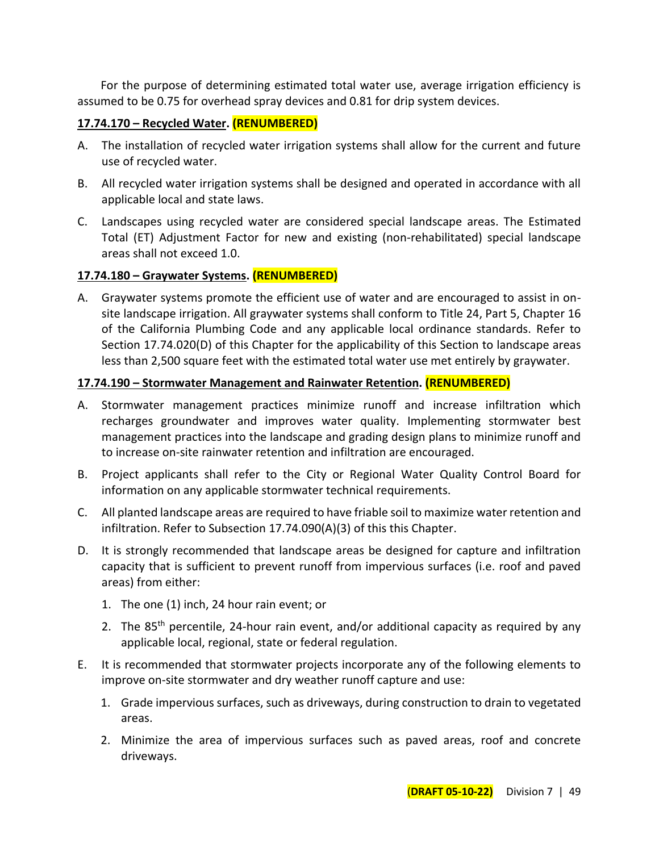For the purpose of determining estimated total water use, average irrigation efficiency is assumed to be 0.75 for overhead spray devices and 0.81 for drip system devices.

#### **17.74.170 – Recycled Water. (RENUMBERED)**

- A. The installation of recycled water irrigation systems shall allow for the current and future use of recycled water.
- B. All recycled water irrigation systems shall be designed and operated in accordance with all applicable local and state laws.
- C. Landscapes using recycled water are considered special landscape areas. The Estimated Total (ET) Adjustment Factor for new and existing (non-rehabilitated) special landscape areas shall not exceed 1.0.

#### **17.74.180 – Graywater Systems. (RENUMBERED)**

A. Graywater systems promote the efficient use of water and are encouraged to assist in onsite landscape irrigation. All graywater systems shall conform to Title 24, Part 5, Chapter 16 of the California Plumbing Code and any applicable local ordinance standards. Refer to Section 17.74.020(D) of this Chapter for the applicability of this Section to landscape areas less than 2,500 square feet with the estimated total water use met entirely by graywater.

#### **17.74.190 – Stormwater Management and Rainwater Retention. (RENUMBERED)**

- A. Stormwater management practices minimize runoff and increase infiltration which recharges groundwater and improves water quality. Implementing stormwater best management practices into the landscape and grading design plans to minimize runoff and to increase on-site rainwater retention and infiltration are encouraged.
- B. Project applicants shall refer to the City or Regional Water Quality Control Board for information on any applicable stormwater technical requirements.
- C. All planted landscape areas are required to have friable soil to maximize water retention and infiltration. Refer to Subsection 17.74.090(A)(3) of this this Chapter.
- D. It is strongly recommended that landscape areas be designed for capture and infiltration capacity that is sufficient to prevent runoff from impervious surfaces (i.e. roof and paved areas) from either:
	- 1. The one (1) inch, 24 hour rain event; or
	- 2. The 85<sup>th</sup> percentile, 24-hour rain event, and/or additional capacity as required by any applicable local, regional, state or federal regulation.
- E. It is recommended that stormwater projects incorporate any of the following elements to improve on-site stormwater and dry weather runoff capture and use:
	- 1. Grade impervious surfaces, such as driveways, during construction to drain to vegetated areas.
	- 2. Minimize the area of impervious surfaces such as paved areas, roof and concrete driveways.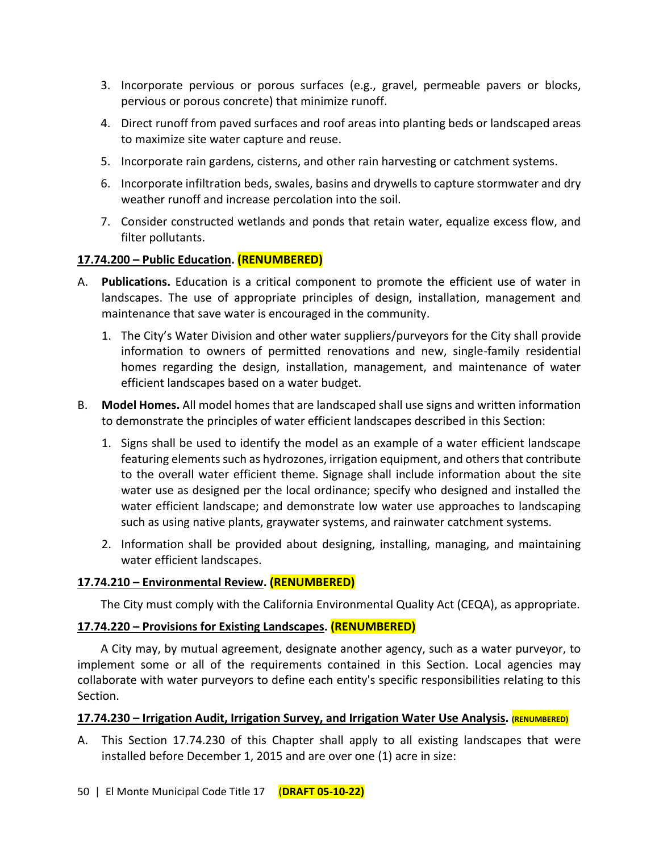- 3. Incorporate pervious or porous surfaces (e.g., gravel, permeable pavers or blocks, pervious or porous concrete) that minimize runoff.
- 4. Direct runoff from paved surfaces and roof areas into planting beds or landscaped areas to maximize site water capture and reuse.
- 5. Incorporate rain gardens, cisterns, and other rain harvesting or catchment systems.
- 6. Incorporate infiltration beds, swales, basins and drywells to capture stormwater and dry weather runoff and increase percolation into the soil.
- 7. Consider constructed wetlands and ponds that retain water, equalize excess flow, and filter pollutants.

# **17.74.200 – Public Education. (RENUMBERED)**

- A. **Publications.** Education is a critical component to promote the efficient use of water in landscapes. The use of appropriate principles of design, installation, management and maintenance that save water is encouraged in the community.
	- 1. The City's Water Division and other water suppliers/purveyors for the City shall provide information to owners of permitted renovations and new, single-family residential homes regarding the design, installation, management, and maintenance of water efficient landscapes based on a water budget.
- B. **Model Homes.** All model homes that are landscaped shall use signs and written information to demonstrate the principles of water efficient landscapes described in this Section:
	- 1. Signs shall be used to identify the model as an example of a water efficient landscape featuring elements such as hydrozones, irrigation equipment, and others that contribute to the overall water efficient theme. Signage shall include information about the site water use as designed per the local ordinance; specify who designed and installed the water efficient landscape; and demonstrate low water use approaches to landscaping such as using native plants, graywater systems, and rainwater catchment systems.
	- 2. Information shall be provided about designing, installing, managing, and maintaining water efficient landscapes.

# **17.74.210 – Environmental Review. (RENUMBERED)**

The City must comply with the California Environmental Quality Act (CEQA), as appropriate.

## **17.74.220 – Provisions for Existing Landscapes. (RENUMBERED)**

A City may, by mutual agreement, designate another agency, such as a water purveyor, to implement some or all of the requirements contained in this Section. Local agencies may collaborate with water purveyors to define each entity's specific responsibilities relating to this Section.

## **17.74.230 – Irrigation Audit, Irrigation Survey, and Irrigation Water Use Analysis. (RENUMBERED)**

A. This Section 17.74.230 of this Chapter shall apply to all existing landscapes that were installed before December 1, 2015 and are over one (1) acre in size: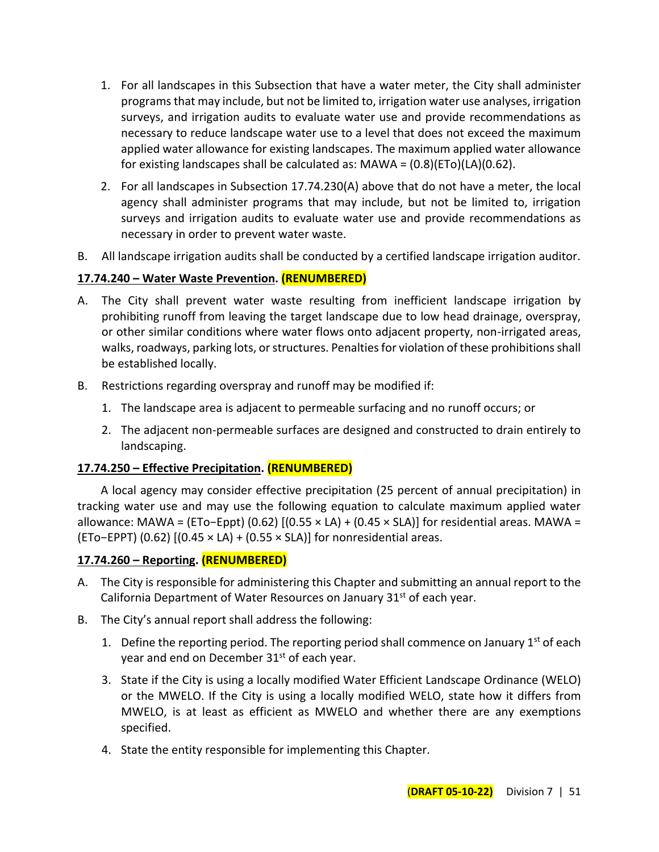- 1. For all landscapes in this Subsection that have a water meter, the City shall administer programs that may include, but not be limited to, irrigation water use analyses, irrigation surveys, and irrigation audits to evaluate water use and provide recommendations as necessary to reduce landscape water use to a level that does not exceed the maximum applied water allowance for existing landscapes. The maximum applied water allowance for existing landscapes shall be calculated as:  $MAWA = (0.8)(ETo)(LA)(0.62)$ .
- 2. For all landscapes in Subsection 17.74.230(A) above that do not have a meter, the local agency shall administer programs that may include, but not be limited to, irrigation surveys and irrigation audits to evaluate water use and provide recommendations as necessary in order to prevent water waste.
- B. All landscape irrigation audits shall be conducted by a certified landscape irrigation auditor.

## **17.74.240 – Water Waste Prevention. (RENUMBERED)**

- A. The City shall prevent water waste resulting from inefficient landscape irrigation by prohibiting runoff from leaving the target landscape due to low head drainage, overspray, or other similar conditions where water flows onto adjacent property, non-irrigated areas, walks, roadways, parking lots, or structures. Penalties for violation of these prohibitions shall be established locally.
- B. Restrictions regarding overspray and runoff may be modified if:
	- 1. The landscape area is adjacent to permeable surfacing and no runoff occurs; or
	- 2. The adjacent non-permeable surfaces are designed and constructed to drain entirely to landscaping.

## **17.74.250 – Effective Precipitation. (RENUMBERED)**

A local agency may consider effective precipitation (25 percent of annual precipitation) in tracking water use and may use the following equation to calculate maximum applied water allowance: MAWA = (ETo−Eppt) (0.62)  $[(0.55 \times LA) + (0.45 \times SLA)]$  for residential areas. MAWA = (ETo−EPPT) (0.62) [(0.45 × LA) + (0.55 × SLA)] for nonresidential areas.

## **17.74.260 – Reporting. (RENUMBERED)**

- A. The City is responsible for administering this Chapter and submitting an annual report to the California Department of Water Resources on January 31<sup>st</sup> of each year.
- B. The City's annual report shall address the following:
	- 1. Define the reporting period. The reporting period shall commence on January  $1^{st}$  of each year and end on December 31<sup>st</sup> of each year.
	- 3. State if the City is using a locally modified Water Efficient Landscape Ordinance (WELO) or the MWELO. If the City is using a locally modified WELO, state how it differs from MWELO, is at least as efficient as MWELO and whether there are any exemptions specified.
	- 4. State the entity responsible for implementing this Chapter.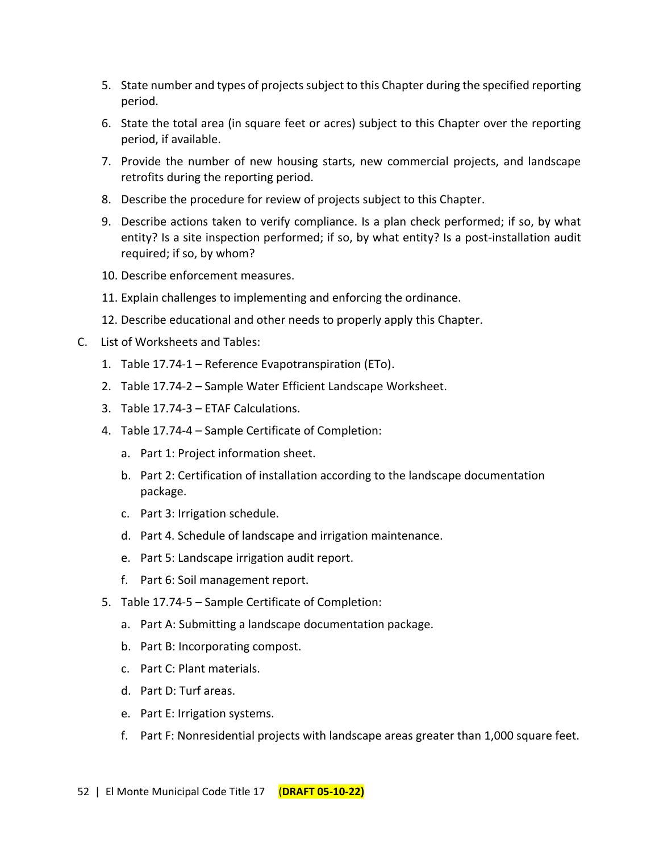- 5. State number and types of projects subject to this Chapter during the specified reporting period.
- 6. State the total area (in square feet or acres) subject to this Chapter over the reporting period, if available.
- 7. Provide the number of new housing starts, new commercial projects, and landscape retrofits during the reporting period.
- 8. Describe the procedure for review of projects subject to this Chapter.
- 9. Describe actions taken to verify compliance. Is a plan check performed; if so, by what entity? Is a site inspection performed; if so, by what entity? Is a post-installation audit required; if so, by whom?
- 10. Describe enforcement measures.
- 11. Explain challenges to implementing and enforcing the ordinance.
- 12. Describe educational and other needs to properly apply this Chapter.
- C. List of Worksheets and Tables:
	- 1. Table 17.74-1 Reference Evapotranspiration (ETo).
	- 2. Table 17.74-2 Sample Water Efficient Landscape Worksheet.
	- 3. Table 17.74-3 ETAF Calculations.
	- 4. Table 17.74-4 Sample Certificate of Completion:
		- a. Part 1: Project information sheet.
		- b. Part 2: Certification of installation according to the landscape documentation package.
		- c. Part 3: Irrigation schedule.
		- d. Part 4. Schedule of landscape and irrigation maintenance.
		- e. Part 5: Landscape irrigation audit report.
		- f. Part 6: Soil management report.
	- 5. Table 17.74-5 Sample Certificate of Completion:
		- a. Part A: Submitting a landscape documentation package.
		- b. Part B: Incorporating compost.
		- c. Part C: Plant materials.
		- d. Part D: Turf areas.
		- e. Part E: Irrigation systems.
		- f. Part F: Nonresidential projects with landscape areas greater than 1,000 square feet.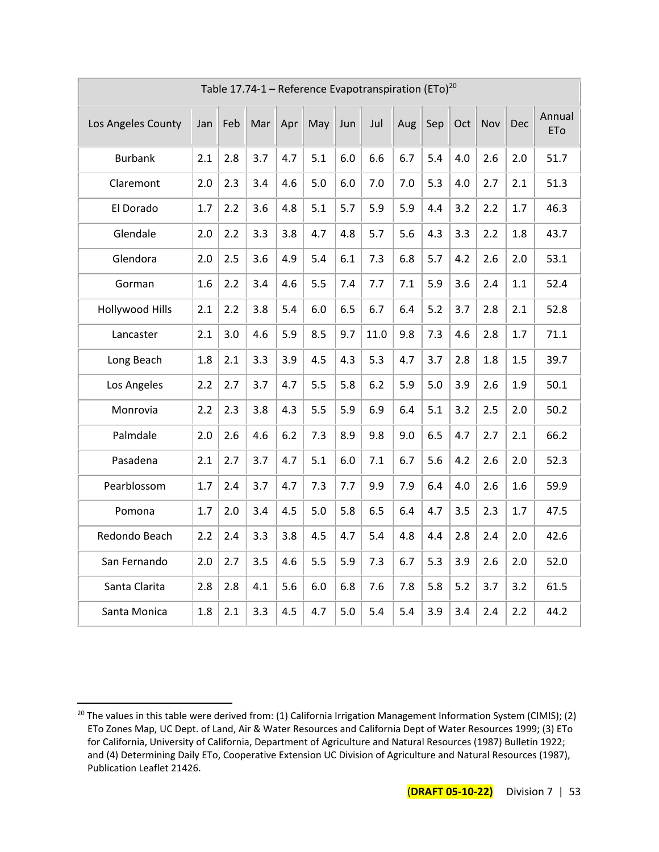|                        | Table 17.74-1 – Reference Evapotranspiration (ETo) <sup>20</sup> |     |     |     |     |     |      |     |     |     |     |     |                      |
|------------------------|------------------------------------------------------------------|-----|-----|-----|-----|-----|------|-----|-----|-----|-----|-----|----------------------|
| Los Angeles County     | Jan                                                              | Feb | Mar | Apr | May | Jun | Jul  | Aug | Sep | Oct | Nov | Dec | Annual<br><b>ETo</b> |
| <b>Burbank</b>         | 2.1                                                              | 2.8 | 3.7 | 4.7 | 5.1 | 6.0 | 6.6  | 6.7 | 5.4 | 4.0 | 2.6 | 2.0 | 51.7                 |
| Claremont              | 2.0                                                              | 2.3 | 3.4 | 4.6 | 5.0 | 6.0 | 7.0  | 7.0 | 5.3 | 4.0 | 2.7 | 2.1 | 51.3                 |
| El Dorado              | 1.7                                                              | 2.2 | 3.6 | 4.8 | 5.1 | 5.7 | 5.9  | 5.9 | 4.4 | 3.2 | 2.2 | 1.7 | 46.3                 |
| Glendale               | 2.0                                                              | 2.2 | 3.3 | 3.8 | 4.7 | 4.8 | 5.7  | 5.6 | 4.3 | 3.3 | 2.2 | 1.8 | 43.7                 |
| Glendora               | 2.0                                                              | 2.5 | 3.6 | 4.9 | 5.4 | 6.1 | 7.3  | 6.8 | 5.7 | 4.2 | 2.6 | 2.0 | 53.1                 |
| Gorman                 | 1.6                                                              | 2.2 | 3.4 | 4.6 | 5.5 | 7.4 | 7.7  | 7.1 | 5.9 | 3.6 | 2.4 | 1.1 | 52.4                 |
| <b>Hollywood Hills</b> | 2.1                                                              | 2.2 | 3.8 | 5.4 | 6.0 | 6.5 | 6.7  | 6.4 | 5.2 | 3.7 | 2.8 | 2.1 | 52.8                 |
| Lancaster              | 2.1                                                              | 3.0 | 4.6 | 5.9 | 8.5 | 9.7 | 11.0 | 9.8 | 7.3 | 4.6 | 2.8 | 1.7 | 71.1                 |
| Long Beach             | 1.8                                                              | 2.1 | 3.3 | 3.9 | 4.5 | 4.3 | 5.3  | 4.7 | 3.7 | 2.8 | 1.8 | 1.5 | 39.7                 |
| Los Angeles            | 2.2                                                              | 2.7 | 3.7 | 4.7 | 5.5 | 5.8 | 6.2  | 5.9 | 5.0 | 3.9 | 2.6 | 1.9 | 50.1                 |
| Monrovia               | 2.2                                                              | 2.3 | 3.8 | 4.3 | 5.5 | 5.9 | 6.9  | 6.4 | 5.1 | 3.2 | 2.5 | 2.0 | 50.2                 |
| Palmdale               | 2.0                                                              | 2.6 | 4.6 | 6.2 | 7.3 | 8.9 | 9.8  | 9.0 | 6.5 | 4.7 | 2.7 | 2.1 | 66.2                 |
| Pasadena               | 2.1                                                              | 2.7 | 3.7 | 4.7 | 5.1 | 6.0 | 7.1  | 6.7 | 5.6 | 4.2 | 2.6 | 2.0 | 52.3                 |
| Pearblossom            | 1.7                                                              | 2.4 | 3.7 | 4.7 | 7.3 | 7.7 | 9.9  | 7.9 | 6.4 | 4.0 | 2.6 | 1.6 | 59.9                 |
| Pomona                 | 1.7                                                              | 2.0 | 3.4 | 4.5 | 5.0 | 5.8 | 6.5  | 6.4 | 4.7 | 3.5 | 2.3 | 1.7 | 47.5                 |
| Redondo Beach          | 2.2                                                              | 2.4 | 3.3 | 3.8 | 4.5 | 4.7 | 5.4  | 4.8 | 4.4 | 2.8 | 2.4 | 2.0 | 42.6                 |
| San Fernando           | 2.0                                                              | 2.7 | 3.5 | 4.6 | 5.5 | 5.9 | 7.3  | 6.7 | 5.3 | 3.9 | 2.6 | 2.0 | 52.0                 |
| Santa Clarita          | 2.8                                                              | 2.8 | 4.1 | 5.6 | 6.0 | 6.8 | 7.6  | 7.8 | 5.8 | 5.2 | 3.7 | 3.2 | 61.5                 |
| Santa Monica           | 1.8                                                              | 2.1 | 3.3 | 4.5 | 4.7 | 5.0 | 5.4  | 5.4 | 3.9 | 3.4 | 2.4 | 2.2 | 44.2                 |

<sup>&</sup>lt;sup>20</sup> The values in this table were derived from: (1) California Irrigation Management Information System (CIMIS); (2) ETo Zones Map, UC Dept. of Land, Air & Water Resources and California Dept of Water Resources 1999; (3) ETo for California, University of California, Department of Agriculture and Natural Resources (1987) Bulletin 1922; and (4) Determining Daily ETo, Cooperative Extension UC Division of Agriculture and Natural Resources (1987), Publication Leaflet 21426.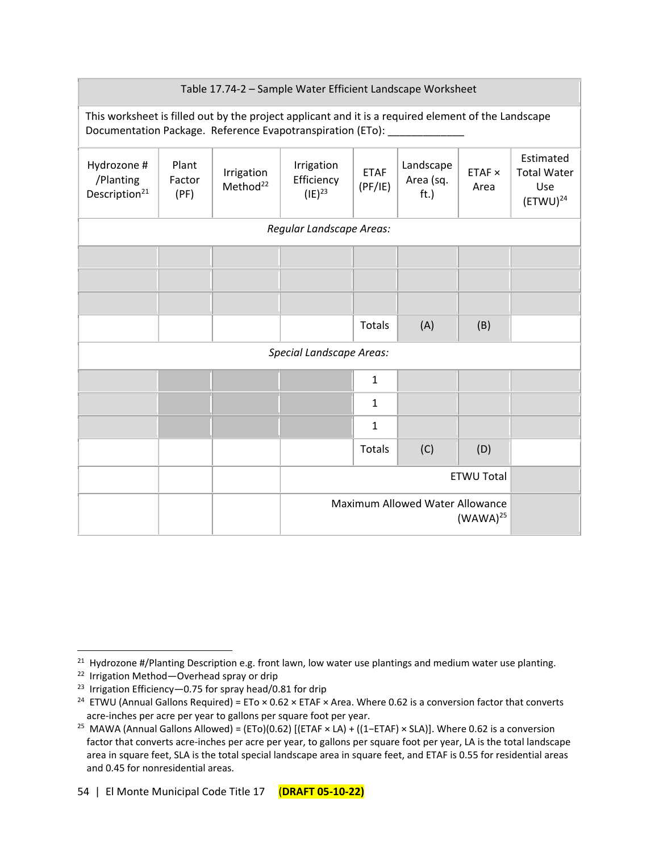| Table 17.74-2 - Sample Water Efficient Landscape Worksheet |                                                                                                                                                                   |                                    |                                         |                        |                                |                |                                                         |  |
|------------------------------------------------------------|-------------------------------------------------------------------------------------------------------------------------------------------------------------------|------------------------------------|-----------------------------------------|------------------------|--------------------------------|----------------|---------------------------------------------------------|--|
|                                                            | This worksheet is filled out by the project applicant and it is a required element of the Landscape<br>Documentation Package. Reference Evapotranspiration (ETo): |                                    |                                         |                        |                                |                |                                                         |  |
| Hydrozone #<br>/Planting<br>Description <sup>21</sup>      | Plant<br>Factor<br>(PF)                                                                                                                                           | Irrigation<br>Method <sup>22</sup> | Irrigation<br>Efficiency<br>$(IE)^{23}$ | <b>ETAF</b><br>(PF/IE) | Landscape<br>Area (sq.<br>ft.) | ETAF ×<br>Area | Estimated<br><b>Total Water</b><br>Use<br>$(ETWU)^{24}$ |  |
|                                                            |                                                                                                                                                                   |                                    | Regular Landscape Areas:                |                        |                                |                |                                                         |  |
|                                                            |                                                                                                                                                                   |                                    |                                         |                        |                                |                |                                                         |  |
|                                                            |                                                                                                                                                                   |                                    |                                         |                        |                                |                |                                                         |  |
|                                                            |                                                                                                                                                                   |                                    |                                         |                        |                                |                |                                                         |  |
|                                                            |                                                                                                                                                                   |                                    |                                         | <b>Totals</b>          | (A)                            | (B)            |                                                         |  |
|                                                            |                                                                                                                                                                   |                                    | <b>Special Landscape Areas:</b>         |                        |                                |                |                                                         |  |
|                                                            |                                                                                                                                                                   |                                    |                                         | $\mathbf{1}$           |                                |                |                                                         |  |
|                                                            |                                                                                                                                                                   |                                    |                                         | $\mathbf{1}$           |                                |                |                                                         |  |
|                                                            |                                                                                                                                                                   |                                    |                                         | 1                      |                                |                |                                                         |  |
|                                                            |                                                                                                                                                                   |                                    |                                         | <b>Totals</b>          | (C)                            | (D)            |                                                         |  |
| <b>ETWU Total</b>                                          |                                                                                                                                                                   |                                    |                                         |                        |                                |                |                                                         |  |
| Maximum Allowed Water Allowance<br>$(WAWA)^{25}$           |                                                                                                                                                                   |                                    |                                         |                        |                                |                |                                                         |  |

<sup>&</sup>lt;sup>21</sup> Hydrozone #/Planting Description e.g. front lawn, low water use plantings and medium water use planting.

<sup>&</sup>lt;sup>22</sup> Irrigation Method-Overhead spray or drip

<sup>&</sup>lt;sup>23</sup> Irrigation Efficiency-0.75 for spray head/0.81 for drip

<sup>&</sup>lt;sup>24</sup> ETWU (Annual Gallons Required) = ETo  $\times$  0.62  $\times$  ETAF  $\times$  Area. Where 0.62 is a conversion factor that converts acre-inches per acre per year to gallons per square foot per year.

<sup>&</sup>lt;sup>25</sup> MAWA (Annual Gallons Allowed) = (ETo)(0.62) [(ETAF × LA) + ((1–ETAF) × SLA)]. Where 0.62 is a conversion factor that converts acre-inches per acre per year, to gallons per square foot per year, LA is the total landscape area in square feet, SLA is the total special landscape area in square feet, and ETAF is 0.55 for residential areas and 0.45 for nonresidential areas.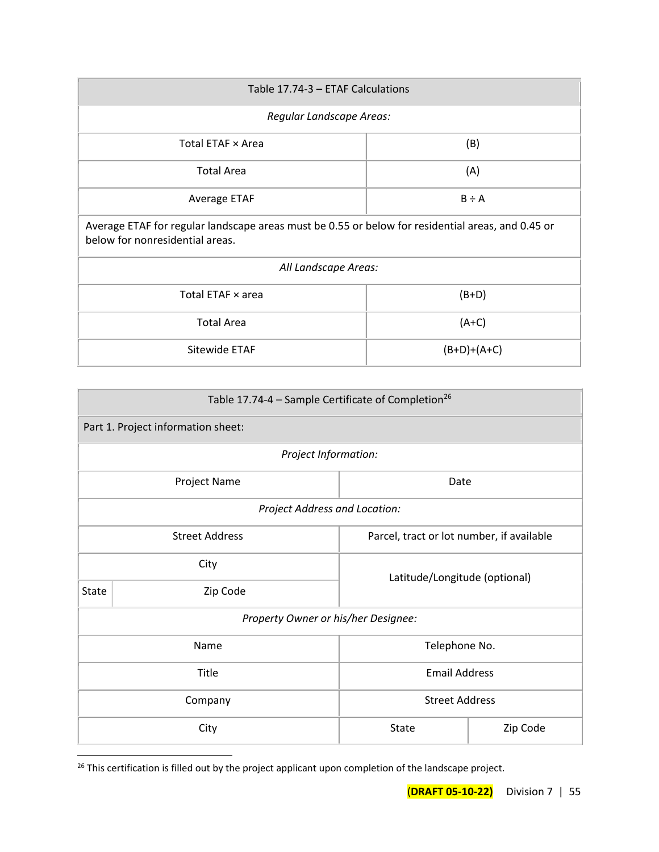| Table 17.74-3 - ETAF Calculations                                                                                                    |               |  |  |  |  |  |  |
|--------------------------------------------------------------------------------------------------------------------------------------|---------------|--|--|--|--|--|--|
| Regular Landscape Areas:                                                                                                             |               |  |  |  |  |  |  |
| Total ETAF × Area<br>(B)                                                                                                             |               |  |  |  |  |  |  |
| <b>Total Area</b>                                                                                                                    | (A)           |  |  |  |  |  |  |
| $B \div A$<br>Average ETAF                                                                                                           |               |  |  |  |  |  |  |
| Average ETAF for regular landscape areas must be 0.55 or below for residential areas, and 0.45 or<br>below for nonresidential areas. |               |  |  |  |  |  |  |
| All Landscape Areas:                                                                                                                 |               |  |  |  |  |  |  |
| Total ETAF x area<br>$(B+D)$                                                                                                         |               |  |  |  |  |  |  |
| <b>Total Area</b><br>$(A+C)$                                                                                                         |               |  |  |  |  |  |  |
| Sitewide ETAF                                                                                                                        | $(B+D)+(A+C)$ |  |  |  |  |  |  |

| Table 17.74-4 – Sample Certificate of Completion <sup>26</sup>     |                                     |                      |  |  |  |  |  |  |
|--------------------------------------------------------------------|-------------------------------------|----------------------|--|--|--|--|--|--|
|                                                                    | Part 1. Project information sheet:  |                      |  |  |  |  |  |  |
|                                                                    | Project Information:                |                      |  |  |  |  |  |  |
| Project Name<br>Date                                               |                                     |                      |  |  |  |  |  |  |
|                                                                    | Project Address and Location:       |                      |  |  |  |  |  |  |
| <b>Street Address</b><br>Parcel, tract or lot number, if available |                                     |                      |  |  |  |  |  |  |
| City<br>Latitude/Longitude (optional)                              |                                     |                      |  |  |  |  |  |  |
| State                                                              | Zip Code                            |                      |  |  |  |  |  |  |
|                                                                    | Property Owner or his/her Designee: |                      |  |  |  |  |  |  |
|                                                                    | Name                                | Telephone No.        |  |  |  |  |  |  |
|                                                                    | Title                               | <b>Email Address</b> |  |  |  |  |  |  |
|                                                                    | <b>Street Address</b><br>Company    |                      |  |  |  |  |  |  |
|                                                                    | Zip Code<br>City<br><b>State</b>    |                      |  |  |  |  |  |  |

<sup>&</sup>lt;sup>26</sup> This certification is filled out by the project applicant upon completion of the landscape project.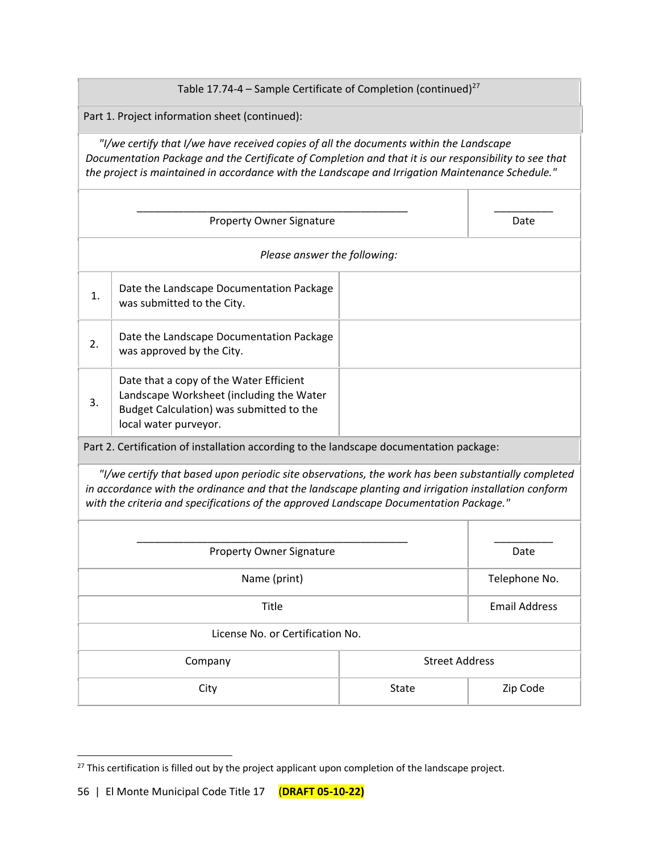Table 17.74-4 – Sample Certificate of Completion (continued) $^{27}$ 

Part 1. Project information sheet (continued):

 *"I/we certify that I/we have received copies of all the documents within the Landscape Documentation Package and the Certificate of Completion and that it is our responsibility to see that the project is maintained in accordance with the Landscape and Irrigation Maintenance Schedule."*

| <b>Property Owner Signature</b>                                                                                                                                                                                                                                                                       |                                                                                                                                                          |                       | Date                 |  |
|-------------------------------------------------------------------------------------------------------------------------------------------------------------------------------------------------------------------------------------------------------------------------------------------------------|----------------------------------------------------------------------------------------------------------------------------------------------------------|-----------------------|----------------------|--|
| Please answer the following:                                                                                                                                                                                                                                                                          |                                                                                                                                                          |                       |                      |  |
| 1.                                                                                                                                                                                                                                                                                                    | Date the Landscape Documentation Package<br>was submitted to the City.                                                                                   |                       |                      |  |
| 2.                                                                                                                                                                                                                                                                                                    | Date the Landscape Documentation Package<br>was approved by the City.                                                                                    |                       |                      |  |
| 3.                                                                                                                                                                                                                                                                                                    | Date that a copy of the Water Efficient<br>Landscape Worksheet (including the Water<br>Budget Calculation) was submitted to the<br>local water purveyor. |                       |                      |  |
| Part 2. Certification of installation according to the landscape documentation package:                                                                                                                                                                                                               |                                                                                                                                                          |                       |                      |  |
| "I/we certify that based upon periodic site observations, the work has been substantially completed<br>in accordance with the ordinance and that the landscape planting and irrigation installation conform<br>with the criteria and specifications of the approved Landscape Documentation Package." |                                                                                                                                                          |                       |                      |  |
| Property Owner Signature                                                                                                                                                                                                                                                                              |                                                                                                                                                          |                       | Date                 |  |
| Name (print)                                                                                                                                                                                                                                                                                          |                                                                                                                                                          |                       | Telephone No.        |  |
| Title                                                                                                                                                                                                                                                                                                 |                                                                                                                                                          |                       | <b>Email Address</b> |  |
| License No. or Certification No.                                                                                                                                                                                                                                                                      |                                                                                                                                                          |                       |                      |  |
| Company                                                                                                                                                                                                                                                                                               |                                                                                                                                                          | <b>Street Address</b> |                      |  |

City City State Number 2ip Code

<sup>27</sup> This certification is filled out by the project applicant upon completion of the landscape project.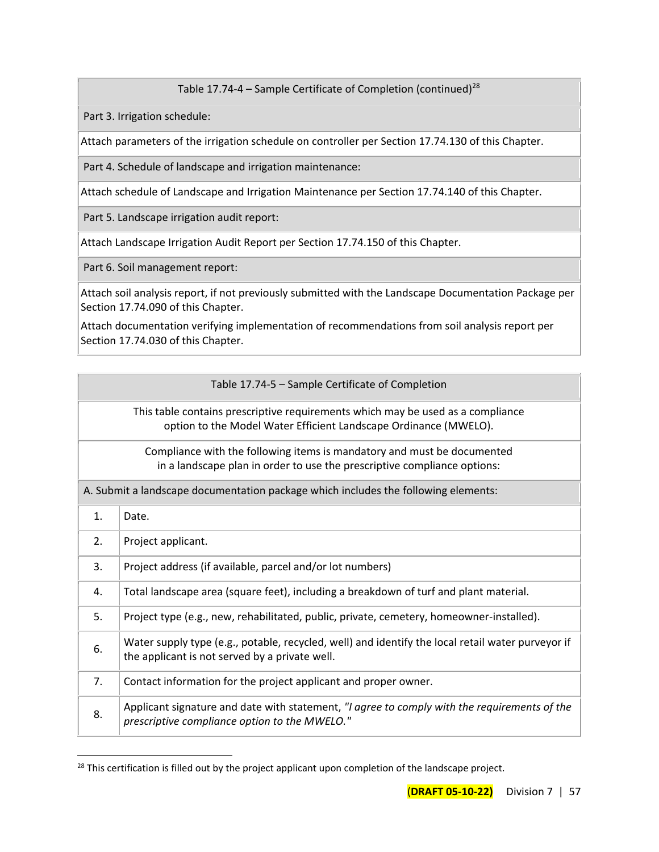Table 17.74-4 – Sample Certificate of Completion (continued)<sup>28</sup>

Part 3. Irrigation schedule:

Attach parameters of the irrigation schedule on controller per Section 17.74.130 of this Chapter.

Part 4. Schedule of landscape and irrigation maintenance:

Attach schedule of Landscape and Irrigation Maintenance per Section 17.74.140 of this Chapter.

Part 5. Landscape irrigation audit report:

Attach Landscape Irrigation Audit Report per Section 17.74.150 of this Chapter.

Part 6. Soil management report:

Attach soil analysis report, if not previously submitted with the Landscape Documentation Package per Section 17.74.090 of this Chapter.

Attach documentation verifying implementation of recommendations from soil analysis report per Section 17.74.030 of this Chapter.

|                                                                                                                                                     | Table 17.74-5 - Sample Certificate of Completion                                                                                                    |  |
|-----------------------------------------------------------------------------------------------------------------------------------------------------|-----------------------------------------------------------------------------------------------------------------------------------------------------|--|
| This table contains prescriptive requirements which may be used as a compliance<br>option to the Model Water Efficient Landscape Ordinance (MWELO). |                                                                                                                                                     |  |
| Compliance with the following items is mandatory and must be documented<br>in a landscape plan in order to use the prescriptive compliance options: |                                                                                                                                                     |  |
| A. Submit a landscape documentation package which includes the following elements:                                                                  |                                                                                                                                                     |  |
| 1.                                                                                                                                                  | Date.                                                                                                                                               |  |
| 2.                                                                                                                                                  | Project applicant.                                                                                                                                  |  |
| 3.                                                                                                                                                  | Project address (if available, parcel and/or lot numbers)                                                                                           |  |
| 4.                                                                                                                                                  | Total landscape area (square feet), including a breakdown of turf and plant material.                                                               |  |
| 5.                                                                                                                                                  | Project type (e.g., new, rehabilitated, public, private, cemetery, homeowner-installed).                                                            |  |
| 6.                                                                                                                                                  | Water supply type (e.g., potable, recycled, well) and identify the local retail water purveyor if<br>the applicant is not served by a private well. |  |
| 7.                                                                                                                                                  | Contact information for the project applicant and proper owner.                                                                                     |  |
| 8.                                                                                                                                                  | Applicant signature and date with statement, "I agree to comply with the requirements of the<br>prescriptive compliance option to the MWELO."       |  |

 $28$  This certification is filled out by the project applicant upon completion of the landscape project.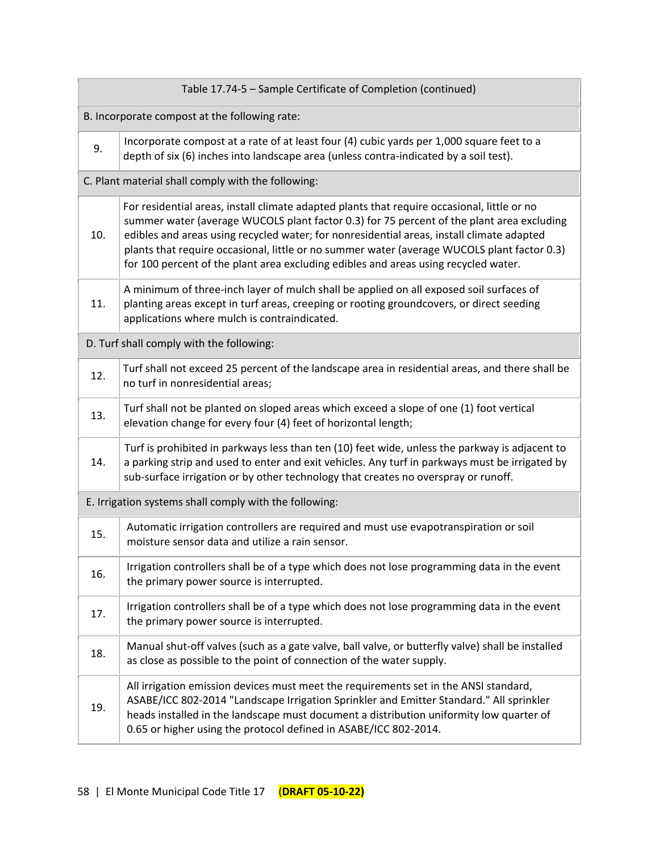| Table 17.74-5 - Sample Certificate of Completion (continued) |                                                                                                                                                                                                                                                                                                                                                                                                                                                                             |  |  |
|--------------------------------------------------------------|-----------------------------------------------------------------------------------------------------------------------------------------------------------------------------------------------------------------------------------------------------------------------------------------------------------------------------------------------------------------------------------------------------------------------------------------------------------------------------|--|--|
| B. Incorporate compost at the following rate:                |                                                                                                                                                                                                                                                                                                                                                                                                                                                                             |  |  |
| 9.                                                           | Incorporate compost at a rate of at least four (4) cubic yards per 1,000 square feet to a<br>depth of six (6) inches into landscape area (unless contra-indicated by a soil test).                                                                                                                                                                                                                                                                                          |  |  |
| C. Plant material shall comply with the following:           |                                                                                                                                                                                                                                                                                                                                                                                                                                                                             |  |  |
| 10.                                                          | For residential areas, install climate adapted plants that require occasional, little or no<br>summer water (average WUCOLS plant factor 0.3) for 75 percent of the plant area excluding<br>edibles and areas using recycled water; for nonresidential areas, install climate adapted<br>plants that require occasional, little or no summer water (average WUCOLS plant factor 0.3)<br>for 100 percent of the plant area excluding edibles and areas using recycled water. |  |  |
| 11.                                                          | A minimum of three-inch layer of mulch shall be applied on all exposed soil surfaces of<br>planting areas except in turf areas, creeping or rooting groundcovers, or direct seeding<br>applications where mulch is contraindicated.                                                                                                                                                                                                                                         |  |  |
| D. Turf shall comply with the following:                     |                                                                                                                                                                                                                                                                                                                                                                                                                                                                             |  |  |
| 12.                                                          | Turf shall not exceed 25 percent of the landscape area in residential areas, and there shall be<br>no turf in nonresidential areas;                                                                                                                                                                                                                                                                                                                                         |  |  |
| 13.                                                          | Turf shall not be planted on sloped areas which exceed a slope of one (1) foot vertical<br>elevation change for every four (4) feet of horizontal length;                                                                                                                                                                                                                                                                                                                   |  |  |
| 14.                                                          | Turf is prohibited in parkways less than ten (10) feet wide, unless the parkway is adjacent to<br>a parking strip and used to enter and exit vehicles. Any turf in parkways must be irrigated by<br>sub-surface irrigation or by other technology that creates no overspray or runoff.                                                                                                                                                                                      |  |  |
| E. Irrigation systems shall comply with the following:       |                                                                                                                                                                                                                                                                                                                                                                                                                                                                             |  |  |
| 15.                                                          | Automatic irrigation controllers are required and must use evapotranspiration or soil<br>moisture sensor data and utilize a rain sensor.                                                                                                                                                                                                                                                                                                                                    |  |  |
| 16.                                                          | Irrigation controllers shall be of a type which does not lose programming data in the event<br>the primary power source is interrupted.                                                                                                                                                                                                                                                                                                                                     |  |  |
| 17.                                                          | Irrigation controllers shall be of a type which does not lose programming data in the event<br>the primary power source is interrupted.                                                                                                                                                                                                                                                                                                                                     |  |  |
| 18.                                                          | Manual shut-off valves (such as a gate valve, ball valve, or butterfly valve) shall be installed<br>as close as possible to the point of connection of the water supply.                                                                                                                                                                                                                                                                                                    |  |  |
| 19.                                                          | All irrigation emission devices must meet the requirements set in the ANSI standard,<br>ASABE/ICC 802-2014 "Landscape Irrigation Sprinkler and Emitter Standard." All sprinkler<br>heads installed in the landscape must document a distribution uniformity low quarter of<br>0.65 or higher using the protocol defined in ASABE/ICC 802-2014.                                                                                                                              |  |  |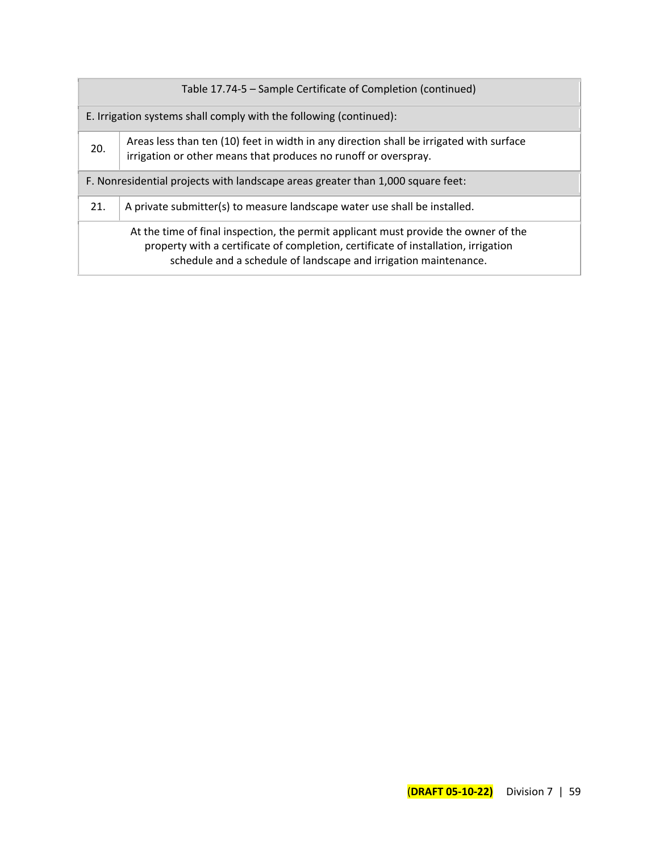| Table 17.74-5 – Sample Certificate of Completion (continued)                    |                                                                                                                                                                                                                                               |  |  |  |
|---------------------------------------------------------------------------------|-----------------------------------------------------------------------------------------------------------------------------------------------------------------------------------------------------------------------------------------------|--|--|--|
| E. Irrigation systems shall comply with the following (continued):              |                                                                                                                                                                                                                                               |  |  |  |
| 20.                                                                             | Areas less than ten (10) feet in width in any direction shall be irrigated with surface<br>irrigation or other means that produces no runoff or overspray.                                                                                    |  |  |  |
| F. Nonresidential projects with landscape areas greater than 1,000 square feet: |                                                                                                                                                                                                                                               |  |  |  |
| 21.                                                                             | A private submitter(s) to measure landscape water use shall be installed.                                                                                                                                                                     |  |  |  |
|                                                                                 | At the time of final inspection, the permit applicant must provide the owner of the<br>property with a certificate of completion, certificate of installation, irrigation<br>schedule and a schedule of landscape and irrigation maintenance. |  |  |  |